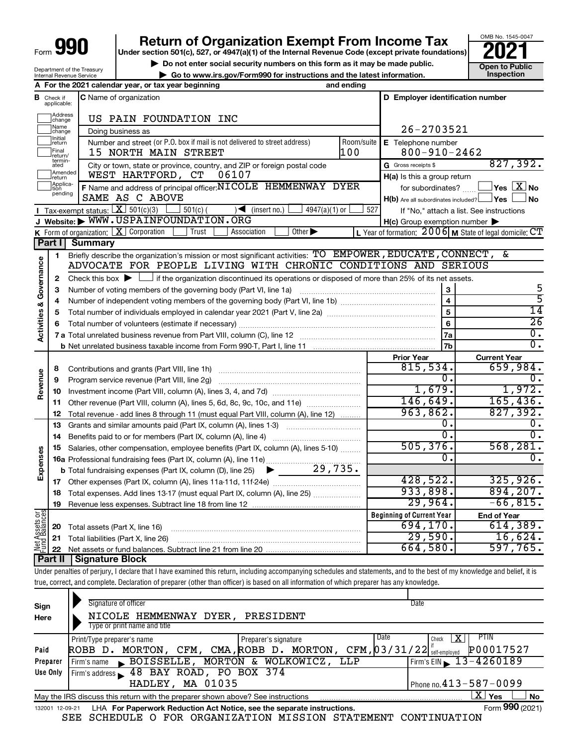| Form |  |
|------|--|
|      |  |

Department of the Treasury Internal Revenue Service

# **Return of Organization Exempt From Income Tax**<br>r section 501(c), 527, or 4947(a)(1) of the Internal Revenue Code (except private foundations)<br>**202**

**Under section 501(c), 527, or 4947(a)(1) of the Internal Revenue Code (except private foundations)**

**b** Do not enter social security numbers on this form as it may be made public.<br> **Go to www.irs.gov/Form990 for instructions and the latest information. This impection** 

**| Go to www.irs.gov/Form990 for instructions and the latest information. Inspection**



|                              |                            | A For the 2021 calendar year, or tax year beginning                                                                                                  | and ending              |                                                     |                                                         |  |
|------------------------------|----------------------------|------------------------------------------------------------------------------------------------------------------------------------------------------|-------------------------|-----------------------------------------------------|---------------------------------------------------------|--|
| в                            | Check if<br>applicable:    | <b>C</b> Name of organization                                                                                                                        |                         | D Employer identification number                    |                                                         |  |
|                              | Address<br>Change          | US PAIN FOUNDATION INC                                                                                                                               |                         |                                                     |                                                         |  |
|                              | Name<br>change             | Doing business as                                                                                                                                    |                         | 26-2703521                                          |                                                         |  |
|                              | Initial<br>∣return         | Number and street (or P.O. box if mail is not delivered to street address)                                                                           | Room/suite              | E Telephone number                                  |                                                         |  |
|                              | Final<br>return/           | 15 NORTH MAIN STREET                                                                                                                                 | 100                     | $800 - 910 - 2462$                                  |                                                         |  |
|                              | termin-<br>ated<br>Amended | City or town, state or province, country, and ZIP or foreign postal code                                                                             |                         | G Gross receipts \$                                 | 827,392.                                                |  |
|                              | Ireturn<br>Applica-        | 06107<br>WEST HARTFORD, CT                                                                                                                           |                         | $H(a)$ is this a group return                       |                                                         |  |
|                              | pending                    | F Name and address of principal officer: NICOLE HEMMENWAY DYER                                                                                       |                         | for subordinates?                                   | $ Y$ es $ X $ No                                        |  |
|                              |                            | SAME AS C ABOVE                                                                                                                                      |                         | H(b) Are all subordinates included? Ves             | ⊥No                                                     |  |
|                              |                            | <b>I</b> Tax-exempt status: $X \ 501(c)(3)$<br>$501(c)$ (<br>$\sqrt{\bullet}$ (insert no.)<br>$4947(a)(1)$ or<br>J Website: WWW.USPAINFOUNDATION.ORG | 527                     |                                                     | If "No," attach a list. See instructions                |  |
|                              |                            | Other $\blacktriangleright$<br><b>K</b> Form of organization: $X$ Corporation<br>Association<br>Trust                                                |                         | $H(c)$ Group exemption number $\blacktriangleright$ | L Year of formation: 2006 M State of legal domicile: CT |  |
|                              |                            | Part I Summary                                                                                                                                       |                         |                                                     |                                                         |  |
|                              | 1.                         | Briefly describe the organization's mission or most significant activities: TO EMPOWER, EDUCATE, CONNECT,                                            |                         |                                                     | &.                                                      |  |
| Governance                   |                            | ADVOCATE FOR PEOPLE LIVING WITH CHRONIC CONDITIONS AND SERIOUS                                                                                       |                         |                                                     |                                                         |  |
|                              | $\mathbf{2}$               | Check this box $\blacktriangleright$ $\Box$ if the organization discontinued its operations or disposed of more than 25% of its net assets.          |                         |                                                     |                                                         |  |
|                              | 3                          | Number of voting members of the governing body (Part VI, line 1a)                                                                                    |                         | 3                                                   | 5                                                       |  |
|                              | 4                          |                                                                                                                                                      | $\overline{\mathbf{4}}$ | 5                                                   |                                                         |  |
|                              | 5                          |                                                                                                                                                      | 5                       | $\overline{14}$                                     |                                                         |  |
|                              | 6                          |                                                                                                                                                      | 6                       | $\overline{26}$                                     |                                                         |  |
| <b>Activities &amp;</b>      |                            |                                                                                                                                                      |                         | 7a                                                  | σ.                                                      |  |
|                              |                            | <b>b</b> Net unrelated business taxable income from Form 990-T, Part I, line 11                                                                      |                         | 7b                                                  | σ.                                                      |  |
|                              |                            |                                                                                                                                                      |                         | <b>Prior Year</b>                                   | <b>Current Year</b>                                     |  |
|                              | 8                          | Contributions and grants (Part VIII, line 1h)                                                                                                        |                         | 815,534.                                            | 659,984.                                                |  |
| Revenue                      | 9                          | Program service revenue (Part VIII, line 2g)                                                                                                         |                         | Ο.                                                  | 0.                                                      |  |
|                              | 10                         |                                                                                                                                                      |                         | 1,679.<br>146,649.                                  | 1,972.<br>165,436.                                      |  |
|                              |                            | 11 Other revenue (Part VIII, column (A), lines 5, 6d, 8c, 9c, 10c, and 11e)                                                                          |                         | 963,862.                                            | 827,392.                                                |  |
|                              | 12                         | Total revenue - add lines 8 through 11 (must equal Part VIII, column (A), line 12)                                                                   |                         | 0.                                                  | Ο.                                                      |  |
|                              | 13<br>14                   | Grants and similar amounts paid (Part IX, column (A), lines 1-3)                                                                                     |                         | 0.                                                  | $\overline{0}$ .                                        |  |
|                              | 15                         | Salaries, other compensation, employee benefits (Part IX, column (A), lines 5-10)                                                                    |                         | 505, 376.                                           | 568, 281.                                               |  |
| Expenses                     |                            |                                                                                                                                                      |                         | О.                                                  | $\overline{0}$ .                                        |  |
|                              |                            |                                                                                                                                                      |                         |                                                     |                                                         |  |
|                              |                            |                                                                                                                                                      |                         | 428,522.                                            | 325,926.                                                |  |
|                              |                            | 18 Total expenses. Add lines 13-17 (must equal Part IX, column (A), line 25)                                                                         |                         | 933,898.                                            | 894, 207.                                               |  |
|                              | 19                         |                                                                                                                                                      |                         | 29,964.                                             | $-66,815.$                                              |  |
| $rac{\text{or}}{\text{ces}}$ |                            |                                                                                                                                                      |                         | <b>Beginning of Current Year</b>                    | <b>End of Year</b>                                      |  |
| t Assets<br>Id Balanc        | 20                         | Total assets (Part X, line 16)                                                                                                                       |                         | 694, 170.                                           | 614,389.                                                |  |
|                              | 21                         | Total liabilities (Part X, line 26)                                                                                                                  |                         | 29,590.                                             | 16,624.                                                 |  |
| ಕ                            | 22                         |                                                                                                                                                      |                         | 664,580.                                            | 597,765.                                                |  |
|                              | Part II                    | <b>Signature Block</b>                                                                                                                               |                         |                                                     |                                                         |  |

Under penalties of perjury, I declare that I have examined this return, including accompanying schedules and statements, and to the best of my knowledge and belief, it is true, correct, and complete. Declaration of preparer (other than officer) is based on all information of which preparer has any knowledge. ┯

| Sign<br>Here    | Signature of officer<br>NICOLE HEMMENWAY DYER,<br>PRESIDENT<br>Type or print name and title                        | Date                            |  |  |  |  |  |  |  |  |
|-----------------|--------------------------------------------------------------------------------------------------------------------|---------------------------------|--|--|--|--|--|--|--|--|
| Paid            | Date<br>Print/Type preparer's name<br>Preparer's signature<br>CMA, ROBB D. MORTON, CFM, $ 03/31/22 $ self-employed | PTIN<br>x<br>Check<br>P00017527 |  |  |  |  |  |  |  |  |
|                 | MORTON ,<br>CFM,<br>ROBB D.                                                                                        |                                 |  |  |  |  |  |  |  |  |
| Preparer        | BOISSELLE, MORTON & WOLKOWICZ, LLP<br>Firm's name                                                                  | Firm's EIN $\sqrt{13-4260189}$  |  |  |  |  |  |  |  |  |
| Use Only        | 48 BAY ROAD, PO BOX 374<br>Firm's address                                                                          |                                 |  |  |  |  |  |  |  |  |
|                 | HADLEY, MA 01035                                                                                                   | Phone no. $413 - 587 - 0099$    |  |  |  |  |  |  |  |  |
|                 | ΧI<br>Yes<br><b>No</b><br>May the IRS discuss this return with the preparer shown above? See instructions          |                                 |  |  |  |  |  |  |  |  |
| 132001 12-09-21 | LHA For Paperwork Reduction Act Notice, see the separate instructions.                                             | Form 990 (2021)                 |  |  |  |  |  |  |  |  |

SEE SCHEDULE O FOR ORGANIZATION MISSION STATEMENT CONTINUATION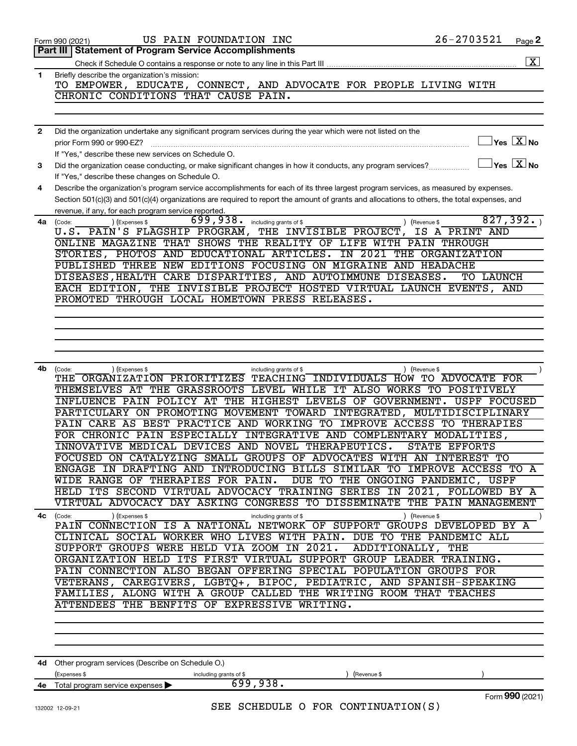| 1            | Briefly describe the organization's mission:<br>TO EMPOWER, EDUCATE, CONNECT, AND ADVOCATE FOR PEOPLE LIVING WITH                                             |
|--------------|---------------------------------------------------------------------------------------------------------------------------------------------------------------|
|              | CHRONIC CONDITIONS THAT CAUSE PAIN.                                                                                                                           |
|              |                                                                                                                                                               |
|              |                                                                                                                                                               |
| $\mathbf{2}$ | Did the organization undertake any significant program services during the year which were not listed on the                                                  |
|              | $ {\mathsf Y}\mathsf{es}\ \boxed{{\mathsf X}}$ No<br>prior Form 990 or 990-EZ?                                                                                |
|              | If "Yes," describe these new services on Schedule O.                                                                                                          |
| 3            | $\sqrt{}$ Yes $\sqrt{ \ \overline{\rm X}}$ No<br>Did the organization cease conducting, or make significant changes in how it conducts, any program services? |
|              | If "Yes," describe these changes on Schedule O.                                                                                                               |
| 4            | Describe the organization's program service accomplishments for each of its three largest program services, as measured by expenses.                          |
|              | Section 501(c)(3) and 501(c)(4) organizations are required to report the amount of grants and allocations to others, the total expenses, and                  |
| 4a           | revenue, if any, for each program service reported.<br>827, 392.<br>699,938.<br>(Code:<br>(Expenses \$<br>including grants of \$                              |
|              | ) (Revenue \$<br>U.S. PAIN'S FLAGSHIP PROGRAM, THE INVISIBLE PROJECT,<br>IS A PRINT AND                                                                       |
|              | ONLINE MAGAZINE THAT SHOWS THE REALITY OF LIFE WITH PAIN THROUGH                                                                                              |
|              | STORIES, PHOTOS AND EDUCATIONAL ARTICLES.<br>IN 2021 THE ORGANIZATION                                                                                         |
|              | PUBLISHED THREE NEW EDITIONS FOCUSING ON MIGRAINE AND HEADACHE                                                                                                |
|              | DISEASES, HEALTH CARE DISPARITIES, AND AUTOIMMUNE DISEASES.<br><b>TO LAUNCH</b>                                                                               |
|              | EACH EDITION, THE INVISIBLE PROJECT HOSTED VIRTUAL LAUNCH EVENTS,<br>AND                                                                                      |
|              | PROMOTED THROUGH LOCAL HOMETOWN PRESS RELEASES.                                                                                                               |
|              |                                                                                                                                                               |
|              |                                                                                                                                                               |
|              |                                                                                                                                                               |
|              |                                                                                                                                                               |
| 4b           | (Code:<br>) (Expenses \$<br>including grants of \$<br>) (Revenue \$                                                                                           |
|              | THE ORGANIZATION PRIORITIZES TEACHING INDIVIDUALS HOW TO ADVOCATE FOR                                                                                         |
|              | THEMSELVES AT THE GRASSROOTS LEVEL WHILE IT ALSO WORKS TO POSITIVELY                                                                                          |
|              | INFLUENCE PAIN POLICY AT THE HIGHEST LEVELS OF GOVERNMENT. USPF FOCUSED                                                                                       |
|              | PARTICULARY ON PROMOTING MOVEMENT TOWARD INTEGRATED, MULTIDISCIPLINARY                                                                                        |
|              | PAIN CARE AS BEST PRACTICE AND WORKING TO IMPROVE ACCESS TO THERAPIES                                                                                         |
|              | FOR CHRONIC PAIN ESPECIALLY INTEGRATIVE AND COMPLENTARY MODALITIES,                                                                                           |
|              | INNOVATIVE MEDICAL DEVICES AND NOVEL THERAPEUTICS.<br>STATE EFFORTS                                                                                           |
|              | FOCUSED ON CATALYZING SMALL GROUPS OF ADVOCATES WITH AN INTEREST TO                                                                                           |
|              | ENGAGE IN DRAFTING AND INTRODUCING BILLS SIMILAR TO IMPROVE ACCESS TO A                                                                                       |
|              | WIDE RANGE OF THERAPIES FOR PAIN.<br>DUE TO THE ONGOING PANDEMIC, USPF<br>HELD ITS SECOND VIRTUAL ADVOCACY TRAINING SERIES IN 2021<br>FOLLOWED BY A           |
|              | VIRTUAL ADVOCACY DAY ASKING CONGRESS TO DISSEMINATE THE PAIN MANAGEMENT                                                                                       |
| 4с           | ) (Revenue \$<br>(Code:                                                                                                                                       |
|              | ) (Expenses \$<br>including grants of \$<br>PAIN CONNECTION IS A NATIONAL NETWORK OF SUPPORT GROUPS DEVELOPED BY<br>A                                         |
|              | CLINICAL SOCIAL WORKER WHO LIVES WITH PAIN.<br>DUE TO THE PANDEMIC ALL                                                                                        |
|              | SUPPORT GROUPS WERE HELD VIA ZOOM IN 2021.<br>ADDITIONALLY,<br>THE                                                                                            |
|              | ORGANIZATION HELD ITS FIRST VIRTUAL SUPPORT GROUP LEADER TRAINING.                                                                                            |
|              | PAIN CONNECTION ALSO BEGAN OFFERING SPECIAL POPULATION GROUPS FOR                                                                                             |
|              | VETERANS, CAREGIVERS, LGBTQ+, BIPOC, PEDIATRIC, AND SPANISH-SPEAKING                                                                                          |
|              | FAMILIES, ALONG WITH A GROUP CALLED THE WRITING ROOM THAT TEACHES                                                                                             |
|              | ATTENDEES THE BENFITS OF EXPRESSIVE WRITING.                                                                                                                  |
|              |                                                                                                                                                               |
|              |                                                                                                                                                               |
|              |                                                                                                                                                               |
|              | 4d Other program services (Describe on Schedule O.)                                                                                                           |
|              | (Expenses \$<br>including grants of \$<br>(Revenue \$                                                                                                         |
|              | 699,938.<br>4e Total program service expenses                                                                                                                 |
|              | Form 990 (2021)                                                                                                                                               |
|              | SEE SCHEDULE O FOR CONTINUATION(S)<br>132002 12-09-21                                                                                                         |
|              |                                                                                                                                                               |

Check if Schedule O contains a response or note to any line in this Part III ......

**Part III** Statement of Program Service Accomplishments

 $\boxed{\text{X}}$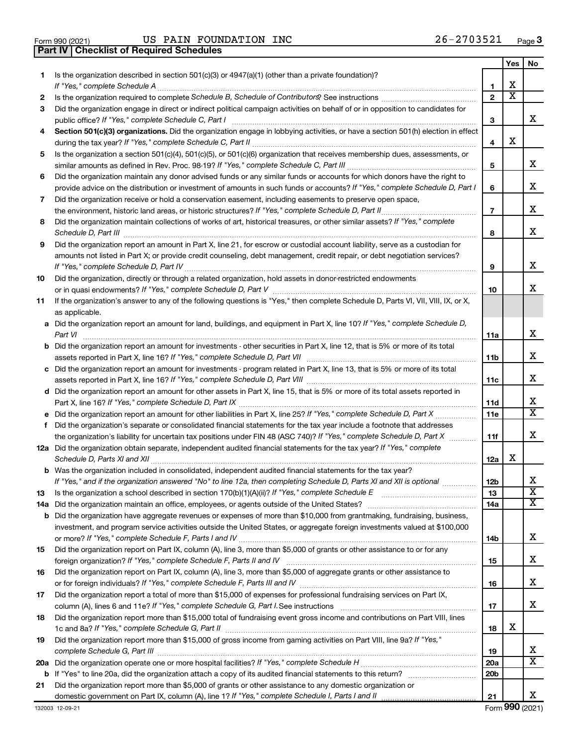Form 990 (2021)  $US$  PAIN FOUNDATION INC  $26-2703521$  Page **Part IV Checklist of Required Schedules**

|          |                                                                                                                                       |                        | Yes | No.                     |
|----------|---------------------------------------------------------------------------------------------------------------------------------------|------------------------|-----|-------------------------|
| 1.       | Is the organization described in section 501(c)(3) or 4947(a)(1) (other than a private foundation)?                                   |                        |     |                         |
|          | If "Yes," complete Schedule A                                                                                                         | 1                      | х   |                         |
| 2        |                                                                                                                                       | $\mathbf{2}$           | X   |                         |
| 3        | Did the organization engage in direct or indirect political campaign activities on behalf of or in opposition to candidates for       |                        |     |                         |
|          | public office? If "Yes," complete Schedule C, Part I                                                                                  | 3                      |     | х                       |
| 4        | Section 501(c)(3) organizations. Did the organization engage in lobbying activities, or have a section 501(h) election in effect      |                        |     |                         |
|          |                                                                                                                                       | 4                      | х   |                         |
| 5        | Is the organization a section 501(c)(4), 501(c)(5), or 501(c)(6) organization that receives membership dues, assessments, or          |                        |     | x                       |
|          | Did the organization maintain any donor advised funds or any similar funds or accounts for which donors have the right to             | 5                      |     |                         |
| 6        | provide advice on the distribution or investment of amounts in such funds or accounts? If "Yes," complete Schedule D, Part I          | 6                      |     | х                       |
| 7        | Did the organization receive or hold a conservation easement, including easements to preserve open space,                             |                        |     |                         |
|          |                                                                                                                                       | $\overline{7}$         |     | х                       |
| 8        | Did the organization maintain collections of works of art, historical treasures, or other similar assets? If "Yes," complete          |                        |     |                         |
|          |                                                                                                                                       | 8                      |     | х                       |
| 9        | Did the organization report an amount in Part X, line 21, for escrow or custodial account liability, serve as a custodian for         |                        |     |                         |
|          | amounts not listed in Part X; or provide credit counseling, debt management, credit repair, or debt negotiation services?             |                        |     |                         |
|          |                                                                                                                                       | 9                      |     | х                       |
| 10       | Did the organization, directly or through a related organization, hold assets in donor-restricted endowments                          |                        |     |                         |
|          |                                                                                                                                       | 10                     |     | x                       |
| 11       | If the organization's answer to any of the following questions is "Yes," then complete Schedule D, Parts VI, VII, VIII, IX, or X,     |                        |     |                         |
|          | as applicable.                                                                                                                        |                        |     |                         |
|          | a Did the organization report an amount for land, buildings, and equipment in Part X, line 10? If "Yes," complete Schedule D,         |                        |     |                         |
|          | Part VI                                                                                                                               | 11a                    |     | х                       |
|          | <b>b</b> Did the organization report an amount for investments - other securities in Part X, line 12, that is 5% or more of its total |                        |     |                         |
|          |                                                                                                                                       | 11 <sub>b</sub>        |     | x                       |
|          | c Did the organization report an amount for investments - program related in Part X, line 13, that is 5% or more of its total         |                        |     |                         |
|          |                                                                                                                                       | 11c                    |     | х                       |
|          | d Did the organization report an amount for other assets in Part X, line 15, that is 5% or more of its total assets reported in       |                        |     | х                       |
|          |                                                                                                                                       | 11d<br><b>11e</b>      |     | $\overline{\text{X}}$   |
| f        | Did the organization's separate or consolidated financial statements for the tax year include a footnote that addresses               |                        |     |                         |
|          | the organization's liability for uncertain tax positions under FIN 48 (ASC 740)? If "Yes," complete Schedule D, Part X                | 11f                    |     | x                       |
|          | 12a Did the organization obtain separate, independent audited financial statements for the tax year? If "Yes," complete               |                        |     |                         |
|          |                                                                                                                                       | 12a                    | х   |                         |
|          | <b>b</b> Was the organization included in consolidated, independent audited financial statements for the tax year?                    |                        |     |                         |
|          | If "Yes," and if the organization answered "No" to line 12a, then completing Schedule D, Parts XI and XII is optional                 | 12 <sub>b</sub>        |     | х                       |
| 13       | Is the organization a school described in section 170(b)(1)(A)(ii)? If "Yes," complete Schedule E [ [ [ [ [ [ [ [ ] ]]]               | 13                     |     | $\overline{\textbf{x}}$ |
| 14a      |                                                                                                                                       | 14a                    |     | x                       |
| b        | Did the organization have aggregate revenues or expenses of more than \$10,000 from grantmaking, fundraising, business,               |                        |     |                         |
|          | investment, and program service activities outside the United States, or aggregate foreign investments valued at \$100,000            |                        |     |                         |
|          |                                                                                                                                       | 14b                    |     | x                       |
| 15       | Did the organization report on Part IX, column (A), line 3, more than \$5,000 of grants or other assistance to or for any             |                        |     |                         |
|          |                                                                                                                                       | 15                     |     | x                       |
| 16       | Did the organization report on Part IX, column (A), line 3, more than \$5,000 of aggregate grants or other assistance to              |                        |     |                         |
|          |                                                                                                                                       | 16                     |     | x                       |
| 17       | Did the organization report a total of more than \$15,000 of expenses for professional fundraising services on Part IX,               |                        |     |                         |
|          |                                                                                                                                       | 17                     |     | x                       |
| 18       | Did the organization report more than \$15,000 total of fundraising event gross income and contributions on Part VIII, lines          |                        |     |                         |
|          |                                                                                                                                       | 18                     | х   |                         |
| 19       | Did the organization report more than \$15,000 of gross income from gaming activities on Part VIII, line 9a? If "Yes,"                |                        |     | x                       |
|          |                                                                                                                                       | 19                     |     | $\overline{\text{X}}$   |
| 20a<br>b |                                                                                                                                       | 20a<br>20 <sub>b</sub> |     |                         |
| 21       | Did the organization report more than \$5,000 of grants or other assistance to any domestic organization or                           |                        |     |                         |
|          |                                                                                                                                       | 21                     |     | x                       |
|          |                                                                                                                                       |                        |     |                         |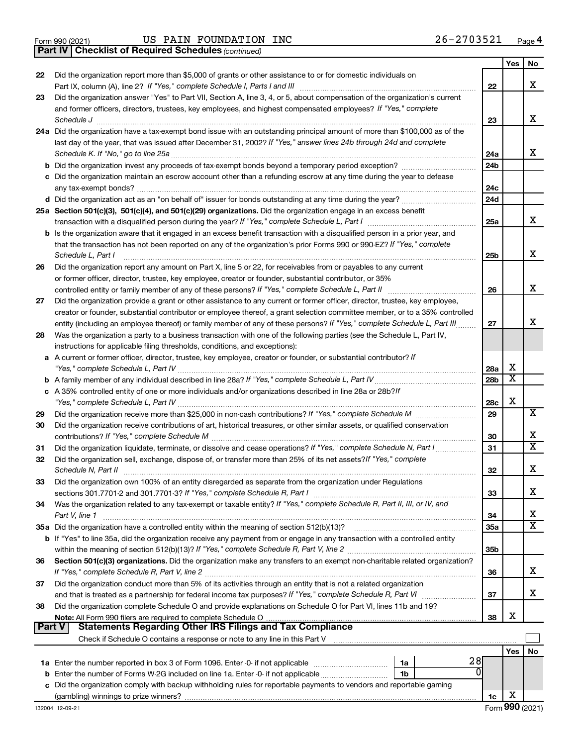*(continued)* **Part IV Checklist of Required Schedules**

|          |                                                                                                                                    |                 | Yes | No |
|----------|------------------------------------------------------------------------------------------------------------------------------------|-----------------|-----|----|
| 22       | Did the organization report more than \$5,000 of grants or other assistance to or for domestic individuals on                      |                 |     |    |
|          |                                                                                                                                    | 22              |     | x  |
| 23       | Did the organization answer "Yes" to Part VII, Section A, line 3, 4, or 5, about compensation of the organization's current        |                 |     |    |
|          | and former officers, directors, trustees, key employees, and highest compensated employees? If "Yes," complete                     |                 |     |    |
|          | Schedule J                                                                                                                         | 23              |     | х  |
|          | 24a Did the organization have a tax-exempt bond issue with an outstanding principal amount of more than \$100,000 as of the        |                 |     |    |
|          | last day of the year, that was issued after December 31, 2002? If "Yes," answer lines 24b through 24d and complete                 |                 |     |    |
|          |                                                                                                                                    | 24a             |     | x  |
|          |                                                                                                                                    | 24 <sub>b</sub> |     |    |
|          | c Did the organization maintain an escrow account other than a refunding escrow at any time during the year to defease             |                 |     |    |
|          | any tax-exempt bonds?                                                                                                              | 24c             |     |    |
|          |                                                                                                                                    | 24d             |     |    |
|          | 25a Section 501(c)(3), 501(c)(4), and 501(c)(29) organizations. Did the organization engage in an excess benefit                   |                 |     |    |
|          |                                                                                                                                    | 25a             |     | x  |
|          | b Is the organization aware that it engaged in an excess benefit transaction with a disqualified person in a prior year, and       |                 |     |    |
|          | that the transaction has not been reported on any of the organization's prior Forms 990 or 990-EZ? If "Yes," complete              |                 |     |    |
|          | Schedule L, Part I                                                                                                                 | 25b             |     | x  |
| 26       | Did the organization report any amount on Part X, line 5 or 22, for receivables from or payables to any current                    |                 |     |    |
|          | or former officer, director, trustee, key employee, creator or founder, substantial contributor, or 35%                            |                 |     |    |
|          | controlled entity or family member of any of these persons? If "Yes," complete Schedule L, Part II                                 | 26              |     | х  |
| 27       | Did the organization provide a grant or other assistance to any current or former officer, director, trustee, key employee,        |                 |     |    |
|          | creator or founder, substantial contributor or employee thereof, a grant selection committee member, or to a 35% controlled        |                 |     |    |
|          | entity (including an employee thereof) or family member of any of these persons? If "Yes," complete Schedule L, Part III           | 27              |     | x  |
| 28       | Was the organization a party to a business transaction with one of the following parties (see the Schedule L, Part IV,             |                 |     |    |
|          | instructions for applicable filing thresholds, conditions, and exceptions):                                                        |                 |     |    |
|          | a A current or former officer, director, trustee, key employee, creator or founder, or substantial contributor? If                 |                 | х   |    |
|          |                                                                                                                                    | 28a             | х   |    |
|          |                                                                                                                                    | 28 <sub>b</sub> |     |    |
|          | c A 35% controlled entity of one or more individuals and/or organizations described in line 28a or 28b?If                          |                 | х   |    |
|          |                                                                                                                                    | 28c             |     | х  |
| 29       |                                                                                                                                    | 29              |     |    |
| 30       | Did the organization receive contributions of art, historical treasures, or other similar assets, or qualified conservation        |                 |     | х  |
|          |                                                                                                                                    | 30<br>31        |     | X  |
| 31       | Did the organization liquidate, terminate, or dissolve and cease operations? If "Yes," complete Schedule N, Part I                 |                 |     |    |
| 32       | Did the organization sell, exchange, dispose of, or transfer more than 25% of its net assets? If "Yes," complete                   | 32              |     | х  |
|          | Schedule N, Part II                                                                                                                |                 |     |    |
| 33       | Did the organization own 100% of an entity disregarded as separate from the organization under Regulations                         | 33              |     | х  |
| 34       | Was the organization related to any tax-exempt or taxable entity? If "Yes," complete Schedule R, Part II, III, or IV, and          |                 |     |    |
|          | Part V, line 1                                                                                                                     | 34              |     | х  |
|          |                                                                                                                                    | 35a             |     | x  |
|          | <b>b</b> If "Yes" to line 35a, did the organization receive any payment from or engage in any transaction with a controlled entity |                 |     |    |
|          |                                                                                                                                    | 35 <sub>b</sub> |     |    |
| 36       | Section 501(c)(3) organizations. Did the organization make any transfers to an exempt non-charitable related organization?         |                 |     |    |
|          |                                                                                                                                    | 36              |     | x  |
| 37       | Did the organization conduct more than 5% of its activities through an entity that is not a related organization                   |                 |     |    |
|          |                                                                                                                                    | 37              |     | x  |
| 38       | Did the organization complete Schedule O and provide explanations on Schedule O for Part VI, lines 11b and 19?                     |                 |     |    |
|          |                                                                                                                                    | 38              | х   |    |
| ∣ Part V | <b>Statements Regarding Other IRS Filings and Tax Compliance</b>                                                                   |                 |     |    |
|          |                                                                                                                                    |                 |     |    |
|          |                                                                                                                                    |                 | Yes | No |
|          | 28<br><b>1a</b> Enter the number reported in box 3 of Form 1096. Enter -0- if not applicable <i>manumerane community</i><br>1a     |                 |     |    |
|          | 0<br><b>b</b> Enter the number of Forms W-2G included on line 1a. Enter -0- if not applicable<br>1b                                |                 |     |    |
|          | c Did the organization comply with backup withholding rules for reportable payments to vendors and reportable gaming               |                 |     |    |
|          |                                                                                                                                    | 1c              | х   |    |
|          |                                                                                                                                    |                 |     |    |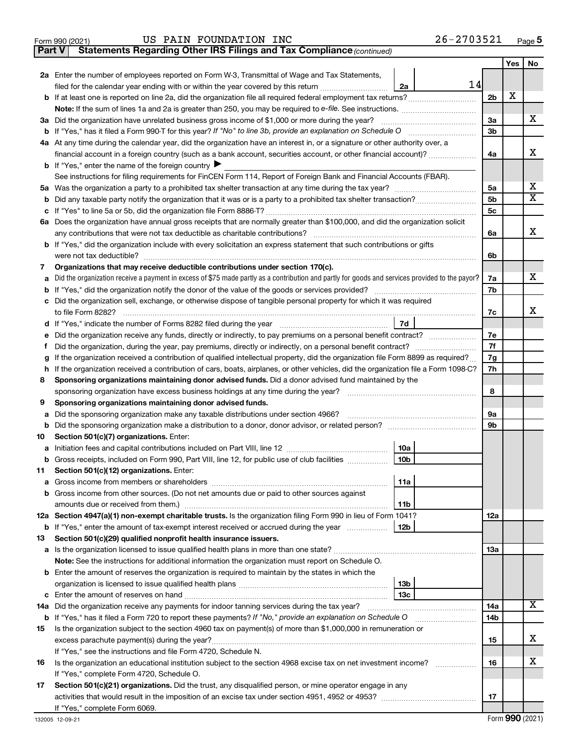| Form 990 (2021) | US PAIN FOUNDATION INC | 26-2703521<br>Page 5 |
|-----------------|------------------------|----------------------|
|-----------------|------------------------|----------------------|

**Part V** Statements Regarding Other IRS Filings and Tax Compliance (continued)

|     |                                                                                                                                                 |                 | Yes | No                      |  |  |  |  |
|-----|-------------------------------------------------------------------------------------------------------------------------------------------------|-----------------|-----|-------------------------|--|--|--|--|
|     | 2a Enter the number of employees reported on Form W-3, Transmittal of Wage and Tax Statements,                                                  |                 |     |                         |  |  |  |  |
|     | 14<br>filed for the calendar year ending with or within the year covered by this return <i></i><br>2a                                           |                 |     |                         |  |  |  |  |
|     |                                                                                                                                                 | 2 <sub>b</sub>  | х   |                         |  |  |  |  |
|     |                                                                                                                                                 |                 |     |                         |  |  |  |  |
|     | 3a Did the organization have unrelated business gross income of \$1,000 or more during the year?                                                | За              |     | х                       |  |  |  |  |
|     |                                                                                                                                                 | 3b              |     |                         |  |  |  |  |
|     | 4a At any time during the calendar year, did the organization have an interest in, or a signature or other authority over, a                    |                 |     |                         |  |  |  |  |
|     | financial account in a foreign country (such as a bank account, securities account, or other financial account)?                                | 4a              |     | х                       |  |  |  |  |
|     | <b>b</b> If "Yes," enter the name of the foreign country                                                                                        |                 |     |                         |  |  |  |  |
|     | See instructions for filing requirements for FinCEN Form 114, Report of Foreign Bank and Financial Accounts (FBAR).                             |                 |     | x                       |  |  |  |  |
| 5а  |                                                                                                                                                 | 5а<br>5b        |     | $\overline{\textbf{X}}$ |  |  |  |  |
| b   |                                                                                                                                                 | 5 <sub>c</sub>  |     |                         |  |  |  |  |
| c   | 6a Does the organization have annual gross receipts that are normally greater than \$100,000, and did the organization solicit                  |                 |     |                         |  |  |  |  |
|     |                                                                                                                                                 | 6a              |     | х                       |  |  |  |  |
|     | <b>b</b> If "Yes," did the organization include with every solicitation an express statement that such contributions or gifts                   |                 |     |                         |  |  |  |  |
|     | were not tax deductible?                                                                                                                        |                 |     |                         |  |  |  |  |
| 7   | Organizations that may receive deductible contributions under section 170(c).                                                                   | 6b              |     |                         |  |  |  |  |
| a   | Did the organization receive a payment in excess of \$75 made partly as a contribution and partly for goods and services provided to the payor? | 7a              |     | х                       |  |  |  |  |
| b   |                                                                                                                                                 | 7b              |     |                         |  |  |  |  |
| c   | Did the organization sell, exchange, or otherwise dispose of tangible personal property for which it was required                               |                 |     |                         |  |  |  |  |
|     | to file Form 8282?                                                                                                                              | 7c              |     | х                       |  |  |  |  |
| d   | 7d                                                                                                                                              |                 |     |                         |  |  |  |  |
| е   | Did the organization receive any funds, directly or indirectly, to pay premiums on a personal benefit contract?                                 | 7e              |     |                         |  |  |  |  |
| f.  | Did the organization, during the year, pay premiums, directly or indirectly, on a personal benefit contract?                                    | 7f              |     |                         |  |  |  |  |
| g   | If the organization received a contribution of qualified intellectual property, did the organization file Form 8899 as required?                |                 |     |                         |  |  |  |  |
| h   | If the organization received a contribution of cars, boats, airplanes, or other vehicles, did the organization file a Form 1098-C?<br>7h        |                 |     |                         |  |  |  |  |
| 8   | Sponsoring organizations maintaining donor advised funds. Did a donor advised fund maintained by the                                            |                 |     |                         |  |  |  |  |
|     |                                                                                                                                                 |                 |     |                         |  |  |  |  |
| 9   | Sponsoring organizations maintaining donor advised funds.                                                                                       |                 |     |                         |  |  |  |  |
| a   | Did the sponsoring organization make any taxable distributions under section 4966?                                                              | 9а              |     |                         |  |  |  |  |
| b   | Did the sponsoring organization make a distribution to a donor, donor advisor, or related person? [[[[[[[[[[[                                   | 9b              |     |                         |  |  |  |  |
| 10  | Section 501(c)(7) organizations. Enter:                                                                                                         |                 |     |                         |  |  |  |  |
| а   | 10a<br>10 <sub>b</sub>                                                                                                                          |                 |     |                         |  |  |  |  |
| b   | Gross receipts, included on Form 990, Part VIII, line 12, for public use of club facilities                                                     |                 |     |                         |  |  |  |  |
| 11. | Section 501(c)(12) organizations. Enter:<br>  11a<br>a Gross income from members or shareholders                                                |                 |     |                         |  |  |  |  |
|     | <b>b</b> Gross income from other sources. (Do not net amounts due or paid to other sources against                                              |                 |     |                         |  |  |  |  |
|     | 11b                                                                                                                                             |                 |     |                         |  |  |  |  |
|     | 12a Section 4947(a)(1) non-exempt charitable trusts. Is the organization filing Form 990 in lieu of Form 1041?                                  | 12a             |     |                         |  |  |  |  |
|     | 12b<br><b>b</b> If "Yes," enter the amount of tax-exempt interest received or accrued during the year                                           |                 |     |                         |  |  |  |  |
| 13  | Section 501(c)(29) qualified nonprofit health insurance issuers.                                                                                |                 |     |                         |  |  |  |  |
|     |                                                                                                                                                 | 13a             |     |                         |  |  |  |  |
|     | Note: See the instructions for additional information the organization must report on Schedule O.                                               |                 |     |                         |  |  |  |  |
|     | <b>b</b> Enter the amount of reserves the organization is required to maintain by the states in which the                                       |                 |     |                         |  |  |  |  |
|     | 13 <sub>b</sub>                                                                                                                                 |                 |     |                         |  |  |  |  |
|     | 13 <sub>c</sub>                                                                                                                                 |                 |     |                         |  |  |  |  |
|     | 14a Did the organization receive any payments for indoor tanning services during the tax year?                                                  | 14a             |     | х                       |  |  |  |  |
|     | <b>b</b> If "Yes," has it filed a Form 720 to report these payments? If "No," provide an explanation on Schedule O                              | 14 <sub>b</sub> |     |                         |  |  |  |  |
| 15  | Is the organization subject to the section 4960 tax on payment(s) of more than \$1,000,000 in remuneration or                                   |                 |     |                         |  |  |  |  |
|     |                                                                                                                                                 |                 |     |                         |  |  |  |  |
|     | If "Yes," see the instructions and file Form 4720, Schedule N.                                                                                  |                 |     |                         |  |  |  |  |
| 16  | Is the organization an educational institution subject to the section 4968 excise tax on net investment income?                                 | 16              |     | х                       |  |  |  |  |
|     | If "Yes," complete Form 4720, Schedule O.                                                                                                       |                 |     |                         |  |  |  |  |
| 17  | Section 501(c)(21) organizations. Did the trust, any disqualified person, or mine operator engage in any                                        |                 |     |                         |  |  |  |  |
|     | If "Yes," complete Form 6069.                                                                                                                   | 17              |     |                         |  |  |  |  |
|     |                                                                                                                                                 |                 |     |                         |  |  |  |  |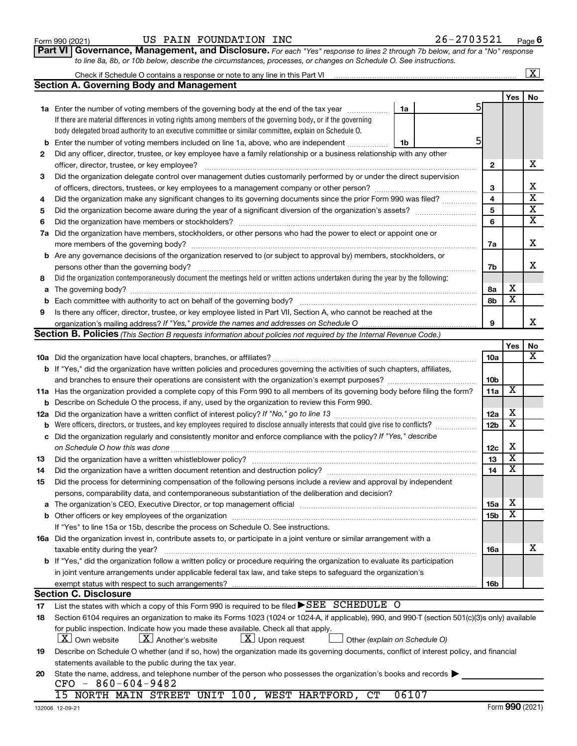| Form 990 (2021) |  |
|-----------------|--|
|-----------------|--|

### Form 990 (2021)  $US$  PAIN FOUNDATION INC  $26-2703521$  Page

**Part VI** Governance, Management, and Disclosure. For each "Yes" response to lines 2 through 7b below, and for a "No" response *to line 8a, 8b, or 10b below, describe the circumstances, processes, or changes on Schedule O. See instructions.*

|     |                                                                                                                                                                                                                               |     |                         | $\overline{\mathbf{x}}$ |
|-----|-------------------------------------------------------------------------------------------------------------------------------------------------------------------------------------------------------------------------------|-----|-------------------------|-------------------------|
|     | <b>Section A. Governing Body and Management</b>                                                                                                                                                                               |     |                         |                         |
|     |                                                                                                                                                                                                                               |     | Yes                     | No                      |
|     | 1a Enter the number of voting members of the governing body at the end of the tax year<br>1a                                                                                                                                  |     |                         |                         |
|     | If there are material differences in voting rights among members of the governing body, or if the governing                                                                                                                   |     |                         |                         |
|     | body delegated broad authority to an executive committee or similar committee, explain on Schedule O.                                                                                                                         |     |                         |                         |
| b   | Enter the number of voting members included on line 1a, above, who are independent<br>1b                                                                                                                                      | 5   |                         |                         |
| 2   | Did any officer, director, trustee, or key employee have a family relationship or a business relationship with any other                                                                                                      |     |                         |                         |
|     | officer, director, trustee, or key employee?                                                                                                                                                                                  | 2   |                         | х                       |
| 3   | Did the organization delegate control over management duties customarily performed by or under the direct supervision                                                                                                         |     |                         |                         |
|     |                                                                                                                                                                                                                               | 3   |                         | х                       |
| 4   | Did the organization make any significant changes to its governing documents since the prior Form 990 was filed?                                                                                                              | 4   |                         | $\overline{\textbf{x}}$ |
| 5   |                                                                                                                                                                                                                               | 5   |                         | $\overline{\mathbf{X}}$ |
| 6   | Did the organization have members or stockholders?                                                                                                                                                                            | 6   |                         | $\overline{\textbf{X}}$ |
| 7a  | Did the organization have members, stockholders, or other persons who had the power to elect or appoint one or                                                                                                                |     |                         |                         |
|     |                                                                                                                                                                                                                               | 7a  |                         | х                       |
|     | <b>b</b> Are any governance decisions of the organization reserved to (or subject to approval by) members, stockholders, or                                                                                                   |     |                         |                         |
|     | persons other than the governing body?                                                                                                                                                                                        | 7b  |                         | x                       |
| 8   | Did the organization contemporaneously document the meetings held or written actions undertaken during the year by the following:                                                                                             |     |                         |                         |
| а   |                                                                                                                                                                                                                               | 8а  | х                       |                         |
| b   | Each committee with authority to act on behalf of the governing body?                                                                                                                                                         | 8b  | $\overline{\mathbf{x}}$ |                         |
| 9   | Is there any officer, director, trustee, or key employee listed in Part VII, Section A, who cannot be reached at the                                                                                                          |     |                         |                         |
|     |                                                                                                                                                                                                                               | 9   |                         | х                       |
|     | Section B. Policies (This Section B requests information about policies not required by the Internal Revenue Code.)                                                                                                           |     |                         |                         |
|     |                                                                                                                                                                                                                               |     | Yes                     | No                      |
|     |                                                                                                                                                                                                                               | 10a |                         | х                       |
|     | <b>b</b> If "Yes," did the organization have written policies and procedures governing the activities of such chapters, affiliates,                                                                                           |     |                         |                         |
|     |                                                                                                                                                                                                                               | 10b |                         |                         |
|     | 11a Has the organization provided a complete copy of this Form 990 to all members of its governing body before filing the form?                                                                                               | 11a | X                       |                         |
| b   | Describe on Schedule O the process, if any, used by the organization to review this Form 990.                                                                                                                                 |     |                         |                         |
| 12a |                                                                                                                                                                                                                               | 12a | х                       |                         |
| b   | Were officers, directors, or trustees, and key employees required to disclose annually interests that could give rise to conflicts?                                                                                           | 12b | $\overline{\textbf{x}}$ |                         |
| с   | Did the organization regularly and consistently monitor and enforce compliance with the policy? If "Yes," describe                                                                                                            |     |                         |                         |
|     |                                                                                                                                                                                                                               | 12c | X                       |                         |
| 13  | Did the organization have a written whistleblower policy?                                                                                                                                                                     | 13  | $\overline{\textbf{x}}$ |                         |
| 14  |                                                                                                                                                                                                                               | 14  | $\overline{\textbf{x}}$ |                         |
| 15  | Did the process for determining compensation of the following persons include a review and approval by independent                                                                                                            |     |                         |                         |
|     | persons, comparability data, and contemporaneous substantiation of the deliberation and decision?                                                                                                                             |     |                         |                         |
|     | The organization's CEO, Executive Director, or top management official manufactured content content of the organization's CEO, Executive Director, or top management official manufactured content of the original content of | 15a | х                       |                         |
|     |                                                                                                                                                                                                                               | 15b | $\overline{\textbf{x}}$ |                         |
|     | If "Yes" to line 15a or 15b, describe the process on Schedule O. See instructions.                                                                                                                                            |     |                         |                         |
|     | 16a Did the organization invest in, contribute assets to, or participate in a joint venture or similar arrangement with a                                                                                                     |     |                         |                         |
|     | taxable entity during the year?                                                                                                                                                                                               | 16a |                         | x                       |
|     | b If "Yes," did the organization follow a written policy or procedure requiring the organization to evaluate its participation                                                                                                |     |                         |                         |
|     | in joint venture arrangements under applicable federal tax law, and take steps to safeguard the organization's                                                                                                                |     |                         |                         |
|     | exempt status with respect to such arrangements?                                                                                                                                                                              | 16b |                         |                         |
|     | <b>Section C. Disclosure</b>                                                                                                                                                                                                  |     |                         |                         |
| 17  | List the states with which a copy of this Form 990 is required to be filed $\blacktriangleright$ SEE SCHEDULE O                                                                                                               |     |                         |                         |
| 18  | Section 6104 requires an organization to make its Forms 1023 (1024 or 1024-A, if applicable), 990, and 990-T (section 501(c)(3)s only) available                                                                              |     |                         |                         |
|     | for public inspection. Indicate how you made these available. Check all that apply.                                                                                                                                           |     |                         |                         |
|     | $\lfloor x \rfloor$ Upon request<br>$\lfloor X \rfloor$ Own website<br>$\lfloor X \rfloor$ Another's website<br>Other (explain on Schedule O)                                                                                 |     |                         |                         |
| 19  | Describe on Schedule O whether (and if so, how) the organization made its governing documents, conflict of interest policy, and financial                                                                                     |     |                         |                         |
|     | statements available to the public during the tax year.                                                                                                                                                                       |     |                         |                         |
| 20  | State the name, address, and telephone number of the person who possesses the organization's books and records                                                                                                                |     |                         |                         |
|     | $CFO - 860 - 604 - 9482$                                                                                                                                                                                                      |     |                         |                         |
|     | 15 NORTH MAIN STREET UNIT 100, WEST HARTFORD, CT<br>06107                                                                                                                                                                     |     |                         |                         |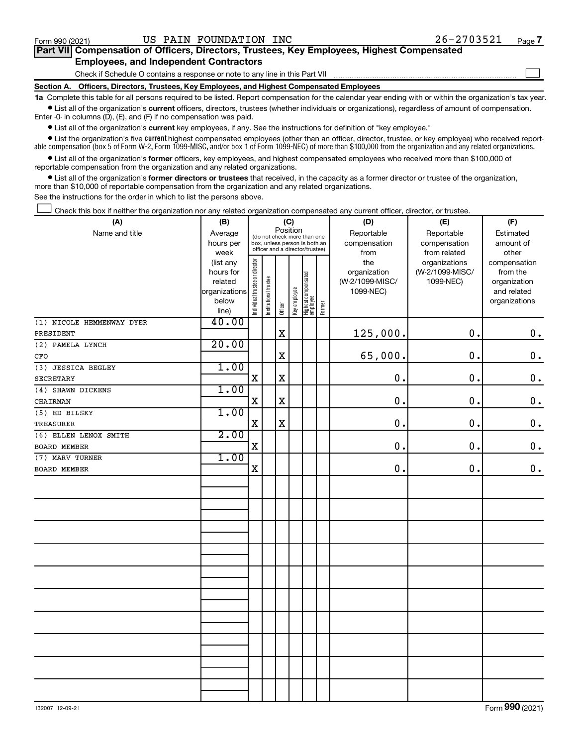$\Box$ 

| Part VII Compensation of Officers, Directors, Trustees, Key Employees, Highest Compensated |  |  |
|--------------------------------------------------------------------------------------------|--|--|
| <b>Employees, and Independent Contractors</b>                                              |  |  |

Check if Schedule O contains a response or note to any line in this Part VII

**Section A. Officers, Directors, Trustees, Key Employees, and Highest Compensated Employees**

**1a**  Complete this table for all persons required to be listed. Report compensation for the calendar year ending with or within the organization's tax year.  $\bullet$  List all of the organization's current officers, directors, trustees (whether individuals or organizations), regardless of amount of compensation.

Enter -0- in columns (D), (E), and (F) if no compensation was paid.

**•** List all of the organization's **current** key employees, if any. See the instructions for definition of "key employee."

• List the organization's five *current* highest compensated employees (other than an officer, director, trustee, or key employee) who received reportable compensation (box 5 of Form W-2, Form 1099-MISC, and/or box 1 of Form 1099-NEC) of more than \$100,000 from the organization and any related organizations.

 $\bullet$  List all of the organization's former officers, key employees, and highest compensated employees who received more than \$100,000 of reportable compensation from the organization and any related organizations.

**•** List all of the organization's former directors or trustees that received, in the capacity as a former director or trustee of the organization, more than \$10,000 of reportable compensation from the organization and any related organizations.

See the instructions for the order in which to list the persons above.

Check this box if neither the organization nor any related organization compensated any current officer, director, or trustee.  $\Box$ 

| (A)                       | (B)                    | (C)                                     |                                 |             |              |                                   |        | (D)             | (E)             | (F)                          |
|---------------------------|------------------------|-----------------------------------------|---------------------------------|-------------|--------------|-----------------------------------|--------|-----------------|-----------------|------------------------------|
| Name and title            | Average                | Position<br>(do not check more than one |                                 |             |              |                                   |        | Reportable      | Reportable      | Estimated                    |
|                           | hours per              |                                         | box, unless person is both an   |             |              |                                   |        | compensation    | compensation    | amount of                    |
|                           | week                   |                                         | officer and a director/trustee) |             |              |                                   |        | from            | from related    | other                        |
|                           | (list any              |                                         |                                 |             |              |                                   |        | the             | organizations   | compensation                 |
|                           | hours for              |                                         |                                 |             |              |                                   |        | organization    | (W-2/1099-MISC/ | from the                     |
|                           | related                |                                         |                                 |             |              |                                   |        | (W-2/1099-MISC/ | 1099-NEC)       | organization                 |
|                           | organizations<br>below |                                         |                                 |             |              |                                   |        | 1099-NEC)       |                 | and related<br>organizations |
|                           | line)                  | Individual trustee or director          | Institutional trustee           | Officer     | Key employee | Highest compensated<br>  employee | Former |                 |                 |                              |
| (1) NICOLE HEMMENWAY DYER | 40.00                  |                                         |                                 |             |              |                                   |        |                 |                 |                              |
| PRESIDENT                 |                        |                                         |                                 | $\mathbf X$ |              |                                   |        | 125,000.        | 0.              | $\mathbf 0$ .                |
| (2) PAMELA LYNCH          | 20.00                  |                                         |                                 |             |              |                                   |        |                 |                 |                              |
| CFO                       |                        |                                         |                                 | $\mathbf X$ |              |                                   |        | 65,000.         | 0.              | $\mathbf 0$ .                |
| (3) JESSICA BEGLEY        | 1.00                   |                                         |                                 |             |              |                                   |        |                 |                 |                              |
| <b>SECRETARY</b>          |                        | $\mathbf X$                             |                                 | $\mathbf x$ |              |                                   |        | $\mathbf 0$ .   | $\mathbf 0$ .   | $\mathbf 0$ .                |
| (4) SHAWN DICKENS         | 1.00                   |                                         |                                 |             |              |                                   |        |                 |                 |                              |
| CHAIRMAN                  |                        | $\mathbf X$                             |                                 | $\mathbf X$ |              |                                   |        | $\mathbf 0$ .   | $\mathbf 0$ .   | $\mathbf 0$ .                |
| (5) ED BILSKY             | 1.00                   |                                         |                                 |             |              |                                   |        |                 |                 |                              |
| <b>TREASURER</b>          |                        | $\mathbf X$                             |                                 | $\mathbf X$ |              |                                   |        | 0.              | 0.              | $0$ .                        |
| (6) ELLEN LENOX SMITH     | 2.00                   |                                         |                                 |             |              |                                   |        |                 |                 |                              |
| BOARD MEMBER              |                        | $\mathbf X$                             |                                 |             |              |                                   |        | $\mathbf 0$ .   | 0.              | $0$ .                        |
| (7) MARV TURNER           | 1.00                   |                                         |                                 |             |              |                                   |        |                 |                 |                              |
| BOARD MEMBER              |                        | $\mathbf X$                             |                                 |             |              |                                   |        | $\mathbf 0$ .   | 0.              | $0$ .                        |
|                           |                        |                                         |                                 |             |              |                                   |        |                 |                 |                              |
|                           |                        |                                         |                                 |             |              |                                   |        |                 |                 |                              |
|                           |                        |                                         |                                 |             |              |                                   |        |                 |                 |                              |
|                           |                        |                                         |                                 |             |              |                                   |        |                 |                 |                              |
|                           |                        |                                         |                                 |             |              |                                   |        |                 |                 |                              |
|                           |                        |                                         |                                 |             |              |                                   |        |                 |                 |                              |
|                           |                        |                                         |                                 |             |              |                                   |        |                 |                 |                              |
|                           |                        |                                         |                                 |             |              |                                   |        |                 |                 |                              |
|                           |                        |                                         |                                 |             |              |                                   |        |                 |                 |                              |
|                           |                        |                                         |                                 |             |              |                                   |        |                 |                 |                              |
|                           |                        |                                         |                                 |             |              |                                   |        |                 |                 |                              |
|                           |                        |                                         |                                 |             |              |                                   |        |                 |                 |                              |
|                           |                        |                                         |                                 |             |              |                                   |        |                 |                 |                              |
|                           |                        |                                         |                                 |             |              |                                   |        |                 |                 |                              |
|                           |                        |                                         |                                 |             |              |                                   |        |                 |                 |                              |
|                           |                        |                                         |                                 |             |              |                                   |        |                 |                 |                              |
|                           |                        |                                         |                                 |             |              |                                   |        |                 |                 |                              |
|                           |                        |                                         |                                 |             |              |                                   |        |                 |                 |                              |
|                           |                        |                                         |                                 |             |              |                                   |        |                 |                 |                              |
|                           |                        |                                         |                                 |             |              |                                   |        |                 |                 |                              |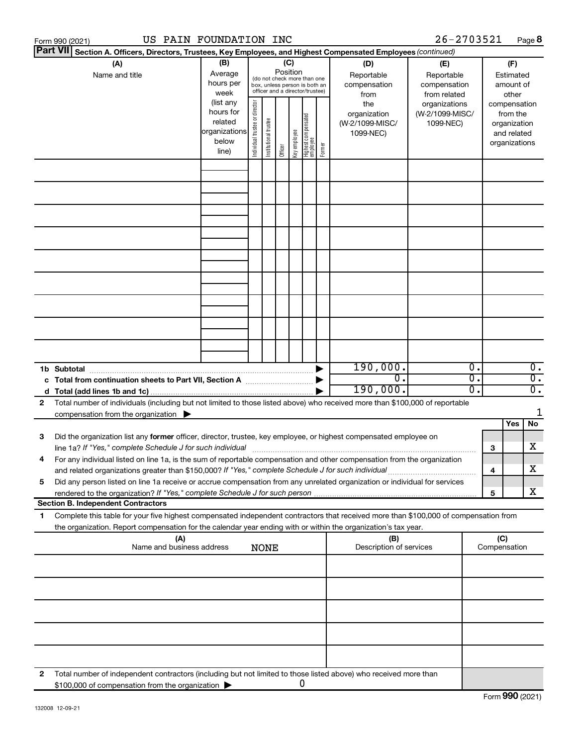|    | US PAIN FOUNDATION INC<br>Form 990 (2021)                                                                                                                                                                                                              |                                                                      |                                |                       |                                                                                                                                                                 |              |                                   |        |                                                     | 26-2703521                                    |                                                            |                                        |                                         | Page 8                               |
|----|--------------------------------------------------------------------------------------------------------------------------------------------------------------------------------------------------------------------------------------------------------|----------------------------------------------------------------------|--------------------------------|-----------------------|-----------------------------------------------------------------------------------------------------------------------------------------------------------------|--------------|-----------------------------------|--------|-----------------------------------------------------|-----------------------------------------------|------------------------------------------------------------|----------------------------------------|-----------------------------------------|--------------------------------------|
|    | <b>Part VII</b><br>Section A. Officers, Directors, Trustees, Key Employees, and Highest Compensated Employees (continued)                                                                                                                              |                                                                      |                                |                       |                                                                                                                                                                 |              |                                   |        |                                                     |                                               |                                                            |                                        |                                         |                                      |
|    | (A)<br>Name and title                                                                                                                                                                                                                                  | (B)<br>Average<br>hours per<br>week                                  |                                |                       | (C)<br>(D)<br>Position<br>Reportable<br>(do not check more than one<br>compensation<br>box, unless person is both an<br>officer and a director/trustee)<br>from |              |                                   |        |                                                     |                                               | compensation                                               | (F)<br>Estimated<br>amount of<br>other |                                         |                                      |
|    |                                                                                                                                                                                                                                                        | (list any<br>hours for<br>related<br>organizations<br>below<br>line) | Individual trustee or director | Institutional trustee | Officer                                                                                                                                                         | Key employee | Highest compensated<br>  employee | Former | the<br>organization<br>(W-2/1099-MISC/<br>1099-NEC) | organizations<br>(W-2/1099-MISC/<br>1099-NEC) |                                                            | compensation<br>organizations          | from the<br>organization<br>and related |                                      |
|    |                                                                                                                                                                                                                                                        |                                                                      |                                |                       |                                                                                                                                                                 |              |                                   |        |                                                     |                                               |                                                            |                                        |                                         |                                      |
|    |                                                                                                                                                                                                                                                        |                                                                      |                                |                       |                                                                                                                                                                 |              |                                   |        |                                                     |                                               |                                                            |                                        |                                         |                                      |
|    |                                                                                                                                                                                                                                                        |                                                                      |                                |                       |                                                                                                                                                                 |              |                                   |        |                                                     |                                               |                                                            |                                        |                                         |                                      |
|    |                                                                                                                                                                                                                                                        |                                                                      |                                |                       |                                                                                                                                                                 |              |                                   |        |                                                     |                                               |                                                            |                                        |                                         |                                      |
|    |                                                                                                                                                                                                                                                        |                                                                      |                                |                       |                                                                                                                                                                 |              |                                   |        |                                                     |                                               |                                                            |                                        |                                         |                                      |
|    |                                                                                                                                                                                                                                                        |                                                                      |                                |                       |                                                                                                                                                                 |              |                                   |        |                                                     |                                               |                                                            |                                        |                                         |                                      |
|    |                                                                                                                                                                                                                                                        |                                                                      |                                |                       |                                                                                                                                                                 |              |                                   |        |                                                     |                                               |                                                            |                                        |                                         |                                      |
|    |                                                                                                                                                                                                                                                        |                                                                      |                                |                       |                                                                                                                                                                 |              |                                   |        |                                                     |                                               |                                                            |                                        |                                         |                                      |
|    | 1b Subtotal                                                                                                                                                                                                                                            |                                                                      |                                |                       |                                                                                                                                                                 |              |                                   |        | 190,000.<br>σ.                                      |                                               | $\overline{\mathfrak{o}}$ .<br>$\overline{\mathfrak{o}}$ . |                                        |                                         | $\overline{0}$ .<br>$\overline{0}$ . |
|    | c Total from continuation sheets to Part VII, Section A manuscreen continuum                                                                                                                                                                           |                                                                      |                                |                       |                                                                                                                                                                 |              |                                   |        | 190,000.                                            |                                               | $\overline{0}$ .                                           |                                        |                                         | $\overline{0}$ .                     |
| 2  | Total number of individuals (including but not limited to those listed above) who received more than \$100,000 of reportable                                                                                                                           |                                                                      |                                |                       |                                                                                                                                                                 |              |                                   |        |                                                     |                                               |                                                            |                                        |                                         |                                      |
|    | compensation from the organization $\blacktriangleright$                                                                                                                                                                                               |                                                                      |                                |                       |                                                                                                                                                                 |              |                                   |        |                                                     |                                               |                                                            |                                        |                                         | 1                                    |
|    |                                                                                                                                                                                                                                                        |                                                                      |                                |                       |                                                                                                                                                                 |              |                                   |        |                                                     |                                               |                                                            |                                        | Yes                                     | No                                   |
| 3  | Did the organization list any former officer, director, trustee, key employee, or highest compensated employee on                                                                                                                                      |                                                                      |                                |                       |                                                                                                                                                                 |              |                                   |        |                                                     |                                               |                                                            | З                                      |                                         | х                                    |
|    | For any individual listed on line 1a, is the sum of reportable compensation and other compensation from the organization<br>and related organizations greater than \$150,000? If "Yes," complete Schedule J for such individual                        |                                                                      |                                |                       |                                                                                                                                                                 |              |                                   |        |                                                     |                                               |                                                            | 4                                      |                                         | х                                    |
| 5  | Did any person listed on line 1a receive or accrue compensation from any unrelated organization or individual for services                                                                                                                             |                                                                      |                                |                       |                                                                                                                                                                 |              |                                   |        |                                                     |                                               |                                                            | 5                                      |                                         | X                                    |
|    | <b>Section B. Independent Contractors</b>                                                                                                                                                                                                              |                                                                      |                                |                       |                                                                                                                                                                 |              |                                   |        |                                                     |                                               |                                                            |                                        |                                         |                                      |
| 1. | Complete this table for your five highest compensated independent contractors that received more than \$100,000 of compensation from<br>the organization. Report compensation for the calendar year ending with or within the organization's tax year. |                                                                      |                                |                       |                                                                                                                                                                 |              |                                   |        |                                                     |                                               |                                                            |                                        |                                         |                                      |
|    | (A)<br>Name and business address                                                                                                                                                                                                                       |                                                                      |                                | <b>NONE</b>           |                                                                                                                                                                 |              |                                   |        | (B)<br>Description of services                      |                                               |                                                            | (C)<br>Compensation                    |                                         |                                      |
|    |                                                                                                                                                                                                                                                        |                                                                      |                                |                       |                                                                                                                                                                 |              |                                   |        |                                                     |                                               |                                                            |                                        |                                         |                                      |
|    |                                                                                                                                                                                                                                                        |                                                                      |                                |                       |                                                                                                                                                                 |              |                                   |        |                                                     |                                               |                                                            |                                        |                                         |                                      |
|    |                                                                                                                                                                                                                                                        |                                                                      |                                |                       |                                                                                                                                                                 |              |                                   |        |                                                     |                                               |                                                            |                                        |                                         |                                      |
|    |                                                                                                                                                                                                                                                        |                                                                      |                                |                       |                                                                                                                                                                 |              |                                   |        |                                                     |                                               |                                                            |                                        |                                         |                                      |
| 2  | Total number of independent contractors (including but not limited to those listed above) who received more than<br>\$100,000 of compensation from the organization                                                                                    |                                                                      |                                |                       |                                                                                                                                                                 |              | 0                                 |        |                                                     |                                               |                                                            |                                        |                                         |                                      |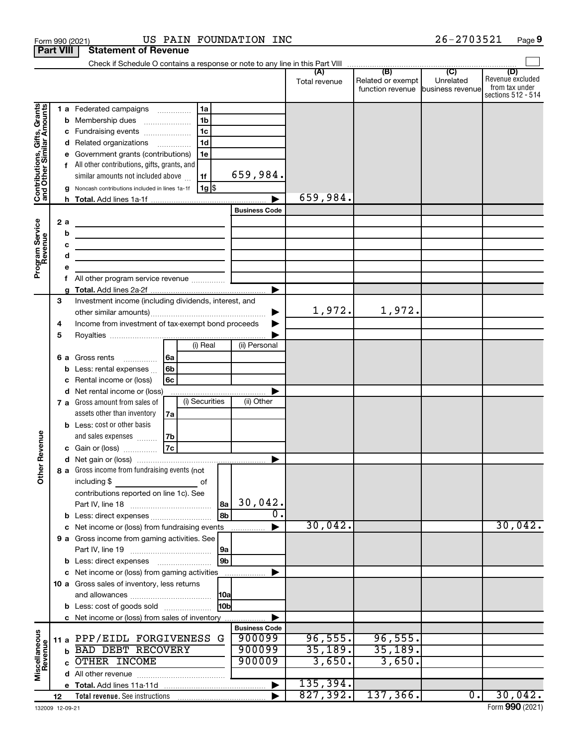|                                                           |                  | US PAIN FOUNDATION INC<br>Form 990 (2021)                                                                             |                      |               |                                                        | 26-2703521       | Page 9                                                   |
|-----------------------------------------------------------|------------------|-----------------------------------------------------------------------------------------------------------------------|----------------------|---------------|--------------------------------------------------------|------------------|----------------------------------------------------------|
|                                                           | <b>Part VIII</b> | <b>Statement of Revenue</b>                                                                                           |                      |               |                                                        |                  |                                                          |
|                                                           |                  |                                                                                                                       |                      |               |                                                        |                  | (D)                                                      |
|                                                           |                  |                                                                                                                       |                      | Total revenue | Related or exempt<br>function revenue business revenue | Unrelated        | Revenue excluded<br>from tax under<br>sections 512 - 514 |
|                                                           |                  | <b>1 a</b> Federated campaigns<br>1a                                                                                  |                      |               |                                                        |                  |                                                          |
| Contributions, Gifts, Grants<br>and Other Similar Amounts |                  | 1 <sub>b</sub><br><b>b</b> Membership dues                                                                            |                      |               |                                                        |                  |                                                          |
|                                                           |                  | 1 <sub>c</sub><br>c Fundraising events                                                                                |                      |               |                                                        |                  |                                                          |
|                                                           |                  | 1 <sub>d</sub><br>d Related organizations                                                                             |                      |               |                                                        |                  |                                                          |
|                                                           |                  | e Government grants (contributions)<br>1e                                                                             |                      |               |                                                        |                  |                                                          |
|                                                           |                  | f All other contributions, gifts, grants, and                                                                         |                      |               |                                                        |                  |                                                          |
|                                                           |                  | similar amounts not included above<br>1f                                                                              | 659,984.             |               |                                                        |                  |                                                          |
|                                                           |                  | $1g$ \$<br>g Noncash contributions included in lines 1a-1f                                                            |                      |               |                                                        |                  |                                                          |
|                                                           |                  |                                                                                                                       |                      | 659,984.      |                                                        |                  |                                                          |
|                                                           |                  |                                                                                                                       | <b>Business Code</b> |               |                                                        |                  |                                                          |
|                                                           | 2a               | <u> 1989 - Johann Barn, mars and de Branch Barn, mars and de Branch Barn, mars and de Branch Barn, mars and de Br</u> |                      |               |                                                        |                  |                                                          |
|                                                           | b                | <u> 1989 - Johann Stein, mars an deus Amerikaansk kommunister (</u>                                                   |                      |               |                                                        |                  |                                                          |
|                                                           | c                | the control of the control of the control of the control of the control of                                            |                      |               |                                                        |                  |                                                          |
|                                                           | d                | the control of the control of the control of the control of the control of                                            |                      |               |                                                        |                  |                                                          |
| Program Service<br>Revenue                                | е                |                                                                                                                       |                      |               |                                                        |                  |                                                          |
|                                                           | f                |                                                                                                                       |                      |               |                                                        |                  |                                                          |
|                                                           | 3                | Investment income (including dividends, interest, and                                                                 |                      |               |                                                        |                  |                                                          |
|                                                           |                  |                                                                                                                       |                      | 1,972.        | 1,972.                                                 |                  |                                                          |
|                                                           | 4                | Income from investment of tax-exempt bond proceeds                                                                    |                      |               |                                                        |                  |                                                          |
|                                                           | 5                |                                                                                                                       |                      |               |                                                        |                  |                                                          |
|                                                           |                  | (i) Real                                                                                                              | (ii) Personal        |               |                                                        |                  |                                                          |
|                                                           | 6а               | l 6a<br>Gross rents<br>$\overline{\phantom{a}}$                                                                       |                      |               |                                                        |                  |                                                          |
|                                                           |                  | 6 <sub>b</sub><br><b>b</b> Less: rental expenses $\ldots$                                                             |                      |               |                                                        |                  |                                                          |
|                                                           | c                | Rental income or (loss)<br>6с                                                                                         |                      |               |                                                        |                  |                                                          |
|                                                           |                  | d Net rental income or (loss)                                                                                         |                      |               |                                                        |                  |                                                          |
|                                                           |                  | (i) Securities<br><b>7 a</b> Gross amount from sales of                                                               | (ii) Other           |               |                                                        |                  |                                                          |
|                                                           |                  | assets other than inventory<br>7a                                                                                     |                      |               |                                                        |                  |                                                          |
|                                                           |                  | <b>b</b> Less: cost or other basis                                                                                    |                      |               |                                                        |                  |                                                          |
| venue                                                     |                  | and sales expenses<br>7b<br>7c                                                                                        |                      |               |                                                        |                  |                                                          |
|                                                           |                  | c Gain or (loss)                                                                                                      |                      |               |                                                        |                  |                                                          |
| Other Re                                                  |                  | 8 a Gross income from fundraising events (not                                                                         |                      |               |                                                        |                  |                                                          |
|                                                           |                  | including \$<br>$\overline{\phantom{a}}$ of                                                                           |                      |               |                                                        |                  |                                                          |
|                                                           |                  | contributions reported on line 1c). See                                                                               |                      |               |                                                        |                  |                                                          |
|                                                           |                  | 8a                                                                                                                    | 30,042.              |               |                                                        |                  |                                                          |
|                                                           |                  | 8b<br>b Less: direct expenses                                                                                         | 0.                   |               |                                                        |                  |                                                          |
|                                                           |                  | c Net income or (loss) from fundraising events<br>.                                                                   |                      | 30,042.       |                                                        |                  | 30,042.                                                  |
|                                                           |                  | 9 a Gross income from gaming activities. See                                                                          |                      |               |                                                        |                  |                                                          |
|                                                           |                  | 9a                                                                                                                    |                      |               |                                                        |                  |                                                          |
|                                                           |                  | 9b                                                                                                                    |                      |               |                                                        |                  |                                                          |
|                                                           |                  | c Net income or (loss) from gaming activities<br>.<br>10 a Gross sales of inventory, less returns                     |                      |               |                                                        |                  |                                                          |
|                                                           |                  | 10a                                                                                                                   |                      |               |                                                        |                  |                                                          |
|                                                           |                  | <b>b</b> Less: cost of goods sold<br>l10bl                                                                            |                      |               |                                                        |                  |                                                          |
|                                                           |                  | <b>c</b> Net income or (loss) from sales of inventory                                                                 |                      |               |                                                        |                  |                                                          |
|                                                           |                  |                                                                                                                       | <b>Business Code</b> |               |                                                        |                  |                                                          |
|                                                           | 11 a             | PPP/EIDL FORGIVENESS G                                                                                                | 900099               | 96,555.       | 96,555.                                                |                  |                                                          |
|                                                           | b                | <b>BAD DEBT RECOVERY</b>                                                                                              | 900099               | 35,189.       | 35,189.                                                |                  |                                                          |
| Miscellaneous<br>Revenue                                  | C                | OTHER INCOME                                                                                                          | 900009               | 3,650.        | 3,650.                                                 |                  |                                                          |
|                                                           |                  |                                                                                                                       |                      |               |                                                        |                  |                                                          |
|                                                           |                  |                                                                                                                       |                      | 135, 394.     |                                                        |                  |                                                          |
|                                                           | 12               |                                                                                                                       |                      | 827,392.      | 137, 366.                                              | $\overline{0}$ . | 30,042.                                                  |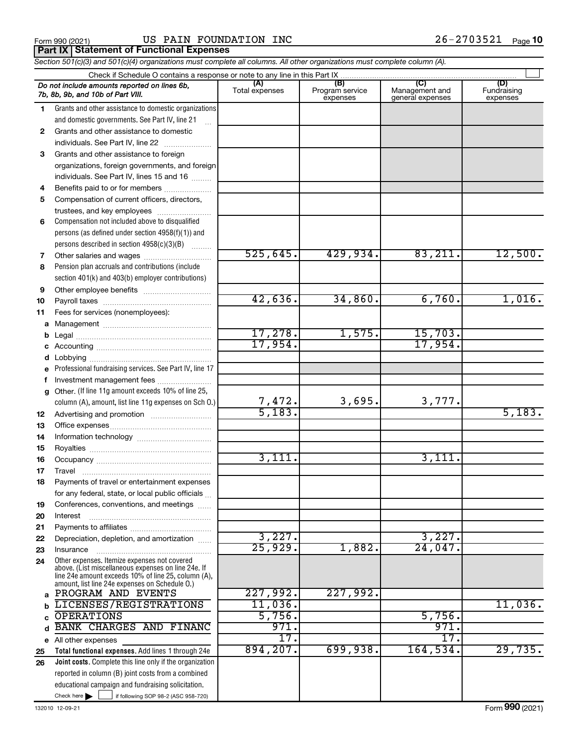|  | Form 990 (2021) |
|--|-----------------|
|  |                 |

#### Form 990 (2021)  $US$  PAIN FOUNDATION INC  $26-2703521$  Page

*Section 501(c)(3) and 501(c)(4) organizations must complete all columns. All other organizations must complete column (A).* **Part IX Statement of Functional Expenses**

|          | Do not include amounts reported on lines 6b,<br>7b, 8b, 9b, and 10b of Part VIII.                     | (A)<br>Total expenses | (B)<br>Program service<br>expenses | (C)<br>Management and<br>general expenses | (D)<br>Fundraising<br>expenses |
|----------|-------------------------------------------------------------------------------------------------------|-----------------------|------------------------------------|-------------------------------------------|--------------------------------|
| 1.       | Grants and other assistance to domestic organizations                                                 |                       |                                    |                                           |                                |
|          | and domestic governments. See Part IV, line 21                                                        |                       |                                    |                                           |                                |
| 2        | Grants and other assistance to domestic                                                               |                       |                                    |                                           |                                |
|          | individuals. See Part IV, line 22                                                                     |                       |                                    |                                           |                                |
| 3.       | Grants and other assistance to foreign                                                                |                       |                                    |                                           |                                |
|          | organizations, foreign governments, and foreign                                                       |                       |                                    |                                           |                                |
|          | individuals. See Part IV, lines 15 and 16                                                             |                       |                                    |                                           |                                |
| 4        | Benefits paid to or for members                                                                       |                       |                                    |                                           |                                |
| 5        | Compensation of current officers, directors,                                                          |                       |                                    |                                           |                                |
|          | trustees, and key employees                                                                           |                       |                                    |                                           |                                |
| 6        | Compensation not included above to disqualified                                                       |                       |                                    |                                           |                                |
|          | persons (as defined under section 4958(f)(1)) and                                                     |                       |                                    |                                           |                                |
|          | persons described in section 4958(c)(3)(B)                                                            |                       |                                    |                                           |                                |
| 7        | Other salaries and wages                                                                              | 525, 645.             | 429,934.                           | 83,211.                                   | 12,500.                        |
| 8        | Pension plan accruals and contributions (include                                                      |                       |                                    |                                           |                                |
|          | section 401(k) and 403(b) employer contributions)                                                     |                       |                                    |                                           |                                |
| 9        |                                                                                                       |                       |                                    |                                           |                                |
| 10       |                                                                                                       | 42,636.               | 34,860.                            | 6,760.                                    | 1,016.                         |
| 11       | Fees for services (nonemployees):                                                                     |                       |                                    |                                           |                                |
| а        |                                                                                                       |                       |                                    |                                           |                                |
| b        |                                                                                                       | 17,278.               | 1,575.                             | 15,703.                                   |                                |
| с        |                                                                                                       | 17,954.               |                                    | 17,954.                                   |                                |
| d        |                                                                                                       |                       |                                    |                                           |                                |
| е        | Professional fundraising services. See Part IV, line 17                                               |                       |                                    |                                           |                                |
| f        | Investment management fees                                                                            |                       |                                    |                                           |                                |
| g        | Other. (If line 11g amount exceeds 10% of line 25,                                                    |                       |                                    |                                           |                                |
|          | column (A), amount, list line 11g expenses on Sch O.)                                                 | $\frac{7,472}{5,183}$ | 3,695.                             | 3,777.                                    |                                |
| 12       |                                                                                                       |                       |                                    |                                           | 5,183.                         |
| 13       |                                                                                                       |                       |                                    |                                           |                                |
| 14       |                                                                                                       |                       |                                    |                                           |                                |
| 15       |                                                                                                       | 3,111.                |                                    | 3,111.                                    |                                |
| 16       |                                                                                                       |                       |                                    |                                           |                                |
| 17       | Travel                                                                                                |                       |                                    |                                           |                                |
| 18       | Payments of travel or entertainment expenses                                                          |                       |                                    |                                           |                                |
|          | for any federal, state, or local public officials                                                     |                       |                                    |                                           |                                |
| 19       | Conferences, conventions, and meetings<br>Interest                                                    |                       |                                    |                                           |                                |
| 20       |                                                                                                       |                       |                                    |                                           |                                |
| 21<br>22 | Depreciation, depletion, and amortization                                                             | 3,227.                |                                    | 3,227.                                    |                                |
| 23       | Insurance                                                                                             | 25,929.               | 1,882.                             | 24,047.                                   |                                |
| 24       | Other expenses. Itemize expenses not covered                                                          |                       |                                    |                                           |                                |
|          | above. (List miscellaneous expenses on line 24e. If                                                   |                       |                                    |                                           |                                |
|          | line 24e amount exceeds 10% of line 25, column (A),<br>amount, list line 24e expenses on Schedule O.) |                       |                                    |                                           |                                |
| a        | PROGRAM AND EVENTS                                                                                    | 227,992.              | 227,992.                           |                                           |                                |
| b        | LICENSES/REGISTRATIONS                                                                                | 11,036.               |                                    |                                           | 11,036.                        |
| c        | <b>OPERATIONS</b>                                                                                     | 5,756.                |                                    | 5,756.                                    |                                |
| d        | BANK CHARGES AND FINANC                                                                               | 971.                  |                                    | 971.                                      |                                |
|          | e All other expenses                                                                                  | 17.                   |                                    | 17.                                       |                                |
| 25       | Total functional expenses. Add lines 1 through 24e                                                    | 894, 207.             | 699,938.                           | 164,534.                                  | 29,735.                        |
| 26       | <b>Joint costs.</b> Complete this line only if the organization                                       |                       |                                    |                                           |                                |
|          | reported in column (B) joint costs from a combined                                                    |                       |                                    |                                           |                                |
|          | educational campaign and fundraising solicitation.                                                    |                       |                                    |                                           |                                |
|          | Check here $\blacktriangleright$<br>if following SOP 98-2 (ASC 958-720)                               |                       |                                    |                                           |                                |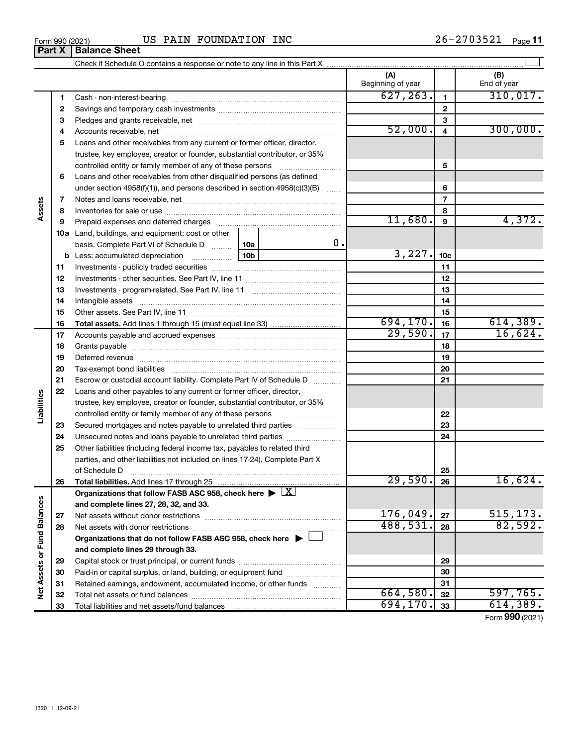| 0000001<br>FOUNDATION<br>PAIN<br>INC<br>US<br>26–<br>7035ZI<br>Form 990 (2021)<br> | Page |
|------------------------------------------------------------------------------------|------|
|------------------------------------------------------------------------------------|------|

Form (2021) **990**

|                             |             |                                                                                                                                                                                                                                |                 |    | (A)<br>Beginning of year |                 | (B)<br>End of year |
|-----------------------------|-------------|--------------------------------------------------------------------------------------------------------------------------------------------------------------------------------------------------------------------------------|-----------------|----|--------------------------|-----------------|--------------------|
|                             | 1           |                                                                                                                                                                                                                                |                 |    | 627, 263.                | 1.              | 310,017.           |
|                             | $\mathbf 2$ |                                                                                                                                                                                                                                |                 |    |                          | $\mathbf{2}$    |                    |
|                             | 3           |                                                                                                                                                                                                                                |                 | 3  |                          |                 |                    |
|                             | 4           |                                                                                                                                                                                                                                |                 |    | 52,000.                  | $\overline{4}$  | 300,000.           |
|                             | 5           | Loans and other receivables from any current or former officer, director,                                                                                                                                                      |                 |    |                          |                 |                    |
|                             |             | trustee, key employee, creator or founder, substantial contributor, or 35%                                                                                                                                                     |                 |    |                          |                 |                    |
|                             |             | controlled entity or family member of any of these persons                                                                                                                                                                     |                 |    |                          | 5               |                    |
|                             | 6           | Loans and other receivables from other disqualified persons (as defined                                                                                                                                                        |                 |    |                          |                 |                    |
|                             |             | under section $4958(f)(1)$ , and persons described in section $4958(c)(3)(B)$                                                                                                                                                  |                 |    |                          | 6               |                    |
|                             | 7           |                                                                                                                                                                                                                                |                 |    |                          | $\overline{7}$  |                    |
| Assets                      | 8           |                                                                                                                                                                                                                                |                 |    |                          | 8               |                    |
|                             | 9           | Prepaid expenses and deferred charges [11] [11] prepaid expenses and deferred charges [11] [11] minimum and the Prepaid expenses and deferred charges [11] minimum and the Prepaid experiment of Prepaid experiment and the Pr |                 |    | 11,680.                  | 9               | 4,372.             |
|                             |             | <b>10a</b> Land, buildings, and equipment: cost or other                                                                                                                                                                       |                 |    |                          |                 |                    |
|                             |             | basis. Complete Part VI of Schedule D    10a                                                                                                                                                                                   |                 | 0. |                          |                 |                    |
|                             |             | <b>b</b> Less: accumulated depreciation                                                                                                                                                                                        | 10 <sub>b</sub> |    | 3,227.                   | 10 <sub>c</sub> |                    |
|                             | 11          |                                                                                                                                                                                                                                |                 |    |                          | 11              |                    |
|                             | 12          |                                                                                                                                                                                                                                |                 |    |                          | 12              |                    |
|                             | 13          |                                                                                                                                                                                                                                |                 |    |                          | 13              |                    |
|                             | 14          |                                                                                                                                                                                                                                |                 |    |                          | 14              |                    |
|                             | 15          |                                                                                                                                                                                                                                |                 | 15 |                          |                 |                    |
|                             | 16          |                                                                                                                                                                                                                                |                 |    | 694, 170.                | 16              | 614, 389.          |
|                             | 17          |                                                                                                                                                                                                                                |                 |    | 29,590.                  | 17              | 16,624.            |
|                             | 18          |                                                                                                                                                                                                                                |                 | 18 |                          |                 |                    |
|                             | 19          |                                                                                                                                                                                                                                |                 |    | 19                       |                 |                    |
|                             | 20          |                                                                                                                                                                                                                                |                 | 20 |                          |                 |                    |
|                             | 21          | Escrow or custodial account liability. Complete Part IV of Schedule D                                                                                                                                                          |                 |    |                          | 21              |                    |
|                             | 22          | Loans and other payables to any current or former officer, director,                                                                                                                                                           |                 |    |                          |                 |                    |
| Liabilities                 |             | trustee, key employee, creator or founder, substantial contributor, or 35%                                                                                                                                                     |                 |    |                          |                 |                    |
|                             |             | controlled entity or family member of any of these persons                                                                                                                                                                     |                 |    |                          | 22              |                    |
|                             | 23          | Secured mortgages and notes payable to unrelated third parties                                                                                                                                                                 |                 |    |                          | 23              |                    |
|                             | 24          |                                                                                                                                                                                                                                |                 |    |                          | 24              |                    |
|                             | 25          | Other liabilities (including federal income tax, payables to related third                                                                                                                                                     |                 |    |                          |                 |                    |
|                             |             | parties, and other liabilities not included on lines 17-24). Complete Part X                                                                                                                                                   |                 |    |                          |                 |                    |
|                             |             | of Schedule D                                                                                                                                                                                                                  |                 |    |                          | 25              |                    |
|                             | 26          | Total liabilities. Add lines 17 through 25                                                                                                                                                                                     |                 |    | 29,590.                  | 26              | 16,624.            |
|                             |             | Organizations that follow FASB ASC 958, check here $\blacktriangleright \lfloor X \rfloor$                                                                                                                                     |                 |    |                          |                 |                    |
|                             |             | and complete lines 27, 28, 32, and 33.                                                                                                                                                                                         |                 |    |                          |                 |                    |
|                             | 27          |                                                                                                                                                                                                                                |                 |    | 176,049.                 | 27              | 515, 173.          |
|                             | 28          |                                                                                                                                                                                                                                |                 |    | 488,531.                 | 28              | 82,592.            |
|                             |             | Organizations that do not follow FASB ASC 958, check here $\blacktriangleright$                                                                                                                                                |                 |    |                          |                 |                    |
| Net Assets or Fund Balances |             | and complete lines 29 through 33.                                                                                                                                                                                              |                 |    |                          |                 |                    |
|                             | 29          |                                                                                                                                                                                                                                |                 |    |                          | 29              |                    |
|                             | 30          | Paid-in or capital surplus, or land, building, or equipment fund                                                                                                                                                               |                 |    |                          | 30              |                    |
|                             | 31          | Retained earnings, endowment, accumulated income, or other funds                                                                                                                                                               |                 |    |                          | 31              |                    |
|                             | 32          |                                                                                                                                                                                                                                |                 |    | 664,580.                 | 32              | 597,765.           |
|                             | 33          |                                                                                                                                                                                                                                |                 |    | 694, 170.                | 33              | 614,389.           |
|                             |             |                                                                                                                                                                                                                                |                 |    |                          |                 |                    |

**Part X** | Balance Sheet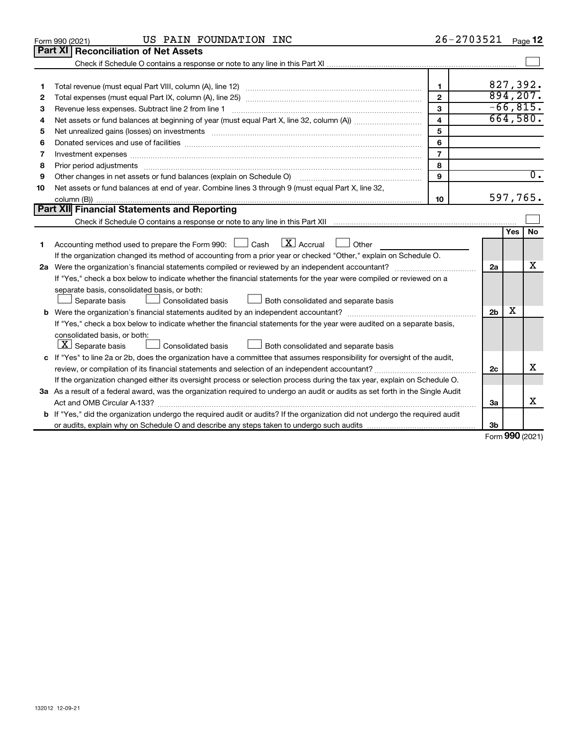|    | US PAIN FOUNDATION INC<br>Form 990 (2021)                                                                                       |                         | 26-2703521     |            | Page 12          |
|----|---------------------------------------------------------------------------------------------------------------------------------|-------------------------|----------------|------------|------------------|
|    | <b>Part XI Reconciliation of Net Assets</b>                                                                                     |                         |                |            |                  |
|    |                                                                                                                                 |                         |                |            |                  |
|    |                                                                                                                                 |                         |                |            |                  |
| 1  |                                                                                                                                 | $\mathbf{1}$            |                |            | 827,392.         |
| 2  |                                                                                                                                 | $\overline{2}$          |                |            | 894, 207.        |
| 3  |                                                                                                                                 | 3                       |                |            | $-66,815.$       |
| 4  |                                                                                                                                 | $\overline{\mathbf{4}}$ |                |            | 664,580.         |
| 5  |                                                                                                                                 | 5                       |                |            |                  |
| 6  |                                                                                                                                 | 6                       |                |            |                  |
| 7  | Investment expenses www.communication.com/www.communication.com/www.communication.com/www.com                                   | $\overline{7}$          |                |            |                  |
| 8  |                                                                                                                                 | 8                       |                |            |                  |
| 9  | Other changes in net assets or fund balances (explain on Schedule O)                                                            | 9                       |                |            | $\overline{0}$ . |
| 10 | Net assets or fund balances at end of year. Combine lines 3 through 9 (must equal Part X, line 32,                              |                         |                |            |                  |
|    |                                                                                                                                 | 10                      |                |            | 597,765.         |
|    | Part XII Financial Statements and Reporting                                                                                     |                         |                |            |                  |
|    |                                                                                                                                 |                         |                |            |                  |
|    |                                                                                                                                 |                         |                | <b>Yes</b> | <b>No</b>        |
| 1  | Accounting method used to prepare the Form 990: $\Box$ Cash $\Box$ Accrual $\Box$ Other                                         |                         |                |            |                  |
|    | If the organization changed its method of accounting from a prior year or checked "Other," explain on Schedule O.               |                         |                |            |                  |
|    |                                                                                                                                 |                         | 2a             |            | x                |
|    | If "Yes," check a box below to indicate whether the financial statements for the year were compiled or reviewed on a            |                         |                |            |                  |
|    | separate basis, consolidated basis, or both:                                                                                    |                         |                |            |                  |
|    | Separate basis<br>Both consolidated and separate basis<br><b>Consolidated basis</b>                                             |                         |                |            |                  |
|    |                                                                                                                                 |                         | 2 <sub>b</sub> | х          |                  |
|    | If "Yes," check a box below to indicate whether the financial statements for the year were audited on a separate basis,         |                         |                |            |                  |
|    | consolidated basis, or both:                                                                                                    |                         |                |            |                  |
|    | $\lfloor x \rfloor$ Separate basis<br>Consolidated basis<br>Both consolidated and separate basis                                |                         |                |            |                  |
|    | c If "Yes" to line 2a or 2b, does the organization have a committee that assumes responsibility for oversight of the audit,     |                         |                |            |                  |
|    |                                                                                                                                 |                         | 2c             |            | х                |
|    | If the organization changed either its oversight process or selection process during the tax year, explain on Schedule O.       |                         |                |            |                  |
|    | 3a As a result of a federal award, was the organization required to undergo an audit or audits as set forth in the Single Audit |                         |                |            |                  |
|    |                                                                                                                                 |                         | 3a             |            | x                |
|    | b If "Yes," did the organization undergo the required audit or audits? If the organization did not undergo the required audit   |                         |                |            |                  |
|    |                                                                                                                                 |                         | 3b             |            |                  |
|    |                                                                                                                                 |                         |                | $\sim$     |                  |

Form (2021) **990**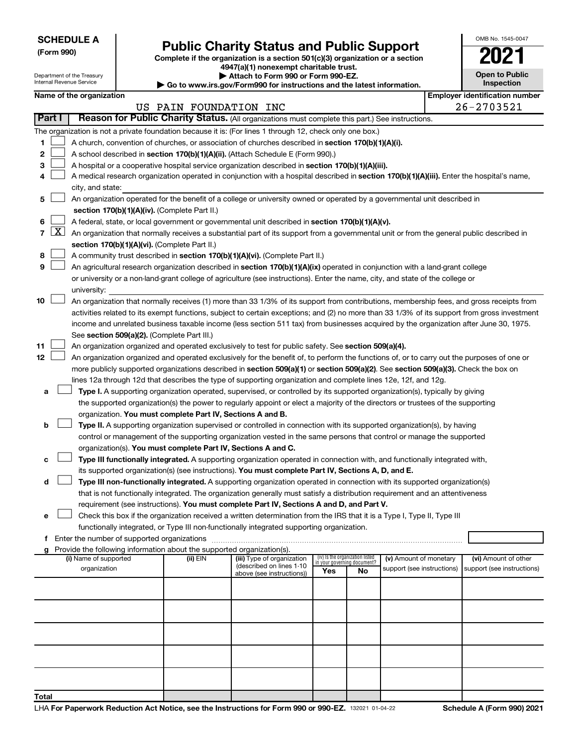| <b>SCHEDULE A</b> |  |
|-------------------|--|
|-------------------|--|

Department of the Treasury Internal Revenue Service

**Total**

# Form 990)<br>
Complete if the organization is a section 501(c)(3) organization or a section<br> **Public Charity Status and Public Support**

**4947(a)(1) nonexempt charitable trust. | Attach to Form 990 or Form 990-EZ.** 

**| Go to www.irs.gov/Form990 for instructions and the latest information.**

| OMB No 1545-0047                    |
|-------------------------------------|
| 1)                                  |
| <b>Open to Public</b><br>Inspection |
|                                     |

|  | Name of the organization |
|--|--------------------------|
|--|--------------------------|

|    |                     | Name of the organization                                                                                                                     |                        |                                                        |                                                                |    |                            | <b>Employer identification number</b> |
|----|---------------------|----------------------------------------------------------------------------------------------------------------------------------------------|------------------------|--------------------------------------------------------|----------------------------------------------------------------|----|----------------------------|---------------------------------------|
|    |                     |                                                                                                                                              | US PAIN FOUNDATION INC |                                                        |                                                                |    |                            | 26-2703521                            |
|    | Part I              | Reason for Public Charity Status. (All organizations must complete this part.) See instructions.                                             |                        |                                                        |                                                                |    |                            |                                       |
|    |                     | The organization is not a private foundation because it is: (For lines 1 through 12, check only one box.)                                    |                        |                                                        |                                                                |    |                            |                                       |
| 1  |                     | A church, convention of churches, or association of churches described in section 170(b)(1)(A)(i).                                           |                        |                                                        |                                                                |    |                            |                                       |
| 2  |                     | A school described in section 170(b)(1)(A)(ii). (Attach Schedule E (Form 990).)                                                              |                        |                                                        |                                                                |    |                            |                                       |
| 3  |                     | A hospital or a cooperative hospital service organization described in section 170(b)(1)(A)(iii).                                            |                        |                                                        |                                                                |    |                            |                                       |
|    |                     | A medical research organization operated in conjunction with a hospital described in section 170(b)(1)(A)(iii). Enter the hospital's name,   |                        |                                                        |                                                                |    |                            |                                       |
|    |                     | city, and state:                                                                                                                             |                        |                                                        |                                                                |    |                            |                                       |
| 5  |                     | An organization operated for the benefit of a college or university owned or operated by a governmental unit described in                    |                        |                                                        |                                                                |    |                            |                                       |
|    |                     | section 170(b)(1)(A)(iv). (Complete Part II.)                                                                                                |                        |                                                        |                                                                |    |                            |                                       |
| 6  |                     | A federal, state, or local government or governmental unit described in section 170(b)(1)(A)(v).                                             |                        |                                                        |                                                                |    |                            |                                       |
| 7  | $\lfloor x \rfloor$ | An organization that normally receives a substantial part of its support from a governmental unit or from the general public described in    |                        |                                                        |                                                                |    |                            |                                       |
|    |                     | section 170(b)(1)(A)(vi). (Complete Part II.)                                                                                                |                        |                                                        |                                                                |    |                            |                                       |
| 8  |                     | A community trust described in section 170(b)(1)(A)(vi). (Complete Part II.)                                                                 |                        |                                                        |                                                                |    |                            |                                       |
| 9  |                     | An agricultural research organization described in section 170(b)(1)(A)(ix) operated in conjunction with a land-grant college                |                        |                                                        |                                                                |    |                            |                                       |
|    |                     | or university or a non-land-grant college of agriculture (see instructions). Enter the name, city, and state of the college or               |                        |                                                        |                                                                |    |                            |                                       |
|    |                     | university:                                                                                                                                  |                        |                                                        |                                                                |    |                            |                                       |
| 10 |                     | An organization that normally receives (1) more than 33 1/3% of its support from contributions, membership fees, and gross receipts from     |                        |                                                        |                                                                |    |                            |                                       |
|    |                     | activities related to its exempt functions, subject to certain exceptions; and (2) no more than 33 1/3% of its support from gross investment |                        |                                                        |                                                                |    |                            |                                       |
|    |                     | income and unrelated business taxable income (less section 511 tax) from businesses acquired by the organization after June 30, 1975.        |                        |                                                        |                                                                |    |                            |                                       |
|    |                     | See section 509(a)(2). (Complete Part III.)                                                                                                  |                        |                                                        |                                                                |    |                            |                                       |
| 11 |                     | An organization organized and operated exclusively to test for public safety. See section 509(a)(4).                                         |                        |                                                        |                                                                |    |                            |                                       |
| 12 |                     | An organization organized and operated exclusively for the benefit of, to perform the functions of, or to carry out the purposes of one or   |                        |                                                        |                                                                |    |                            |                                       |
|    |                     | more publicly supported organizations described in section 509(a)(1) or section 509(a)(2). See section 509(a)(3). Check the box on           |                        |                                                        |                                                                |    |                            |                                       |
|    |                     | lines 12a through 12d that describes the type of supporting organization and complete lines 12e, 12f, and 12g.                               |                        |                                                        |                                                                |    |                            |                                       |
| а  |                     | Type I. A supporting organization operated, supervised, or controlled by its supported organization(s), typically by giving                  |                        |                                                        |                                                                |    |                            |                                       |
|    |                     | the supported organization(s) the power to regularly appoint or elect a majority of the directors or trustees of the supporting              |                        |                                                        |                                                                |    |                            |                                       |
|    |                     | organization. You must complete Part IV, Sections A and B.                                                                                   |                        |                                                        |                                                                |    |                            |                                       |
| b  |                     | Type II. A supporting organization supervised or controlled in connection with its supported organization(s), by having                      |                        |                                                        |                                                                |    |                            |                                       |
|    |                     | control or management of the supporting organization vested in the same persons that control or manage the supported                         |                        |                                                        |                                                                |    |                            |                                       |
|    |                     | organization(s). You must complete Part IV, Sections A and C.                                                                                |                        |                                                        |                                                                |    |                            |                                       |
| с  |                     | Type III functionally integrated. A supporting organization operated in connection with, and functionally integrated with,                   |                        |                                                        |                                                                |    |                            |                                       |
|    |                     | its supported organization(s) (see instructions). You must complete Part IV, Sections A, D, and E.                                           |                        |                                                        |                                                                |    |                            |                                       |
| d  |                     | Type III non-functionally integrated. A supporting organization operated in connection with its supported organization(s)                    |                        |                                                        |                                                                |    |                            |                                       |
|    |                     | that is not functionally integrated. The organization generally must satisfy a distribution requirement and an attentiveness                 |                        |                                                        |                                                                |    |                            |                                       |
|    |                     | requirement (see instructions). You must complete Part IV, Sections A and D, and Part V.                                                     |                        |                                                        |                                                                |    |                            |                                       |
| е  |                     | Check this box if the organization received a written determination from the IRS that it is a Type I, Type II, Type III                      |                        |                                                        |                                                                |    |                            |                                       |
|    |                     | functionally integrated, or Type III non-functionally integrated supporting organization.                                                    |                        |                                                        |                                                                |    |                            |                                       |
|    |                     | f Enter the number of supported organizations                                                                                                |                        |                                                        |                                                                |    |                            |                                       |
|    |                     | Provide the following information about the supported organization(s).                                                                       |                        |                                                        |                                                                |    |                            |                                       |
|    |                     | (i) Name of supported                                                                                                                        | (ii) EIN               | (iii) Type of organization<br>(described on lines 1-10 | (iv) Is the organization listed<br>in your governing document? |    | (v) Amount of monetary     | (vi) Amount of other                  |
|    |                     | organization                                                                                                                                 |                        | above (see instructions))                              | Yes                                                            | No | support (see instructions) | support (see instructions)            |
|    |                     |                                                                                                                                              |                        |                                                        |                                                                |    |                            |                                       |
|    |                     |                                                                                                                                              |                        |                                                        |                                                                |    |                            |                                       |
|    |                     |                                                                                                                                              |                        |                                                        |                                                                |    |                            |                                       |
|    |                     |                                                                                                                                              |                        |                                                        |                                                                |    |                            |                                       |
|    |                     |                                                                                                                                              |                        |                                                        |                                                                |    |                            |                                       |
|    |                     |                                                                                                                                              |                        |                                                        |                                                                |    |                            |                                       |
|    |                     |                                                                                                                                              |                        |                                                        |                                                                |    |                            |                                       |
|    |                     |                                                                                                                                              |                        |                                                        |                                                                |    |                            |                                       |
|    |                     |                                                                                                                                              |                        |                                                        |                                                                |    |                            |                                       |
|    |                     |                                                                                                                                              |                        |                                                        |                                                                |    |                            |                                       |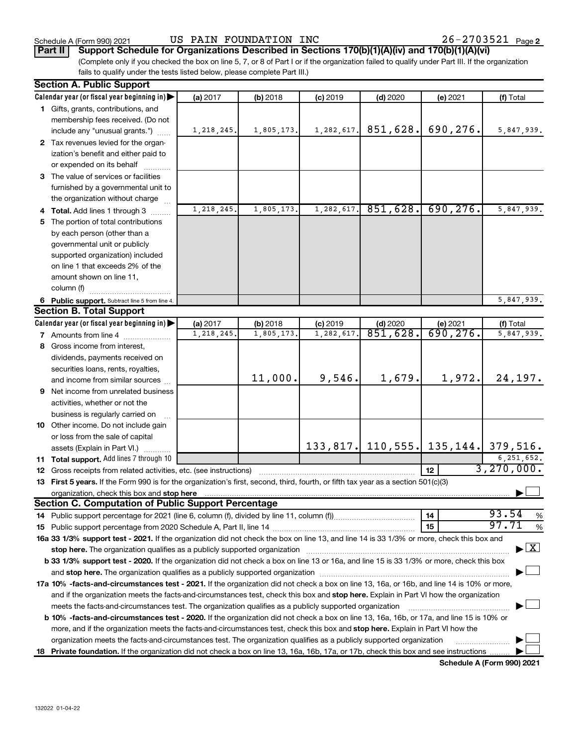| Part II Support Schedule for Organizations Described in Sections 170(b)(1)(A)(iv) and 170(b)(1)(A)(vi)                                          |
|-------------------------------------------------------------------------------------------------------------------------------------------------|
| (Complete only if you checked the box on line 5, 7, or 8 of Part I or if the organization failed to qualify under Part III. If the organization |

fails to qualify under the tests listed below, please complete Part III.)

| Calendar year (or fiscal year beginning in)<br>(a) 2017<br>$(b)$ 2018<br>$(d)$ 2020<br>(f) Total<br>$(c)$ 2019<br>(e) 2021<br>1 Gifts, grants, contributions, and<br>membership fees received. (Do not<br>851,628.<br>690,276.<br>1,282,617.<br>1,218,245.<br>1,805,173.<br>include any "unusual grants.")<br>2 Tax revenues levied for the organ-<br>ization's benefit and either paid to<br>or expended on its behalf<br>3 The value of services or facilities<br>furnished by a governmental unit to<br>the organization without charge<br>690, 276.<br>851,628.<br>1,218,245.<br>1,805,173.<br>1,282,617.<br>5,847,939.<br>4 Total. Add lines 1 through 3<br>The portion of total contributions<br>5<br>by each person (other than a<br>governmental unit or publicly<br>supported organization) included<br>on line 1 that exceeds 2% of the<br>amount shown on line 11,<br>column (f)<br>5,847,939.<br>6 Public support. Subtract line 5 from line 4.<br><b>Section B. Total Support</b><br>Calendar year (or fiscal year beginning in)<br>(a) 2017<br>$(b)$ 2018<br>$(c)$ 2019<br>(f) Total<br>$(d)$ 2020<br>(e) 2021<br>851,628.<br>690, 276.<br>1,218,245.<br>1,282,617<br>5,847,939.<br>1,805,173.<br><b>7</b> Amounts from line 4<br>Gross income from interest,<br>8<br>dividends, payments received on<br>securities loans, rents, royalties,<br>11,000.<br>9,546.<br>1,679.<br>24,197.<br>1,972.<br>and income from similar sources<br>9 Net income from unrelated business<br>activities, whether or not the<br>business is regularly carried on<br>10 Other income. Do not include gain<br>or loss from the sale of capital<br>133,817. 110,555. 135,144. 379,516.<br>assets (Explain in Part VI.)<br>6, 251, 652.<br>11 Total support. Add lines 7 through 10<br>3,270,000.<br>12 <sup>2</sup><br><b>12</b> Gross receipts from related activities, etc. (see instructions)<br>13 First 5 years. If the Form 990 is for the organization's first, second, third, fourth, or fifth tax year as a section 501(c)(3)<br><b>Section C. Computation of Public Support Percentage</b><br>93.54<br>%<br>14<br>97.71<br>15<br>%<br>16a 33 1/3% support test - 2021. If the organization did not check the box on line 13, and line 14 is 33 1/3% or more, check this box and<br>$\blacktriangleright$ $\mathbf{X}$<br>b 33 1/3% support test - 2020. If the organization did not check a box on line 13 or 16a, and line 15 is 33 1/3% or more, check this box<br>17a 10% -facts-and-circumstances test - 2021. If the organization did not check a box on line 13, 16a, or 16b, and line 14 is 10% or more, | <b>Section A. Public Support</b> |  |  |  |  |  |  |            |  |  |
|-----------------------------------------------------------------------------------------------------------------------------------------------------------------------------------------------------------------------------------------------------------------------------------------------------------------------------------------------------------------------------------------------------------------------------------------------------------------------------------------------------------------------------------------------------------------------------------------------------------------------------------------------------------------------------------------------------------------------------------------------------------------------------------------------------------------------------------------------------------------------------------------------------------------------------------------------------------------------------------------------------------------------------------------------------------------------------------------------------------------------------------------------------------------------------------------------------------------------------------------------------------------------------------------------------------------------------------------------------------------------------------------------------------------------------------------------------------------------------------------------------------------------------------------------------------------------------------------------------------------------------------------------------------------------------------------------------------------------------------------------------------------------------------------------------------------------------------------------------------------------------------------------------------------------------------------------------------------------------------------------------------------------------------------------------------------------------------------------------------------------------------------------------------------------------------------------------------------------------------------------------------------------------------------------------------------------------------------------------------------------------------------------------------------------------------------------------------------------------------------------------------------------------------------------------------------------------------------------------------------------|----------------------------------|--|--|--|--|--|--|------------|--|--|
|                                                                                                                                                                                                                                                                                                                                                                                                                                                                                                                                                                                                                                                                                                                                                                                                                                                                                                                                                                                                                                                                                                                                                                                                                                                                                                                                                                                                                                                                                                                                                                                                                                                                                                                                                                                                                                                                                                                                                                                                                                                                                                                                                                                                                                                                                                                                                                                                                                                                                                                                                                                                                       |                                  |  |  |  |  |  |  |            |  |  |
|                                                                                                                                                                                                                                                                                                                                                                                                                                                                                                                                                                                                                                                                                                                                                                                                                                                                                                                                                                                                                                                                                                                                                                                                                                                                                                                                                                                                                                                                                                                                                                                                                                                                                                                                                                                                                                                                                                                                                                                                                                                                                                                                                                                                                                                                                                                                                                                                                                                                                                                                                                                                                       |                                  |  |  |  |  |  |  |            |  |  |
|                                                                                                                                                                                                                                                                                                                                                                                                                                                                                                                                                                                                                                                                                                                                                                                                                                                                                                                                                                                                                                                                                                                                                                                                                                                                                                                                                                                                                                                                                                                                                                                                                                                                                                                                                                                                                                                                                                                                                                                                                                                                                                                                                                                                                                                                                                                                                                                                                                                                                                                                                                                                                       |                                  |  |  |  |  |  |  |            |  |  |
|                                                                                                                                                                                                                                                                                                                                                                                                                                                                                                                                                                                                                                                                                                                                                                                                                                                                                                                                                                                                                                                                                                                                                                                                                                                                                                                                                                                                                                                                                                                                                                                                                                                                                                                                                                                                                                                                                                                                                                                                                                                                                                                                                                                                                                                                                                                                                                                                                                                                                                                                                                                                                       |                                  |  |  |  |  |  |  | 5,847,939. |  |  |
|                                                                                                                                                                                                                                                                                                                                                                                                                                                                                                                                                                                                                                                                                                                                                                                                                                                                                                                                                                                                                                                                                                                                                                                                                                                                                                                                                                                                                                                                                                                                                                                                                                                                                                                                                                                                                                                                                                                                                                                                                                                                                                                                                                                                                                                                                                                                                                                                                                                                                                                                                                                                                       |                                  |  |  |  |  |  |  |            |  |  |
|                                                                                                                                                                                                                                                                                                                                                                                                                                                                                                                                                                                                                                                                                                                                                                                                                                                                                                                                                                                                                                                                                                                                                                                                                                                                                                                                                                                                                                                                                                                                                                                                                                                                                                                                                                                                                                                                                                                                                                                                                                                                                                                                                                                                                                                                                                                                                                                                                                                                                                                                                                                                                       |                                  |  |  |  |  |  |  |            |  |  |
|                                                                                                                                                                                                                                                                                                                                                                                                                                                                                                                                                                                                                                                                                                                                                                                                                                                                                                                                                                                                                                                                                                                                                                                                                                                                                                                                                                                                                                                                                                                                                                                                                                                                                                                                                                                                                                                                                                                                                                                                                                                                                                                                                                                                                                                                                                                                                                                                                                                                                                                                                                                                                       |                                  |  |  |  |  |  |  |            |  |  |
|                                                                                                                                                                                                                                                                                                                                                                                                                                                                                                                                                                                                                                                                                                                                                                                                                                                                                                                                                                                                                                                                                                                                                                                                                                                                                                                                                                                                                                                                                                                                                                                                                                                                                                                                                                                                                                                                                                                                                                                                                                                                                                                                                                                                                                                                                                                                                                                                                                                                                                                                                                                                                       |                                  |  |  |  |  |  |  |            |  |  |
|                                                                                                                                                                                                                                                                                                                                                                                                                                                                                                                                                                                                                                                                                                                                                                                                                                                                                                                                                                                                                                                                                                                                                                                                                                                                                                                                                                                                                                                                                                                                                                                                                                                                                                                                                                                                                                                                                                                                                                                                                                                                                                                                                                                                                                                                                                                                                                                                                                                                                                                                                                                                                       |                                  |  |  |  |  |  |  |            |  |  |
|                                                                                                                                                                                                                                                                                                                                                                                                                                                                                                                                                                                                                                                                                                                                                                                                                                                                                                                                                                                                                                                                                                                                                                                                                                                                                                                                                                                                                                                                                                                                                                                                                                                                                                                                                                                                                                                                                                                                                                                                                                                                                                                                                                                                                                                                                                                                                                                                                                                                                                                                                                                                                       |                                  |  |  |  |  |  |  |            |  |  |
|                                                                                                                                                                                                                                                                                                                                                                                                                                                                                                                                                                                                                                                                                                                                                                                                                                                                                                                                                                                                                                                                                                                                                                                                                                                                                                                                                                                                                                                                                                                                                                                                                                                                                                                                                                                                                                                                                                                                                                                                                                                                                                                                                                                                                                                                                                                                                                                                                                                                                                                                                                                                                       |                                  |  |  |  |  |  |  |            |  |  |
|                                                                                                                                                                                                                                                                                                                                                                                                                                                                                                                                                                                                                                                                                                                                                                                                                                                                                                                                                                                                                                                                                                                                                                                                                                                                                                                                                                                                                                                                                                                                                                                                                                                                                                                                                                                                                                                                                                                                                                                                                                                                                                                                                                                                                                                                                                                                                                                                                                                                                                                                                                                                                       |                                  |  |  |  |  |  |  |            |  |  |
|                                                                                                                                                                                                                                                                                                                                                                                                                                                                                                                                                                                                                                                                                                                                                                                                                                                                                                                                                                                                                                                                                                                                                                                                                                                                                                                                                                                                                                                                                                                                                                                                                                                                                                                                                                                                                                                                                                                                                                                                                                                                                                                                                                                                                                                                                                                                                                                                                                                                                                                                                                                                                       |                                  |  |  |  |  |  |  |            |  |  |
|                                                                                                                                                                                                                                                                                                                                                                                                                                                                                                                                                                                                                                                                                                                                                                                                                                                                                                                                                                                                                                                                                                                                                                                                                                                                                                                                                                                                                                                                                                                                                                                                                                                                                                                                                                                                                                                                                                                                                                                                                                                                                                                                                                                                                                                                                                                                                                                                                                                                                                                                                                                                                       |                                  |  |  |  |  |  |  |            |  |  |
|                                                                                                                                                                                                                                                                                                                                                                                                                                                                                                                                                                                                                                                                                                                                                                                                                                                                                                                                                                                                                                                                                                                                                                                                                                                                                                                                                                                                                                                                                                                                                                                                                                                                                                                                                                                                                                                                                                                                                                                                                                                                                                                                                                                                                                                                                                                                                                                                                                                                                                                                                                                                                       |                                  |  |  |  |  |  |  |            |  |  |
|                                                                                                                                                                                                                                                                                                                                                                                                                                                                                                                                                                                                                                                                                                                                                                                                                                                                                                                                                                                                                                                                                                                                                                                                                                                                                                                                                                                                                                                                                                                                                                                                                                                                                                                                                                                                                                                                                                                                                                                                                                                                                                                                                                                                                                                                                                                                                                                                                                                                                                                                                                                                                       |                                  |  |  |  |  |  |  |            |  |  |
|                                                                                                                                                                                                                                                                                                                                                                                                                                                                                                                                                                                                                                                                                                                                                                                                                                                                                                                                                                                                                                                                                                                                                                                                                                                                                                                                                                                                                                                                                                                                                                                                                                                                                                                                                                                                                                                                                                                                                                                                                                                                                                                                                                                                                                                                                                                                                                                                                                                                                                                                                                                                                       |                                  |  |  |  |  |  |  |            |  |  |
|                                                                                                                                                                                                                                                                                                                                                                                                                                                                                                                                                                                                                                                                                                                                                                                                                                                                                                                                                                                                                                                                                                                                                                                                                                                                                                                                                                                                                                                                                                                                                                                                                                                                                                                                                                                                                                                                                                                                                                                                                                                                                                                                                                                                                                                                                                                                                                                                                                                                                                                                                                                                                       |                                  |  |  |  |  |  |  |            |  |  |
|                                                                                                                                                                                                                                                                                                                                                                                                                                                                                                                                                                                                                                                                                                                                                                                                                                                                                                                                                                                                                                                                                                                                                                                                                                                                                                                                                                                                                                                                                                                                                                                                                                                                                                                                                                                                                                                                                                                                                                                                                                                                                                                                                                                                                                                                                                                                                                                                                                                                                                                                                                                                                       |                                  |  |  |  |  |  |  |            |  |  |
|                                                                                                                                                                                                                                                                                                                                                                                                                                                                                                                                                                                                                                                                                                                                                                                                                                                                                                                                                                                                                                                                                                                                                                                                                                                                                                                                                                                                                                                                                                                                                                                                                                                                                                                                                                                                                                                                                                                                                                                                                                                                                                                                                                                                                                                                                                                                                                                                                                                                                                                                                                                                                       |                                  |  |  |  |  |  |  |            |  |  |
|                                                                                                                                                                                                                                                                                                                                                                                                                                                                                                                                                                                                                                                                                                                                                                                                                                                                                                                                                                                                                                                                                                                                                                                                                                                                                                                                                                                                                                                                                                                                                                                                                                                                                                                                                                                                                                                                                                                                                                                                                                                                                                                                                                                                                                                                                                                                                                                                                                                                                                                                                                                                                       |                                  |  |  |  |  |  |  |            |  |  |
|                                                                                                                                                                                                                                                                                                                                                                                                                                                                                                                                                                                                                                                                                                                                                                                                                                                                                                                                                                                                                                                                                                                                                                                                                                                                                                                                                                                                                                                                                                                                                                                                                                                                                                                                                                                                                                                                                                                                                                                                                                                                                                                                                                                                                                                                                                                                                                                                                                                                                                                                                                                                                       |                                  |  |  |  |  |  |  |            |  |  |
|                                                                                                                                                                                                                                                                                                                                                                                                                                                                                                                                                                                                                                                                                                                                                                                                                                                                                                                                                                                                                                                                                                                                                                                                                                                                                                                                                                                                                                                                                                                                                                                                                                                                                                                                                                                                                                                                                                                                                                                                                                                                                                                                                                                                                                                                                                                                                                                                                                                                                                                                                                                                                       |                                  |  |  |  |  |  |  |            |  |  |
|                                                                                                                                                                                                                                                                                                                                                                                                                                                                                                                                                                                                                                                                                                                                                                                                                                                                                                                                                                                                                                                                                                                                                                                                                                                                                                                                                                                                                                                                                                                                                                                                                                                                                                                                                                                                                                                                                                                                                                                                                                                                                                                                                                                                                                                                                                                                                                                                                                                                                                                                                                                                                       |                                  |  |  |  |  |  |  |            |  |  |
|                                                                                                                                                                                                                                                                                                                                                                                                                                                                                                                                                                                                                                                                                                                                                                                                                                                                                                                                                                                                                                                                                                                                                                                                                                                                                                                                                                                                                                                                                                                                                                                                                                                                                                                                                                                                                                                                                                                                                                                                                                                                                                                                                                                                                                                                                                                                                                                                                                                                                                                                                                                                                       |                                  |  |  |  |  |  |  |            |  |  |
|                                                                                                                                                                                                                                                                                                                                                                                                                                                                                                                                                                                                                                                                                                                                                                                                                                                                                                                                                                                                                                                                                                                                                                                                                                                                                                                                                                                                                                                                                                                                                                                                                                                                                                                                                                                                                                                                                                                                                                                                                                                                                                                                                                                                                                                                                                                                                                                                                                                                                                                                                                                                                       |                                  |  |  |  |  |  |  |            |  |  |
|                                                                                                                                                                                                                                                                                                                                                                                                                                                                                                                                                                                                                                                                                                                                                                                                                                                                                                                                                                                                                                                                                                                                                                                                                                                                                                                                                                                                                                                                                                                                                                                                                                                                                                                                                                                                                                                                                                                                                                                                                                                                                                                                                                                                                                                                                                                                                                                                                                                                                                                                                                                                                       |                                  |  |  |  |  |  |  |            |  |  |
|                                                                                                                                                                                                                                                                                                                                                                                                                                                                                                                                                                                                                                                                                                                                                                                                                                                                                                                                                                                                                                                                                                                                                                                                                                                                                                                                                                                                                                                                                                                                                                                                                                                                                                                                                                                                                                                                                                                                                                                                                                                                                                                                                                                                                                                                                                                                                                                                                                                                                                                                                                                                                       |                                  |  |  |  |  |  |  |            |  |  |
|                                                                                                                                                                                                                                                                                                                                                                                                                                                                                                                                                                                                                                                                                                                                                                                                                                                                                                                                                                                                                                                                                                                                                                                                                                                                                                                                                                                                                                                                                                                                                                                                                                                                                                                                                                                                                                                                                                                                                                                                                                                                                                                                                                                                                                                                                                                                                                                                                                                                                                                                                                                                                       |                                  |  |  |  |  |  |  |            |  |  |
|                                                                                                                                                                                                                                                                                                                                                                                                                                                                                                                                                                                                                                                                                                                                                                                                                                                                                                                                                                                                                                                                                                                                                                                                                                                                                                                                                                                                                                                                                                                                                                                                                                                                                                                                                                                                                                                                                                                                                                                                                                                                                                                                                                                                                                                                                                                                                                                                                                                                                                                                                                                                                       |                                  |  |  |  |  |  |  |            |  |  |
|                                                                                                                                                                                                                                                                                                                                                                                                                                                                                                                                                                                                                                                                                                                                                                                                                                                                                                                                                                                                                                                                                                                                                                                                                                                                                                                                                                                                                                                                                                                                                                                                                                                                                                                                                                                                                                                                                                                                                                                                                                                                                                                                                                                                                                                                                                                                                                                                                                                                                                                                                                                                                       |                                  |  |  |  |  |  |  |            |  |  |
|                                                                                                                                                                                                                                                                                                                                                                                                                                                                                                                                                                                                                                                                                                                                                                                                                                                                                                                                                                                                                                                                                                                                                                                                                                                                                                                                                                                                                                                                                                                                                                                                                                                                                                                                                                                                                                                                                                                                                                                                                                                                                                                                                                                                                                                                                                                                                                                                                                                                                                                                                                                                                       |                                  |  |  |  |  |  |  |            |  |  |
|                                                                                                                                                                                                                                                                                                                                                                                                                                                                                                                                                                                                                                                                                                                                                                                                                                                                                                                                                                                                                                                                                                                                                                                                                                                                                                                                                                                                                                                                                                                                                                                                                                                                                                                                                                                                                                                                                                                                                                                                                                                                                                                                                                                                                                                                                                                                                                                                                                                                                                                                                                                                                       |                                  |  |  |  |  |  |  |            |  |  |
|                                                                                                                                                                                                                                                                                                                                                                                                                                                                                                                                                                                                                                                                                                                                                                                                                                                                                                                                                                                                                                                                                                                                                                                                                                                                                                                                                                                                                                                                                                                                                                                                                                                                                                                                                                                                                                                                                                                                                                                                                                                                                                                                                                                                                                                                                                                                                                                                                                                                                                                                                                                                                       |                                  |  |  |  |  |  |  |            |  |  |
|                                                                                                                                                                                                                                                                                                                                                                                                                                                                                                                                                                                                                                                                                                                                                                                                                                                                                                                                                                                                                                                                                                                                                                                                                                                                                                                                                                                                                                                                                                                                                                                                                                                                                                                                                                                                                                                                                                                                                                                                                                                                                                                                                                                                                                                                                                                                                                                                                                                                                                                                                                                                                       |                                  |  |  |  |  |  |  |            |  |  |
|                                                                                                                                                                                                                                                                                                                                                                                                                                                                                                                                                                                                                                                                                                                                                                                                                                                                                                                                                                                                                                                                                                                                                                                                                                                                                                                                                                                                                                                                                                                                                                                                                                                                                                                                                                                                                                                                                                                                                                                                                                                                                                                                                                                                                                                                                                                                                                                                                                                                                                                                                                                                                       |                                  |  |  |  |  |  |  |            |  |  |
|                                                                                                                                                                                                                                                                                                                                                                                                                                                                                                                                                                                                                                                                                                                                                                                                                                                                                                                                                                                                                                                                                                                                                                                                                                                                                                                                                                                                                                                                                                                                                                                                                                                                                                                                                                                                                                                                                                                                                                                                                                                                                                                                                                                                                                                                                                                                                                                                                                                                                                                                                                                                                       |                                  |  |  |  |  |  |  |            |  |  |
|                                                                                                                                                                                                                                                                                                                                                                                                                                                                                                                                                                                                                                                                                                                                                                                                                                                                                                                                                                                                                                                                                                                                                                                                                                                                                                                                                                                                                                                                                                                                                                                                                                                                                                                                                                                                                                                                                                                                                                                                                                                                                                                                                                                                                                                                                                                                                                                                                                                                                                                                                                                                                       |                                  |  |  |  |  |  |  |            |  |  |
|                                                                                                                                                                                                                                                                                                                                                                                                                                                                                                                                                                                                                                                                                                                                                                                                                                                                                                                                                                                                                                                                                                                                                                                                                                                                                                                                                                                                                                                                                                                                                                                                                                                                                                                                                                                                                                                                                                                                                                                                                                                                                                                                                                                                                                                                                                                                                                                                                                                                                                                                                                                                                       |                                  |  |  |  |  |  |  |            |  |  |
|                                                                                                                                                                                                                                                                                                                                                                                                                                                                                                                                                                                                                                                                                                                                                                                                                                                                                                                                                                                                                                                                                                                                                                                                                                                                                                                                                                                                                                                                                                                                                                                                                                                                                                                                                                                                                                                                                                                                                                                                                                                                                                                                                                                                                                                                                                                                                                                                                                                                                                                                                                                                                       |                                  |  |  |  |  |  |  |            |  |  |
|                                                                                                                                                                                                                                                                                                                                                                                                                                                                                                                                                                                                                                                                                                                                                                                                                                                                                                                                                                                                                                                                                                                                                                                                                                                                                                                                                                                                                                                                                                                                                                                                                                                                                                                                                                                                                                                                                                                                                                                                                                                                                                                                                                                                                                                                                                                                                                                                                                                                                                                                                                                                                       |                                  |  |  |  |  |  |  |            |  |  |
|                                                                                                                                                                                                                                                                                                                                                                                                                                                                                                                                                                                                                                                                                                                                                                                                                                                                                                                                                                                                                                                                                                                                                                                                                                                                                                                                                                                                                                                                                                                                                                                                                                                                                                                                                                                                                                                                                                                                                                                                                                                                                                                                                                                                                                                                                                                                                                                                                                                                                                                                                                                                                       |                                  |  |  |  |  |  |  |            |  |  |
|                                                                                                                                                                                                                                                                                                                                                                                                                                                                                                                                                                                                                                                                                                                                                                                                                                                                                                                                                                                                                                                                                                                                                                                                                                                                                                                                                                                                                                                                                                                                                                                                                                                                                                                                                                                                                                                                                                                                                                                                                                                                                                                                                                                                                                                                                                                                                                                                                                                                                                                                                                                                                       |                                  |  |  |  |  |  |  |            |  |  |
|                                                                                                                                                                                                                                                                                                                                                                                                                                                                                                                                                                                                                                                                                                                                                                                                                                                                                                                                                                                                                                                                                                                                                                                                                                                                                                                                                                                                                                                                                                                                                                                                                                                                                                                                                                                                                                                                                                                                                                                                                                                                                                                                                                                                                                                                                                                                                                                                                                                                                                                                                                                                                       |                                  |  |  |  |  |  |  |            |  |  |
|                                                                                                                                                                                                                                                                                                                                                                                                                                                                                                                                                                                                                                                                                                                                                                                                                                                                                                                                                                                                                                                                                                                                                                                                                                                                                                                                                                                                                                                                                                                                                                                                                                                                                                                                                                                                                                                                                                                                                                                                                                                                                                                                                                                                                                                                                                                                                                                                                                                                                                                                                                                                                       |                                  |  |  |  |  |  |  |            |  |  |
| and if the organization meets the facts-and-circumstances test, check this box and stop here. Explain in Part VI how the organization                                                                                                                                                                                                                                                                                                                                                                                                                                                                                                                                                                                                                                                                                                                                                                                                                                                                                                                                                                                                                                                                                                                                                                                                                                                                                                                                                                                                                                                                                                                                                                                                                                                                                                                                                                                                                                                                                                                                                                                                                                                                                                                                                                                                                                                                                                                                                                                                                                                                                 |                                  |  |  |  |  |  |  |            |  |  |
| meets the facts-and-circumstances test. The organization qualifies as a publicly supported organization                                                                                                                                                                                                                                                                                                                                                                                                                                                                                                                                                                                                                                                                                                                                                                                                                                                                                                                                                                                                                                                                                                                                                                                                                                                                                                                                                                                                                                                                                                                                                                                                                                                                                                                                                                                                                                                                                                                                                                                                                                                                                                                                                                                                                                                                                                                                                                                                                                                                                                               |                                  |  |  |  |  |  |  |            |  |  |
| <b>b 10%</b> -facts-and-circumstances test - 2020. If the organization did not check a box on line 13, 16a, 16b, or 17a, and line 15 is 10% or                                                                                                                                                                                                                                                                                                                                                                                                                                                                                                                                                                                                                                                                                                                                                                                                                                                                                                                                                                                                                                                                                                                                                                                                                                                                                                                                                                                                                                                                                                                                                                                                                                                                                                                                                                                                                                                                                                                                                                                                                                                                                                                                                                                                                                                                                                                                                                                                                                                                        |                                  |  |  |  |  |  |  |            |  |  |
| more, and if the organization meets the facts-and-circumstances test, check this box and stop here. Explain in Part VI how the                                                                                                                                                                                                                                                                                                                                                                                                                                                                                                                                                                                                                                                                                                                                                                                                                                                                                                                                                                                                                                                                                                                                                                                                                                                                                                                                                                                                                                                                                                                                                                                                                                                                                                                                                                                                                                                                                                                                                                                                                                                                                                                                                                                                                                                                                                                                                                                                                                                                                        |                                  |  |  |  |  |  |  |            |  |  |
| organization meets the facts-and-circumstances test. The organization qualifies as a publicly supported organization                                                                                                                                                                                                                                                                                                                                                                                                                                                                                                                                                                                                                                                                                                                                                                                                                                                                                                                                                                                                                                                                                                                                                                                                                                                                                                                                                                                                                                                                                                                                                                                                                                                                                                                                                                                                                                                                                                                                                                                                                                                                                                                                                                                                                                                                                                                                                                                                                                                                                                  |                                  |  |  |  |  |  |  |            |  |  |
| Private foundation. If the organization did not check a box on line 13, 16a, 16b, 17a, or 17b, check this box and see instructions<br>18.                                                                                                                                                                                                                                                                                                                                                                                                                                                                                                                                                                                                                                                                                                                                                                                                                                                                                                                                                                                                                                                                                                                                                                                                                                                                                                                                                                                                                                                                                                                                                                                                                                                                                                                                                                                                                                                                                                                                                                                                                                                                                                                                                                                                                                                                                                                                                                                                                                                                             |                                  |  |  |  |  |  |  |            |  |  |

**Schedule A (Form 990) 2021**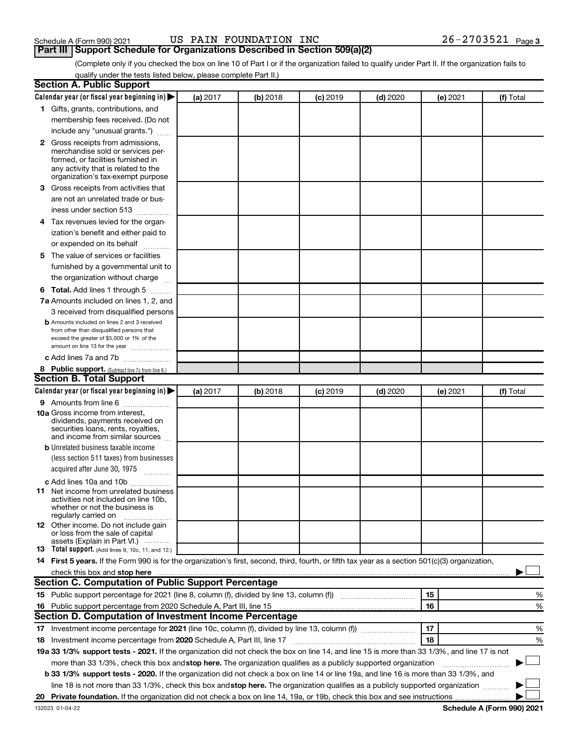## Schedule A (Form 990) 2021  $_{\text{US}~\text{PAIN}~\text{FOUNDATION}~\text{INC}}$  26 – 2703521  $_{\text{Page}}$

# **Part III** | Schedule A (Form 990) 2021 **BILET DESPEAT IN POUNDATION INC**<br>**Part III** | Support Schedule for Organizations Described in Section 509(a)(2)

(Complete only if you checked the box on line 10 of Part I or if the organization failed to qualify under Part II. If the organization fails to qualify under the tests listed below, please complete Part II.)

| <b>Section A. Public Support</b>                                                                                                                                                                                                         |          |          |                 |            |          |           |
|------------------------------------------------------------------------------------------------------------------------------------------------------------------------------------------------------------------------------------------|----------|----------|-----------------|------------|----------|-----------|
| Calendar year (or fiscal year beginning in)                                                                                                                                                                                              | (a) 2017 | (b) 2018 | <b>(c)</b> 2019 | $(d)$ 2020 | (e) 2021 | (f) Total |
| 1 Gifts, grants, contributions, and                                                                                                                                                                                                      |          |          |                 |            |          |           |
| membership fees received. (Do not                                                                                                                                                                                                        |          |          |                 |            |          |           |
| include any "unusual grants.")                                                                                                                                                                                                           |          |          |                 |            |          |           |
| <b>2</b> Gross receipts from admissions,                                                                                                                                                                                                 |          |          |                 |            |          |           |
| merchandise sold or services per-                                                                                                                                                                                                        |          |          |                 |            |          |           |
| formed, or facilities furnished in                                                                                                                                                                                                       |          |          |                 |            |          |           |
| any activity that is related to the<br>organization's tax-exempt purpose                                                                                                                                                                 |          |          |                 |            |          |           |
| 3 Gross receipts from activities that                                                                                                                                                                                                    |          |          |                 |            |          |           |
| are not an unrelated trade or bus-                                                                                                                                                                                                       |          |          |                 |            |          |           |
| iness under section 513                                                                                                                                                                                                                  |          |          |                 |            |          |           |
| 4 Tax revenues levied for the organ-                                                                                                                                                                                                     |          |          |                 |            |          |           |
| ization's benefit and either paid to                                                                                                                                                                                                     |          |          |                 |            |          |           |
| or expended on its behalf<br>.                                                                                                                                                                                                           |          |          |                 |            |          |           |
| 5 The value of services or facilities                                                                                                                                                                                                    |          |          |                 |            |          |           |
| furnished by a governmental unit to                                                                                                                                                                                                      |          |          |                 |            |          |           |
| the organization without charge                                                                                                                                                                                                          |          |          |                 |            |          |           |
| <b>6 Total.</b> Add lines 1 through 5                                                                                                                                                                                                    |          |          |                 |            |          |           |
| 7a Amounts included on lines 1, 2, and                                                                                                                                                                                                   |          |          |                 |            |          |           |
| 3 received from disqualified persons                                                                                                                                                                                                     |          |          |                 |            |          |           |
| <b>b</b> Amounts included on lines 2 and 3 received                                                                                                                                                                                      |          |          |                 |            |          |           |
| from other than disqualified persons that                                                                                                                                                                                                |          |          |                 |            |          |           |
| exceed the greater of \$5,000 or 1% of the<br>amount on line 13 for the year                                                                                                                                                             |          |          |                 |            |          |           |
| c Add lines 7a and 7b                                                                                                                                                                                                                    |          |          |                 |            |          |           |
| 8 Public support. (Subtract line 7c from line 6.)                                                                                                                                                                                        |          |          |                 |            |          |           |
| <b>Section B. Total Support</b>                                                                                                                                                                                                          |          |          |                 |            |          |           |
| Calendar year (or fiscal year beginning in)                                                                                                                                                                                              | (a) 2017 | (b) 2018 | <b>(c)</b> 2019 | $(d)$ 2020 | (e) 2021 | (f) Total |
| <b>9</b> Amounts from line 6                                                                                                                                                                                                             |          |          |                 |            |          |           |
| <b>10a</b> Gross income from interest,                                                                                                                                                                                                   |          |          |                 |            |          |           |
| dividends, payments received on                                                                                                                                                                                                          |          |          |                 |            |          |           |
| securities loans, rents, royalties,<br>and income from similar sources                                                                                                                                                                   |          |          |                 |            |          |           |
| <b>b</b> Unrelated business taxable income                                                                                                                                                                                               |          |          |                 |            |          |           |
| (less section 511 taxes) from businesses                                                                                                                                                                                                 |          |          |                 |            |          |           |
| acquired after June 30, 1975                                                                                                                                                                                                             |          |          |                 |            |          |           |
|                                                                                                                                                                                                                                          |          |          |                 |            |          |           |
| c Add lines 10a and 10b<br><b>11</b> Net income from unrelated business                                                                                                                                                                  |          |          |                 |            |          |           |
| activities not included on line 10b.                                                                                                                                                                                                     |          |          |                 |            |          |           |
| whether or not the business is                                                                                                                                                                                                           |          |          |                 |            |          |           |
| regularly carried on<br>12 Other income. Do not include gain                                                                                                                                                                             |          |          |                 |            |          |           |
| or loss from the sale of capital                                                                                                                                                                                                         |          |          |                 |            |          |           |
| assets (Explain in Part VI.)                                                                                                                                                                                                             |          |          |                 |            |          |           |
| <b>13</b> Total support. (Add lines 9, 10c, 11, and 12.)                                                                                                                                                                                 |          |          |                 |            |          |           |
| 14 First 5 years. If the Form 990 is for the organization's first, second, third, fourth, or fifth tax year as a section 501(c)(3) organization,                                                                                         |          |          |                 |            |          |           |
| check this box and stop here <b>construction and construction</b> and check this box and stop here <b>construction</b> and construction and construction and construction and construction and construction and construction and constru |          |          |                 |            |          |           |
| Section C. Computation of Public Support Percentage                                                                                                                                                                                      |          |          |                 |            |          |           |
| 15 Public support percentage for 2021 (line 8, column (f), divided by line 13, column (f) <i>manumeronominium</i>                                                                                                                        |          |          |                 |            | 15       | %         |
| 16 Public support percentage from 2020 Schedule A, Part III, line 15                                                                                                                                                                     |          |          |                 |            | 16       | %         |
| Section D. Computation of Investment Income Percentage                                                                                                                                                                                   |          |          |                 |            |          |           |
| 17 Investment income percentage for 2021 (line 10c, column (f), divided by line 13, column (f))                                                                                                                                          |          |          |                 |            | 17       | %         |
| 18 Investment income percentage from 2020 Schedule A, Part III, line 17                                                                                                                                                                  |          |          |                 |            | 18       | %         |
| 19a 33 1/3% support tests - 2021. If the organization did not check the box on line 14, and line 15 is more than 33 1/3%, and line 17 is not                                                                                             |          |          |                 |            |          |           |
| more than 33 1/3%, check this box and stop here. The organization qualifies as a publicly supported organization                                                                                                                         |          |          |                 |            |          |           |
| b 33 1/3% support tests - 2020. If the organization did not check a box on line 14 or line 19a, and line 16 is more than 33 1/3%, and                                                                                                    |          |          |                 |            |          |           |
| line 18 is not more than 33 1/3%, check this box and stop here. The organization qualifies as a publicly supported organization                                                                                                          |          |          |                 |            |          |           |
|                                                                                                                                                                                                                                          |          |          |                 |            |          |           |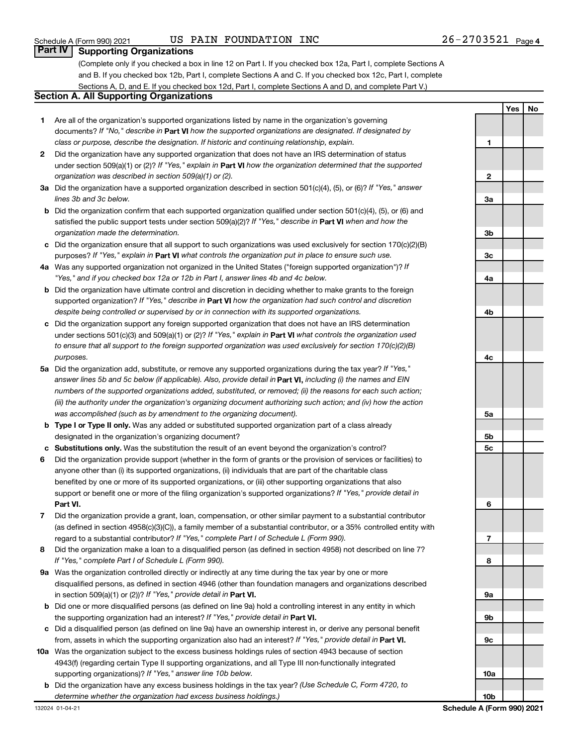# **Part IV Supporting Organizations**

(Complete only if you checked a box in line 12 on Part I. If you checked box 12a, Part I, complete Sections A and B. If you checked box 12b, Part I, complete Sections A and C. If you checked box 12c, Part I, complete Sections A, D, and E. If you checked box 12d, Part I, complete Sections A and D, and complete Part V.)

### **Section A. All Supporting Organizations**

- **1** Are all of the organization's supported organizations listed by name in the organization's governing documents? If "No," describe in Part VI how the supported organizations are designated. If designated by *class or purpose, describe the designation. If historic and continuing relationship, explain.*
- **2** Did the organization have any supported organization that does not have an IRS determination of status under section 509(a)(1) or (2)? If "Yes," explain in Part **VI** how the organization determined that the supported *organization was described in section 509(a)(1) or (2).*
- **3a** Did the organization have a supported organization described in section 501(c)(4), (5), or (6)? If "Yes," answer *lines 3b and 3c below.*
- **b** Did the organization confirm that each supported organization qualified under section 501(c)(4), (5), or (6) and satisfied the public support tests under section 509(a)(2)? If "Yes," describe in Part VI when and how the *organization made the determination.*
- **c** Did the organization ensure that all support to such organizations was used exclusively for section 170(c)(2)(B) purposes? If "Yes," explain in Part VI what controls the organization put in place to ensure such use.
- **4 a** *If* Was any supported organization not organized in the United States ("foreign supported organization")? *"Yes," and if you checked box 12a or 12b in Part I, answer lines 4b and 4c below.*
- **b** Did the organization have ultimate control and discretion in deciding whether to make grants to the foreign supported organization? If "Yes," describe in Part VI how the organization had such control and discretion *despite being controlled or supervised by or in connection with its supported organizations.*
- **c** Did the organization support any foreign supported organization that does not have an IRS determination under sections 501(c)(3) and 509(a)(1) or (2)? If "Yes," explain in Part VI what controls the organization used *to ensure that all support to the foreign supported organization was used exclusively for section 170(c)(2)(B) purposes.*
- **5a** Did the organization add, substitute, or remove any supported organizations during the tax year? If "Yes," answer lines 5b and 5c below (if applicable). Also, provide detail in **Part VI,** including (i) the names and EIN *numbers of the supported organizations added, substituted, or removed; (ii) the reasons for each such action; (iii) the authority under the organization's organizing document authorizing such action; and (iv) how the action was accomplished (such as by amendment to the organizing document).*
- **b** Type I or Type II only. Was any added or substituted supported organization part of a class already designated in the organization's organizing document?
- **c Substitutions only.**  Was the substitution the result of an event beyond the organization's control?
- **6** Did the organization provide support (whether in the form of grants or the provision of services or facilities) to **Part VI.** support or benefit one or more of the filing organization's supported organizations? If "Yes," provide detail in anyone other than (i) its supported organizations, (ii) individuals that are part of the charitable class benefited by one or more of its supported organizations, or (iii) other supporting organizations that also
- **7** Did the organization provide a grant, loan, compensation, or other similar payment to a substantial contributor regard to a substantial contributor? If "Yes," complete Part I of Schedule L (Form 990). (as defined in section 4958(c)(3)(C)), a family member of a substantial contributor, or a 35% controlled entity with
- **8** Did the organization make a loan to a disqualified person (as defined in section 4958) not described on line 7? *If "Yes," complete Part I of Schedule L (Form 990).*
- **9 a** Was the organization controlled directly or indirectly at any time during the tax year by one or more in section 509(a)(1) or (2))? If "Yes," provide detail in **Part VI.** disqualified persons, as defined in section 4946 (other than foundation managers and organizations described
- **b** Did one or more disqualified persons (as defined on line 9a) hold a controlling interest in any entity in which the supporting organization had an interest? If "Yes," provide detail in Part VI.
- **c** Did a disqualified person (as defined on line 9a) have an ownership interest in, or derive any personal benefit from, assets in which the supporting organization also had an interest? If "Yes," provide detail in Part VI.
- **10 a** Was the organization subject to the excess business holdings rules of section 4943 because of section supporting organizations)? If "Yes," answer line 10b below. 4943(f) (regarding certain Type II supporting organizations, and all Type III non-functionally integrated
	- **b** Did the organization have any excess business holdings in the tax year? (Use Schedule C, Form 4720, to *determine whether the organization had excess business holdings.)*

**Yes No 1 2 3a 3b 3c 4a 4b 4c 5a 5b 5c 6 7 8 9a 9b 9c 10a**

**10b**

**Schedule A (Form 990) 2021**

# Schedule A (Form 990) 2021  $_{\text{US}~\text{PAIN}~\text{FOUNDATION}~\text{INC}}$  26 – 2703521  $_{\text{Page}}$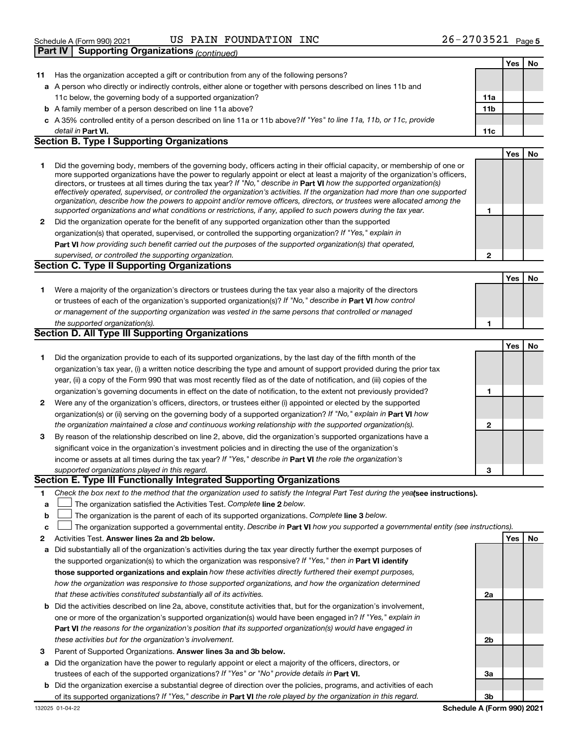| $D_{out}$ $N \mid C_{in}$ constants $C_{in}$ and $C_{out}$ |                        |         |        |
|------------------------------------------------------------|------------------------|---------|--------|
| Schedule A (Form 990) 2021                                 | US PAIN FOUNDATION INC | 2703521 | Page 5 |

|    | Part IV<br>Supporting Organizations <sub>(continued)</sub>                                                                                                                                                                                                                                                                                                                                                                                                                                                               |                |     |    |
|----|--------------------------------------------------------------------------------------------------------------------------------------------------------------------------------------------------------------------------------------------------------------------------------------------------------------------------------------------------------------------------------------------------------------------------------------------------------------------------------------------------------------------------|----------------|-----|----|
|    |                                                                                                                                                                                                                                                                                                                                                                                                                                                                                                                          |                | Yes | No |
| 11 | Has the organization accepted a gift or contribution from any of the following persons?                                                                                                                                                                                                                                                                                                                                                                                                                                  |                |     |    |
|    | a A person who directly or indirectly controls, either alone or together with persons described on lines 11b and                                                                                                                                                                                                                                                                                                                                                                                                         |                |     |    |
|    | 11c below, the governing body of a supported organization?                                                                                                                                                                                                                                                                                                                                                                                                                                                               | 11a            |     |    |
|    | <b>b</b> A family member of a person described on line 11a above?                                                                                                                                                                                                                                                                                                                                                                                                                                                        | 11b            |     |    |
|    | c A 35% controlled entity of a person described on line 11a or 11b above? If "Yes" to line 11a, 11b, or 11c, provide                                                                                                                                                                                                                                                                                                                                                                                                     |                |     |    |
|    | detail in Part VI.                                                                                                                                                                                                                                                                                                                                                                                                                                                                                                       | 11c            |     |    |
|    | <b>Section B. Type I Supporting Organizations</b>                                                                                                                                                                                                                                                                                                                                                                                                                                                                        |                |     |    |
|    |                                                                                                                                                                                                                                                                                                                                                                                                                                                                                                                          |                | Yes | No |
| 1  | Did the governing body, members of the governing body, officers acting in their official capacity, or membership of one or<br>more supported organizations have the power to regularly appoint or elect at least a majority of the organization's officers,<br>directors, or trustees at all times during the tax year? If "No," describe in Part VI how the supported organization(s)<br>effectively operated, supervised, or controlled the organization's activities. If the organization had more than one supported |                |     |    |
|    | organization, describe how the powers to appoint and/or remove officers, directors, or trustees were allocated among the<br>supported organizations and what conditions or restrictions, if any, applied to such powers during the tax year.                                                                                                                                                                                                                                                                             | 1              |     |    |
| 2  | Did the organization operate for the benefit of any supported organization other than the supported                                                                                                                                                                                                                                                                                                                                                                                                                      |                |     |    |
|    | organization(s) that operated, supervised, or controlled the supporting organization? If "Yes," explain in                                                                                                                                                                                                                                                                                                                                                                                                               |                |     |    |
|    | Part VI how providing such benefit carried out the purposes of the supported organization(s) that operated,                                                                                                                                                                                                                                                                                                                                                                                                              |                |     |    |
|    | supervised, or controlled the supporting organization.                                                                                                                                                                                                                                                                                                                                                                                                                                                                   | $\mathbf{2}$   |     |    |
|    | <b>Section C. Type II Supporting Organizations</b>                                                                                                                                                                                                                                                                                                                                                                                                                                                                       |                |     |    |
|    |                                                                                                                                                                                                                                                                                                                                                                                                                                                                                                                          |                | Yes | No |
| 1  | Were a majority of the organization's directors or trustees during the tax year also a majority of the directors                                                                                                                                                                                                                                                                                                                                                                                                         |                |     |    |
|    | or trustees of each of the organization's supported organization(s)? If "No," describe in Part VI how control                                                                                                                                                                                                                                                                                                                                                                                                            |                |     |    |
|    | or management of the supporting organization was vested in the same persons that controlled or managed                                                                                                                                                                                                                                                                                                                                                                                                                   |                |     |    |
|    | the supported organization(s).                                                                                                                                                                                                                                                                                                                                                                                                                                                                                           | 1              |     |    |
|    | <b>Section D. All Type III Supporting Organizations</b>                                                                                                                                                                                                                                                                                                                                                                                                                                                                  |                |     |    |
|    |                                                                                                                                                                                                                                                                                                                                                                                                                                                                                                                          |                | Yes | No |
| 1  | Did the organization provide to each of its supported organizations, by the last day of the fifth month of the                                                                                                                                                                                                                                                                                                                                                                                                           |                |     |    |
|    | organization's tax year, (i) a written notice describing the type and amount of support provided during the prior tax                                                                                                                                                                                                                                                                                                                                                                                                    |                |     |    |
|    | year, (ii) a copy of the Form 990 that was most recently filed as of the date of notification, and (iii) copies of the                                                                                                                                                                                                                                                                                                                                                                                                   |                |     |    |
|    | organization's governing documents in effect on the date of notification, to the extent not previously provided?                                                                                                                                                                                                                                                                                                                                                                                                         | 1              |     |    |
| 2  | Were any of the organization's officers, directors, or trustees either (i) appointed or elected by the supported                                                                                                                                                                                                                                                                                                                                                                                                         |                |     |    |
|    | organization(s) or (ii) serving on the governing body of a supported organization? If "No," explain in Part VI how                                                                                                                                                                                                                                                                                                                                                                                                       |                |     |    |
|    | the organization maintained a close and continuous working relationship with the supported organization(s).                                                                                                                                                                                                                                                                                                                                                                                                              | $\mathbf{2}$   |     |    |
| З  | By reason of the relationship described on line 2, above, did the organization's supported organizations have a                                                                                                                                                                                                                                                                                                                                                                                                          |                |     |    |
|    | significant voice in the organization's investment policies and in directing the use of the organization's                                                                                                                                                                                                                                                                                                                                                                                                               |                |     |    |
|    | income or assets at all times during the tax year? If "Yes," describe in Part VI the role the organization's                                                                                                                                                                                                                                                                                                                                                                                                             |                |     |    |
|    | supported organizations played in this regard.                                                                                                                                                                                                                                                                                                                                                                                                                                                                           | з              |     |    |
|    | Section E. Type III Functionally Integrated Supporting Organizations                                                                                                                                                                                                                                                                                                                                                                                                                                                     |                |     |    |
| 1  | Check the box next to the method that the organization used to satisfy the Integral Part Test during the yealsee instructions).                                                                                                                                                                                                                                                                                                                                                                                          |                |     |    |
| a  | The organization satisfied the Activities Test. Complete line 2 below.                                                                                                                                                                                                                                                                                                                                                                                                                                                   |                |     |    |
| b  | The organization is the parent of each of its supported organizations. Complete line 3 below.                                                                                                                                                                                                                                                                                                                                                                                                                            |                |     |    |
| c  | The organization supported a governmental entity. Describe in Part VI how you supported a governmental entity (see instructions).                                                                                                                                                                                                                                                                                                                                                                                        |                |     |    |
| 2  | Activities Test. Answer lines 2a and 2b below.                                                                                                                                                                                                                                                                                                                                                                                                                                                                           |                | Yes | No |
| а  | Did substantially all of the organization's activities during the tax year directly further the exempt purposes of                                                                                                                                                                                                                                                                                                                                                                                                       |                |     |    |
|    | the supported organization(s) to which the organization was responsive? If "Yes," then in Part VI identify                                                                                                                                                                                                                                                                                                                                                                                                               |                |     |    |
|    | those supported organizations and explain how these activities directly furthered their exempt purposes,                                                                                                                                                                                                                                                                                                                                                                                                                 |                |     |    |
|    | how the organization was responsive to those supported organizations, and how the organization determined                                                                                                                                                                                                                                                                                                                                                                                                                |                |     |    |
|    | that these activities constituted substantially all of its activities.                                                                                                                                                                                                                                                                                                                                                                                                                                                   | 2a             |     |    |
|    | b Did the activities described on line 2a, above, constitute activities that, but for the organization's involvement,                                                                                                                                                                                                                                                                                                                                                                                                    |                |     |    |
|    | one or more of the organization's supported organization(s) would have been engaged in? If "Yes," explain in                                                                                                                                                                                                                                                                                                                                                                                                             |                |     |    |
|    | Part VI the reasons for the organization's position that its supported organization(s) would have engaged in                                                                                                                                                                                                                                                                                                                                                                                                             |                |     |    |
|    | these activities but for the organization's involvement.                                                                                                                                                                                                                                                                                                                                                                                                                                                                 | 2 <sub>b</sub> |     |    |

- **3** Parent of Supported Organizations. Answer lines 3a and 3b below.
- **a** Did the organization have the power to regularly appoint or elect a majority of the officers, directors, or trustees of each of the supported organizations? If "Yes" or "No" provide details in Part VI.
- **b** Did the organization exercise a substantial degree of direction over the policies, programs, and activities of each of its supported organizations? If "Yes," describe in Part VI the role played by the organization in this regard.

**3b Schedule A (Form 990) 2021**

**3a**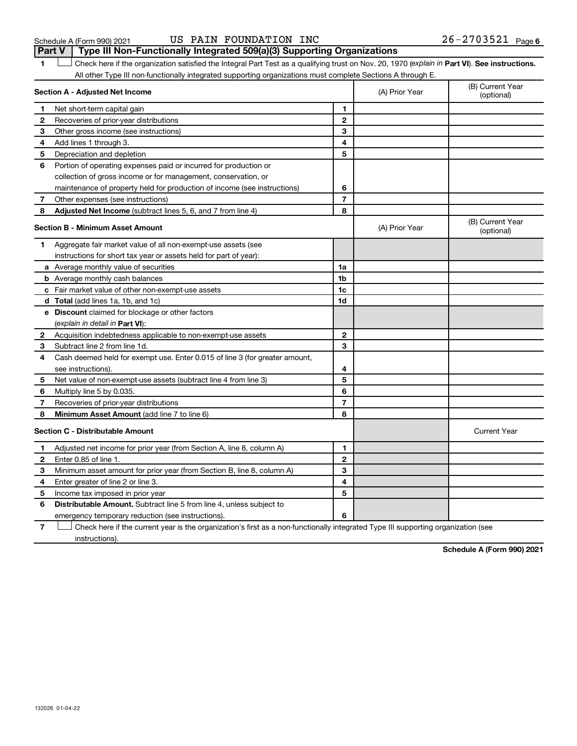132026 01-04-22

instructions).

# Schedule A (Form 990) 2021  $_{\text{US}~\text{PAIN}~\text{FOUNDATION}~\text{INC}}$  26 – 2703521  $_{\text{Page}}$ **Part V Type III Non-Functionally Integrated 509(a)(3) Supporting Organizations**

1 **Letter See instructions.** Check here if the organization satisfied the Integral Part Test as a qualifying trust on Nov. 20, 1970 (*explain in* Part **VI**). See instructions.

All other Type III non-functionally integrated supporting organizations must complete Sections A through E.

|                | Section A - Adjusted Net Income                                                                                                   |                | (A) Prior Year | (B) Current Year<br>(optional) |
|----------------|-----------------------------------------------------------------------------------------------------------------------------------|----------------|----------------|--------------------------------|
| 1              | Net short-term capital gain                                                                                                       | 1              |                |                                |
| 2              | Recoveries of prior-year distributions                                                                                            | $\mathbf{2}$   |                |                                |
| з              | Other gross income (see instructions)                                                                                             | 3              |                |                                |
| 4              | Add lines 1 through 3.                                                                                                            | 4              |                |                                |
| 5              | Depreciation and depletion                                                                                                        | 5              |                |                                |
| 6              | Portion of operating expenses paid or incurred for production or                                                                  |                |                |                                |
|                | collection of gross income or for management, conservation, or                                                                    |                |                |                                |
|                | maintenance of property held for production of income (see instructions)                                                          | 6              |                |                                |
| $\overline{7}$ | Other expenses (see instructions)                                                                                                 | $\overline{7}$ |                |                                |
| 8              | Adjusted Net Income (subtract lines 5, 6, and 7 from line 4)                                                                      | 8              |                |                                |
|                | <b>Section B - Minimum Asset Amount</b>                                                                                           |                | (A) Prior Year | (B) Current Year<br>(optional) |
| 1.             | Aggregate fair market value of all non-exempt-use assets (see                                                                     |                |                |                                |
|                | instructions for short tax year or assets held for part of year):                                                                 |                |                |                                |
|                | a Average monthly value of securities                                                                                             | 1a             |                |                                |
|                | <b>b</b> Average monthly cash balances                                                                                            | 1 <sub>b</sub> |                |                                |
|                | c Fair market value of other non-exempt-use assets                                                                                | 1c             |                |                                |
|                | <b>d</b> Total (add lines 1a, 1b, and 1c)                                                                                         | 1d             |                |                                |
|                | e Discount claimed for blockage or other factors                                                                                  |                |                |                                |
|                | (explain in detail in <b>Part VI</b> ):                                                                                           |                |                |                                |
| $\mathbf{2}$   | Acquisition indebtedness applicable to non-exempt-use assets                                                                      | $\mathbf{2}$   |                |                                |
| 3              | Subtract line 2 from line 1d.                                                                                                     | 3              |                |                                |
| 4              | Cash deemed held for exempt use. Enter 0.015 of line 3 (for greater amount,                                                       |                |                |                                |
|                | see instructions).                                                                                                                | 4              |                |                                |
| 5              | Net value of non-exempt-use assets (subtract line 4 from line 3)                                                                  | 5              |                |                                |
| 6              | Multiply line 5 by 0.035.                                                                                                         | 6              |                |                                |
| 7              | Recoveries of prior-year distributions                                                                                            | $\overline{7}$ |                |                                |
| 8              | Minimum Asset Amount (add line 7 to line 6)                                                                                       | 8              |                |                                |
|                | <b>Section C - Distributable Amount</b>                                                                                           |                |                | <b>Current Year</b>            |
| 1              | Adjusted net income for prior year (from Section A, line 8, column A)                                                             | 1              |                |                                |
| $\mathbf{2}$   | Enter 0.85 of line 1.                                                                                                             | $\mathbf{2}$   |                |                                |
| З              | Minimum asset amount for prior year (from Section B, line 8, column A)                                                            | 3              |                |                                |
| 4              | Enter greater of line 2 or line 3.                                                                                                | 4              |                |                                |
| 5              | Income tax imposed in prior year                                                                                                  | 5              |                |                                |
| 6              | <b>Distributable Amount.</b> Subtract line 5 from line 4, unless subject to                                                       |                |                |                                |
|                | emergency temporary reduction (see instructions).                                                                                 | 6              |                |                                |
| $\overline{7}$ | Check here if the current year is the organization's first as a non-functionally integrated Type III supporting organization (see |                |                |                                |

**Schedule A (Form 990) 2021**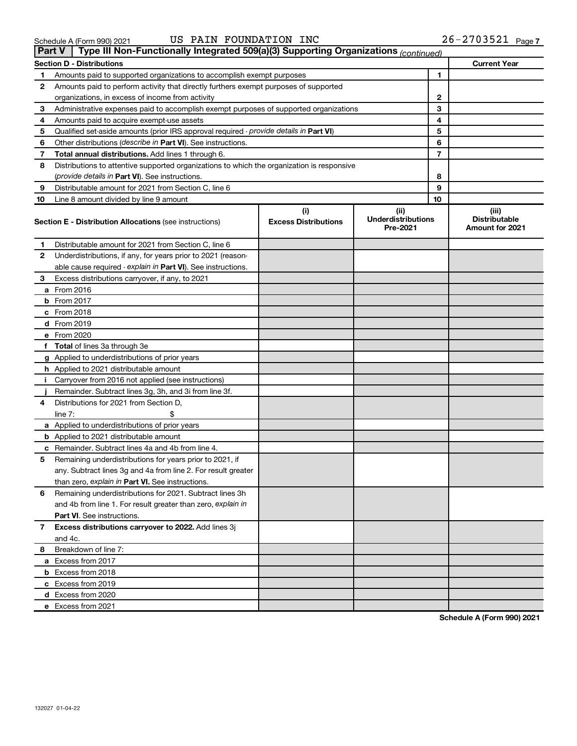132027 01-04-22

| Schedule A (Form 990) 2021 |  |
|----------------------------|--|
|                            |  |

#### Schedule A (Form 990) 2021 US PAIN FOUNDATION INC Z O-Z / U S S Z L Page US PAIN FOUNDATION INC 26-2703521

| <b>Part V</b> | Type III Non-Functionally Integrated 509(a)(3) Supporting Organizations (continued)        |                             |                                       |                |                                                |
|---------------|--------------------------------------------------------------------------------------------|-----------------------------|---------------------------------------|----------------|------------------------------------------------|
|               | <b>Section D - Distributions</b>                                                           |                             |                                       |                | <b>Current Year</b>                            |
| 1             | Amounts paid to supported organizations to accomplish exempt purposes                      |                             |                                       | 1              |                                                |
| 2             | Amounts paid to perform activity that directly furthers exempt purposes of supported       |                             |                                       |                |                                                |
|               | organizations, in excess of income from activity                                           | $\mathbf{2}$                |                                       |                |                                                |
| 3             | Administrative expenses paid to accomplish exempt purposes of supported organizations      | 3                           |                                       |                |                                                |
| 4             | Amounts paid to acquire exempt-use assets                                                  |                             |                                       | 4              |                                                |
| 5             | Qualified set-aside amounts (prior IRS approval required - provide details in Part VI)     |                             |                                       | 5              |                                                |
| 6             | Other distributions (describe in Part VI). See instructions.                               |                             |                                       | 6              |                                                |
| 7             | Total annual distributions. Add lines 1 through 6.                                         |                             |                                       | $\overline{7}$ |                                                |
| 8             | Distributions to attentive supported organizations to which the organization is responsive |                             |                                       |                |                                                |
|               | ( <i>provide details in Part VI</i> ). See instructions.                                   |                             |                                       | 8              |                                                |
| 9             | Distributable amount for 2021 from Section C, line 6                                       |                             |                                       | 9              |                                                |
| 10            | Line 8 amount divided by line 9 amount                                                     |                             |                                       | 10             |                                                |
|               |                                                                                            | (i)                         | (ii)                                  |                | (iii)                                          |
|               | <b>Section E - Distribution Allocations (see instructions)</b>                             | <b>Excess Distributions</b> | <b>Underdistributions</b><br>Pre-2021 |                | <b>Distributable</b><br><b>Amount for 2021</b> |
| 1             | Distributable amount for 2021 from Section C, line 6                                       |                             |                                       |                |                                                |
| 2             | Underdistributions, if any, for years prior to 2021 (reason-                               |                             |                                       |                |                                                |
|               | able cause required - explain in Part VI). See instructions.                               |                             |                                       |                |                                                |
| 3             | Excess distributions carryover, if any, to 2021                                            |                             |                                       |                |                                                |
|               | a From 2016                                                                                |                             |                                       |                |                                                |
|               | <b>b</b> From 2017                                                                         |                             |                                       |                |                                                |
|               | c From 2018                                                                                |                             |                                       |                |                                                |
|               | <b>d</b> From 2019                                                                         |                             |                                       |                |                                                |
|               | e From 2020                                                                                |                             |                                       |                |                                                |
|               | f Total of lines 3a through 3e                                                             |                             |                                       |                |                                                |
|               | g Applied to underdistributions of prior years                                             |                             |                                       |                |                                                |
|               | <b>h</b> Applied to 2021 distributable amount                                              |                             |                                       |                |                                                |
| I.            | Carryover from 2016 not applied (see instructions)                                         |                             |                                       |                |                                                |
|               | Remainder. Subtract lines 3g, 3h, and 3i from line 3f.                                     |                             |                                       |                |                                                |
| 4             | Distributions for 2021 from Section D,                                                     |                             |                                       |                |                                                |
|               | line $7:$                                                                                  |                             |                                       |                |                                                |
|               | a Applied to underdistributions of prior years                                             |                             |                                       |                |                                                |
|               | <b>b</b> Applied to 2021 distributable amount                                              |                             |                                       |                |                                                |
|               | c Remainder. Subtract lines 4a and 4b from line 4.                                         |                             |                                       |                |                                                |
| 5             | Remaining underdistributions for years prior to 2021, if                                   |                             |                                       |                |                                                |
|               | any. Subtract lines 3g and 4a from line 2. For result greater                              |                             |                                       |                |                                                |
|               | than zero, explain in Part VI. See instructions.                                           |                             |                                       |                |                                                |
| 6             | Remaining underdistributions for 2021. Subtract lines 3h                                   |                             |                                       |                |                                                |
|               | and 4b from line 1. For result greater than zero, explain in                               |                             |                                       |                |                                                |
|               | <b>Part VI.</b> See instructions.                                                          |                             |                                       |                |                                                |
| 7             | Excess distributions carryover to 2022. Add lines 3j                                       |                             |                                       |                |                                                |
|               | and 4c.                                                                                    |                             |                                       |                |                                                |
| 8             | Breakdown of line 7:                                                                       |                             |                                       |                |                                                |
|               | a Excess from 2017                                                                         |                             |                                       |                |                                                |
|               |                                                                                            |                             |                                       |                |                                                |
|               | <b>b</b> Excess from 2018                                                                  |                             |                                       |                |                                                |
|               | c Excess from 2019                                                                         |                             |                                       |                |                                                |
|               | d Excess from 2020                                                                         |                             |                                       |                |                                                |
|               | e Excess from 2021                                                                         |                             |                                       |                |                                                |

**Schedule A (Form 990) 2021**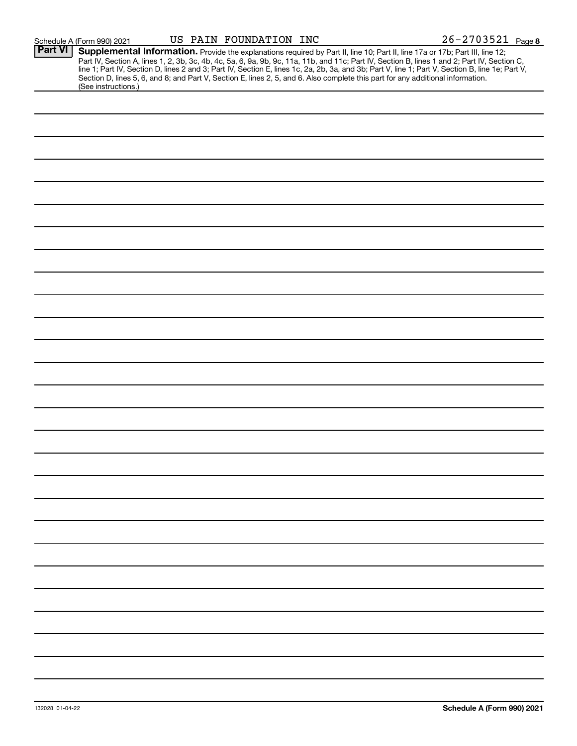|                | Schedule A (Form 990) 2021 | US PAIN FOUNDATION INC |                                                                                                                                                                                                                                                                                                                                                                                                                                                                                                                                                                      | 26-2703521 Page 8 |  |
|----------------|----------------------------|------------------------|----------------------------------------------------------------------------------------------------------------------------------------------------------------------------------------------------------------------------------------------------------------------------------------------------------------------------------------------------------------------------------------------------------------------------------------------------------------------------------------------------------------------------------------------------------------------|-------------------|--|
| <b>Part VI</b> | (See instructions.)        |                        | Supplemental Information. Provide the explanations required by Part II, line 10; Part II, line 17a or 17b; Part III, line 12;<br>Part IV, Section A, lines 1, 2, 3b, 3c, 4b, 4c, 5a, 6, 9a, 9b, 9c, 11a, 11b, and 11c; Part IV, Section B, lines 1 and 2; Part IV, Section C,<br>line 1; Part IV, Section D, lines 2 and 3; Part IV, Section E, lines 1c, 2a, 2b, 3a, and 3b; Part V, line 1; Part V, Section B, line 1e; Part V,<br>Section D, lines 5, 6, and 8; and Part V, Section E, lines 2, 5, and 6. Also complete this part for any additional information. |                   |  |
|                |                            |                        |                                                                                                                                                                                                                                                                                                                                                                                                                                                                                                                                                                      |                   |  |
|                |                            |                        |                                                                                                                                                                                                                                                                                                                                                                                                                                                                                                                                                                      |                   |  |
|                |                            |                        |                                                                                                                                                                                                                                                                                                                                                                                                                                                                                                                                                                      |                   |  |
|                |                            |                        |                                                                                                                                                                                                                                                                                                                                                                                                                                                                                                                                                                      |                   |  |
|                |                            |                        |                                                                                                                                                                                                                                                                                                                                                                                                                                                                                                                                                                      |                   |  |
|                |                            |                        |                                                                                                                                                                                                                                                                                                                                                                                                                                                                                                                                                                      |                   |  |
|                |                            |                        |                                                                                                                                                                                                                                                                                                                                                                                                                                                                                                                                                                      |                   |  |
|                |                            |                        |                                                                                                                                                                                                                                                                                                                                                                                                                                                                                                                                                                      |                   |  |
|                |                            |                        |                                                                                                                                                                                                                                                                                                                                                                                                                                                                                                                                                                      |                   |  |
|                |                            |                        |                                                                                                                                                                                                                                                                                                                                                                                                                                                                                                                                                                      |                   |  |
|                |                            |                        |                                                                                                                                                                                                                                                                                                                                                                                                                                                                                                                                                                      |                   |  |
|                |                            |                        |                                                                                                                                                                                                                                                                                                                                                                                                                                                                                                                                                                      |                   |  |
|                |                            |                        |                                                                                                                                                                                                                                                                                                                                                                                                                                                                                                                                                                      |                   |  |
|                |                            |                        |                                                                                                                                                                                                                                                                                                                                                                                                                                                                                                                                                                      |                   |  |
|                |                            |                        |                                                                                                                                                                                                                                                                                                                                                                                                                                                                                                                                                                      |                   |  |
|                |                            |                        |                                                                                                                                                                                                                                                                                                                                                                                                                                                                                                                                                                      |                   |  |
|                |                            |                        |                                                                                                                                                                                                                                                                                                                                                                                                                                                                                                                                                                      |                   |  |
|                |                            |                        |                                                                                                                                                                                                                                                                                                                                                                                                                                                                                                                                                                      |                   |  |
|                |                            |                        |                                                                                                                                                                                                                                                                                                                                                                                                                                                                                                                                                                      |                   |  |
|                |                            |                        |                                                                                                                                                                                                                                                                                                                                                                                                                                                                                                                                                                      |                   |  |
|                |                            |                        |                                                                                                                                                                                                                                                                                                                                                                                                                                                                                                                                                                      |                   |  |
|                |                            |                        |                                                                                                                                                                                                                                                                                                                                                                                                                                                                                                                                                                      |                   |  |
|                |                            |                        |                                                                                                                                                                                                                                                                                                                                                                                                                                                                                                                                                                      |                   |  |
|                |                            |                        |                                                                                                                                                                                                                                                                                                                                                                                                                                                                                                                                                                      |                   |  |
|                |                            |                        |                                                                                                                                                                                                                                                                                                                                                                                                                                                                                                                                                                      |                   |  |
|                |                            |                        |                                                                                                                                                                                                                                                                                                                                                                                                                                                                                                                                                                      |                   |  |
|                |                            |                        |                                                                                                                                                                                                                                                                                                                                                                                                                                                                                                                                                                      |                   |  |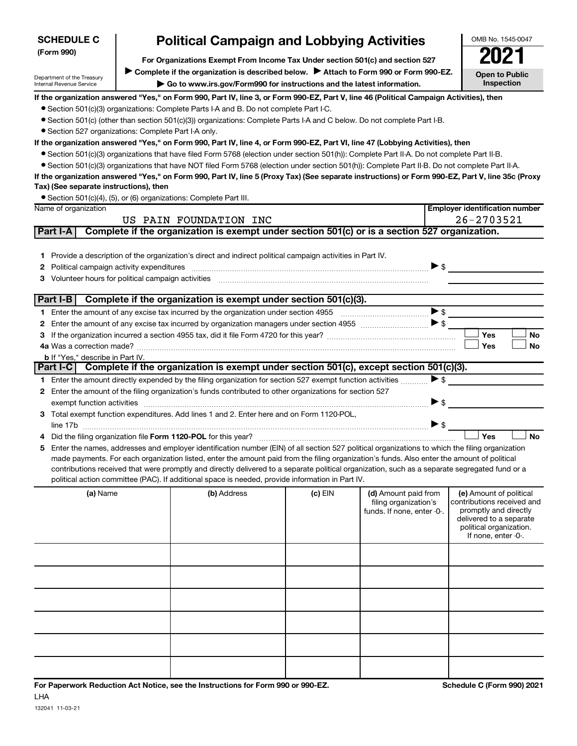| <b>SCHEDULE C</b>                                      |                                                                                                                                         | <b>Political Campaign and Lobbying Activities</b>                                                                                                |         |                            |                          | OMB No. 1545-0047                                |  |  |  |  |
|--------------------------------------------------------|-----------------------------------------------------------------------------------------------------------------------------------------|--------------------------------------------------------------------------------------------------------------------------------------------------|---------|----------------------------|--------------------------|--------------------------------------------------|--|--|--|--|
| (Form 990)                                             | For Organizations Exempt From Income Tax Under section 501(c) and section 527                                                           |                                                                                                                                                  |         |                            |                          |                                                  |  |  |  |  |
|                                                        | Complete if the organization is described below. Attach to Form 990 or Form 990-EZ.                                                     |                                                                                                                                                  |         |                            |                          |                                                  |  |  |  |  |
| Internal Revenue Service                               | Department of the Treasury<br>Go to www.irs.gov/Form990 for instructions and the latest information.                                    |                                                                                                                                                  |         |                            |                          |                                                  |  |  |  |  |
|                                                        | If the organization answered "Yes," on Form 990, Part IV, line 3, or Form 990-EZ, Part V, line 46 (Political Campaign Activities), then |                                                                                                                                                  |         |                            |                          |                                                  |  |  |  |  |
|                                                        |                                                                                                                                         | • Section 501(c)(3) organizations: Complete Parts I-A and B. Do not complete Part I-C.                                                           |         |                            |                          |                                                  |  |  |  |  |
|                                                        |                                                                                                                                         | • Section 501(c) (other than section 501(c)(3)) organizations: Complete Parts I-A and C below. Do not complete Part I-B.                         |         |                            |                          |                                                  |  |  |  |  |
| · Section 527 organizations: Complete Part I-A only.   |                                                                                                                                         |                                                                                                                                                  |         |                            |                          |                                                  |  |  |  |  |
|                                                        |                                                                                                                                         | If the organization answered "Yes," on Form 990, Part IV, line 4, or Form 990-EZ, Part VI, line 47 (Lobbying Activities), then                   |         |                            |                          |                                                  |  |  |  |  |
|                                                        |                                                                                                                                         | • Section 501(c)(3) organizations that have filed Form 5768 (election under section 501(h)): Complete Part II-A. Do not complete Part II-B.      |         |                            |                          |                                                  |  |  |  |  |
|                                                        |                                                                                                                                         | • Section 501(c)(3) organizations that have NOT filed Form 5768 (election under section 501(h)): Complete Part II-B. Do not complete Part II-A.  |         |                            |                          |                                                  |  |  |  |  |
|                                                        |                                                                                                                                         | If the organization answered "Yes," on Form 990, Part IV, line 5 (Proxy Tax) (See separate instructions) or Form 990-EZ, Part V, line 35c (Proxy |         |                            |                          |                                                  |  |  |  |  |
| Tax) (See separate instructions), then                 |                                                                                                                                         |                                                                                                                                                  |         |                            |                          |                                                  |  |  |  |  |
| Name of organization                                   |                                                                                                                                         | • Section 501(c)(4), (5), or (6) organizations: Complete Part III.                                                                               |         |                            |                          | <b>Employer identification number</b>            |  |  |  |  |
|                                                        |                                                                                                                                         | US PAIN FOUNDATION INC                                                                                                                           |         |                            |                          | 26-2703521                                       |  |  |  |  |
| Part I-A                                               |                                                                                                                                         | Complete if the organization is exempt under section 501(c) or is a section 527 organization.                                                    |         |                            |                          |                                                  |  |  |  |  |
|                                                        |                                                                                                                                         |                                                                                                                                                  |         |                            |                          |                                                  |  |  |  |  |
|                                                        |                                                                                                                                         | 1 Provide a description of the organization's direct and indirect political campaign activities in Part IV.                                      |         |                            |                          |                                                  |  |  |  |  |
| Political campaign activity expenditures<br>2          |                                                                                                                                         |                                                                                                                                                  |         |                            | $\blacktriangleright$ \$ |                                                  |  |  |  |  |
| Volunteer hours for political campaign activities<br>З |                                                                                                                                         |                                                                                                                                                  |         |                            |                          |                                                  |  |  |  |  |
|                                                        |                                                                                                                                         |                                                                                                                                                  |         |                            |                          |                                                  |  |  |  |  |
|                                                        |                                                                                                                                         | Part I-B Complete if the organization is exempt under section 501(c)(3).                                                                         |         |                            |                          |                                                  |  |  |  |  |
|                                                        |                                                                                                                                         | 1 Enter the amount of any excise tax incurred by the organization under section 4955                                                             |         |                            | $\blacktriangleright$ \$ |                                                  |  |  |  |  |
| 2                                                      |                                                                                                                                         |                                                                                                                                                  |         |                            | $\blacktriangleright$ \$ |                                                  |  |  |  |  |
| 3                                                      |                                                                                                                                         |                                                                                                                                                  |         |                            |                          | Yes<br><b>No</b>                                 |  |  |  |  |
|                                                        |                                                                                                                                         |                                                                                                                                                  |         |                            |                          | Yes<br><b>No</b>                                 |  |  |  |  |
| b If "Yes," describe in Part IV.                       |                                                                                                                                         |                                                                                                                                                  |         |                            |                          |                                                  |  |  |  |  |
|                                                        |                                                                                                                                         | Part I-C Complete if the organization is exempt under section 501(c), except section 501(c)(3).                                                  |         |                            |                          |                                                  |  |  |  |  |
|                                                        |                                                                                                                                         | 1 Enter the amount directly expended by the filing organization for section 527 exempt function activities                                       |         |                            | $\blacktriangleright$ \$ |                                                  |  |  |  |  |
|                                                        |                                                                                                                                         | 2 Enter the amount of the filing organization's funds contributed to other organizations for section 527                                         |         |                            |                          |                                                  |  |  |  |  |
| exempt function activities                             |                                                                                                                                         |                                                                                                                                                  |         |                            | ▶ \$                     |                                                  |  |  |  |  |
|                                                        |                                                                                                                                         | 3 Total exempt function expenditures. Add lines 1 and 2. Enter here and on Form 1120-POL,                                                        |         |                            |                          |                                                  |  |  |  |  |
|                                                        |                                                                                                                                         |                                                                                                                                                  |         |                            | $\triangleright$ \$      | <b>No</b><br>Yes                                 |  |  |  |  |
|                                                        |                                                                                                                                         | Enter the names, addresses and employer identification number (EIN) of all section 527 political organizations to which the filing organization  |         |                            |                          |                                                  |  |  |  |  |
| 5.                                                     |                                                                                                                                         | made payments. For each organization listed, enter the amount paid from the filing organization's funds. Also enter the amount of political      |         |                            |                          |                                                  |  |  |  |  |
|                                                        |                                                                                                                                         | contributions received that were promptly and directly delivered to a separate political organization, such as a separate segregated fund or a   |         |                            |                          |                                                  |  |  |  |  |
|                                                        |                                                                                                                                         | political action committee (PAC). If additional space is needed, provide information in Part IV.                                                 |         |                            |                          |                                                  |  |  |  |  |
| (a) Name                                               |                                                                                                                                         | (b) Address                                                                                                                                      | (c) EIN | (d) Amount paid from       |                          | (e) Amount of political                          |  |  |  |  |
|                                                        |                                                                                                                                         |                                                                                                                                                  |         | filing organization's      |                          | contributions received and                       |  |  |  |  |
|                                                        |                                                                                                                                         |                                                                                                                                                  |         | funds. If none, enter -0-. |                          | promptly and directly<br>delivered to a separate |  |  |  |  |
|                                                        |                                                                                                                                         |                                                                                                                                                  |         |                            |                          | political organization.                          |  |  |  |  |
|                                                        |                                                                                                                                         |                                                                                                                                                  |         |                            |                          | If none, enter -0-.                              |  |  |  |  |
|                                                        |                                                                                                                                         |                                                                                                                                                  |         |                            |                          |                                                  |  |  |  |  |
|                                                        |                                                                                                                                         |                                                                                                                                                  |         |                            |                          |                                                  |  |  |  |  |
|                                                        |                                                                                                                                         |                                                                                                                                                  |         |                            |                          |                                                  |  |  |  |  |
|                                                        |                                                                                                                                         |                                                                                                                                                  |         |                            |                          |                                                  |  |  |  |  |
|                                                        |                                                                                                                                         |                                                                                                                                                  |         |                            |                          |                                                  |  |  |  |  |
|                                                        |                                                                                                                                         |                                                                                                                                                  |         |                            |                          |                                                  |  |  |  |  |
|                                                        |                                                                                                                                         |                                                                                                                                                  |         |                            |                          |                                                  |  |  |  |  |
|                                                        |                                                                                                                                         |                                                                                                                                                  |         |                            |                          |                                                  |  |  |  |  |
|                                                        |                                                                                                                                         |                                                                                                                                                  |         |                            |                          |                                                  |  |  |  |  |
|                                                        |                                                                                                                                         |                                                                                                                                                  |         |                            |                          |                                                  |  |  |  |  |
|                                                        |                                                                                                                                         |                                                                                                                                                  |         |                            |                          |                                                  |  |  |  |  |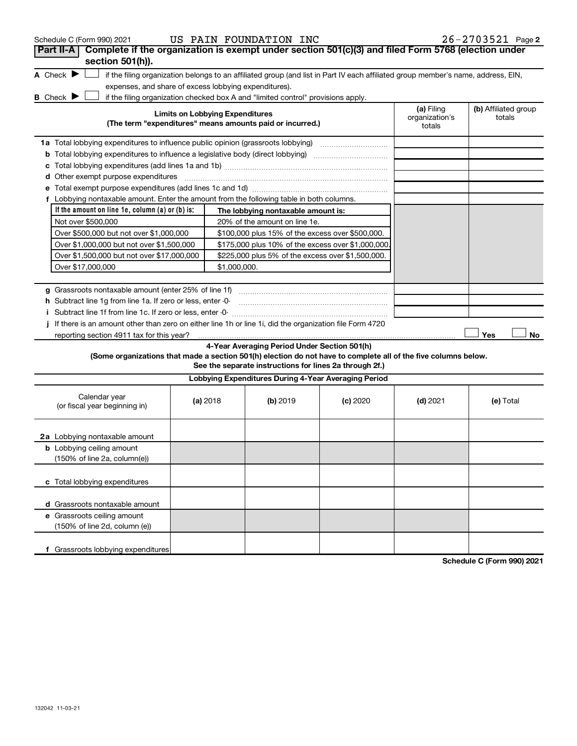| Part II-A                                                                                                                                                                |                                        | US PAIN FOUNDATION INC                                                           |                                                                                                                                                                           |                                        | $26 - 2703521$ Page 2          |
|--------------------------------------------------------------------------------------------------------------------------------------------------------------------------|----------------------------------------|----------------------------------------------------------------------------------|---------------------------------------------------------------------------------------------------------------------------------------------------------------------------|----------------------------------------|--------------------------------|
|                                                                                                                                                                          |                                        |                                                                                  | Complete if the organization is exempt under section 501(c)(3) and filed Form 5768 (election under                                                                        |                                        |                                |
| section 501(h)).<br>A Check $\blacktriangleright$                                                                                                                        |                                        |                                                                                  | if the filing organization belongs to an affiliated group (and list in Part IV each affiliated group member's name, address, EIN,                                         |                                        |                                |
| expenses, and share of excess lobbying expenditures).                                                                                                                    |                                        |                                                                                  |                                                                                                                                                                           |                                        |                                |
| <b>B</b> Check $\blacktriangleright$                                                                                                                                     |                                        | if the filing organization checked box A and "limited control" provisions apply. |                                                                                                                                                                           |                                        |                                |
|                                                                                                                                                                          | <b>Limits on Lobbying Expenditures</b> | (The term "expenditures" means amounts paid or incurred.)                        |                                                                                                                                                                           | (a) Filing<br>organization's<br>totals | (b) Affiliated group<br>totals |
|                                                                                                                                                                          |                                        |                                                                                  |                                                                                                                                                                           |                                        |                                |
| 1a Total lobbying expenditures to influence public opinion (grassroots lobbying) [11] [12] Total lobbying expenditures to influence public opinion (grassroots lobbying) |                                        |                                                                                  |                                                                                                                                                                           |                                        |                                |
|                                                                                                                                                                          |                                        |                                                                                  |                                                                                                                                                                           |                                        |                                |
|                                                                                                                                                                          |                                        |                                                                                  |                                                                                                                                                                           |                                        |                                |
| d Other exempt purpose expenditures                                                                                                                                      |                                        |                                                                                  |                                                                                                                                                                           |                                        |                                |
| f Lobbying nontaxable amount. Enter the amount from the following table in both columns.                                                                                 |                                        |                                                                                  |                                                                                                                                                                           |                                        |                                |
| If the amount on line 1e, column $(a)$ or $(b)$ is:                                                                                                                      |                                        | The lobbying nontaxable amount is:                                               |                                                                                                                                                                           |                                        |                                |
| Not over \$500,000                                                                                                                                                       |                                        | 20% of the amount on line 1e.                                                    |                                                                                                                                                                           |                                        |                                |
| Over \$500,000 but not over \$1,000,000                                                                                                                                  |                                        | \$100,000 plus 15% of the excess over \$500,000.                                 |                                                                                                                                                                           |                                        |                                |
| Over \$1,000,000 but not over \$1,500,000                                                                                                                                |                                        |                                                                                  | \$175,000 plus 10% of the excess over \$1,000,000                                                                                                                         |                                        |                                |
| Over \$1,500,000 but not over \$17,000,000                                                                                                                               |                                        |                                                                                  | \$225,000 plus 5% of the excess over \$1,500,000.                                                                                                                         |                                        |                                |
| Over \$17,000,000                                                                                                                                                        | \$1,000,000.                           |                                                                                  |                                                                                                                                                                           |                                        |                                |
|                                                                                                                                                                          |                                        |                                                                                  |                                                                                                                                                                           |                                        |                                |
| g Grassroots nontaxable amount (enter 25% of line 1f)                                                                                                                    |                                        |                                                                                  |                                                                                                                                                                           |                                        |                                |
| h Subtract line 1g from line 1a. If zero or less, enter -0-                                                                                                              |                                        |                                                                                  |                                                                                                                                                                           |                                        |                                |
|                                                                                                                                                                          |                                        |                                                                                  |                                                                                                                                                                           |                                        |                                |
|                                                                                                                                                                          |                                        |                                                                                  |                                                                                                                                                                           |                                        |                                |
| If there is an amount other than zero on either line 1h or line 1i, did the organization file Form 4720                                                                  |                                        |                                                                                  |                                                                                                                                                                           |                                        |                                |
| reporting section 4911 tax for this year?                                                                                                                                |                                        |                                                                                  |                                                                                                                                                                           |                                        | Yes                            |
|                                                                                                                                                                          |                                        | 4-Year Averaging Period Under Section 501(h)                                     |                                                                                                                                                                           |                                        |                                |
|                                                                                                                                                                          |                                        |                                                                                  | (Some organizations that made a section 501(h) election do not have to complete all of the five columns below.<br>See the separate instructions for lines 2a through 2f.) |                                        |                                |
|                                                                                                                                                                          |                                        |                                                                                  | Lobbying Expenditures During 4-Year Averaging Period                                                                                                                      |                                        |                                |
|                                                                                                                                                                          |                                        |                                                                                  |                                                                                                                                                                           |                                        | <b>No</b>                      |
| Calendar year                                                                                                                                                            | (a) 2018                               | (b) 2019                                                                         | $(c)$ 2020                                                                                                                                                                | $(d)$ 2021                             | (e) Total                      |
| (or fiscal year beginning in)                                                                                                                                            |                                        |                                                                                  |                                                                                                                                                                           |                                        |                                |
|                                                                                                                                                                          |                                        |                                                                                  |                                                                                                                                                                           |                                        |                                |
|                                                                                                                                                                          |                                        |                                                                                  |                                                                                                                                                                           |                                        |                                |
| <b>b</b> Lobbying ceiling amount                                                                                                                                         |                                        |                                                                                  |                                                                                                                                                                           |                                        |                                |
| (150% of line 2a, column(e))                                                                                                                                             |                                        |                                                                                  |                                                                                                                                                                           |                                        |                                |
|                                                                                                                                                                          |                                        |                                                                                  |                                                                                                                                                                           |                                        |                                |
| c Total lobbying expenditures                                                                                                                                            |                                        |                                                                                  |                                                                                                                                                                           |                                        |                                |
|                                                                                                                                                                          |                                        |                                                                                  |                                                                                                                                                                           |                                        |                                |
| d Grassroots nontaxable amount                                                                                                                                           |                                        |                                                                                  |                                                                                                                                                                           |                                        |                                |
| e Grassroots ceiling amount                                                                                                                                              |                                        |                                                                                  |                                                                                                                                                                           |                                        |                                |
| 2a Lobbying nontaxable amount<br>(150% of line 2d, column (e))                                                                                                           |                                        |                                                                                  |                                                                                                                                                                           |                                        |                                |
| Grassroots lobbying expenditures<br>f                                                                                                                                    |                                        |                                                                                  |                                                                                                                                                                           |                                        |                                |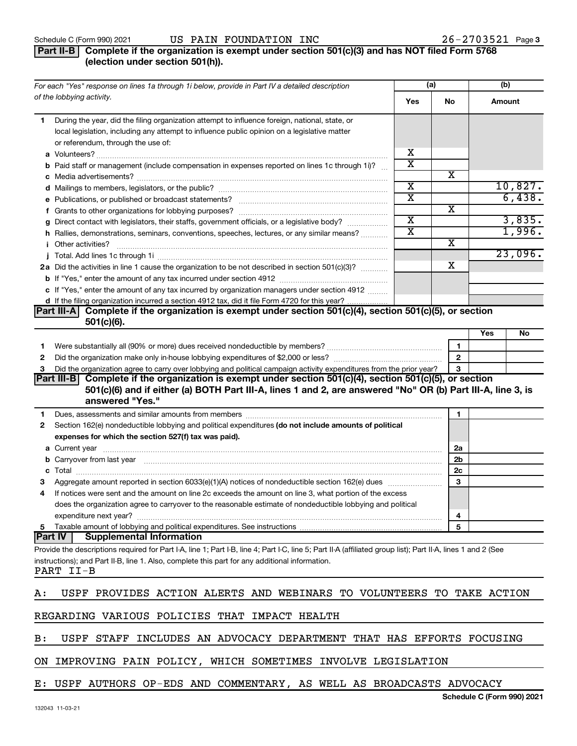#### Schedule C (Form 990) 2021 US PAIN FOUNDATION INC 26-2703521 Page

### **Part II-B Complete if the organization is exempt under section 501(c)(3) and has NOT filed Form 5768 (election under section 501(h)).**

|     | For each "Yes" response on lines 1a through 1i below, provide in Part IV a detailed description                                                                                                                                |                       | (a)                     | (b)    |         |
|-----|--------------------------------------------------------------------------------------------------------------------------------------------------------------------------------------------------------------------------------|-----------------------|-------------------------|--------|---------|
|     | of the lobbying activity.                                                                                                                                                                                                      | Yes                   | No                      | Amount |         |
| 1.  | During the year, did the filing organization attempt to influence foreign, national, state, or                                                                                                                                 |                       |                         |        |         |
|     | local legislation, including any attempt to influence public opinion on a legislative matter                                                                                                                                   |                       |                         |        |         |
|     | or referendum, through the use of:                                                                                                                                                                                             |                       |                         |        |         |
|     |                                                                                                                                                                                                                                | х                     |                         |        |         |
|     | <b>b</b> Paid staff or management (include compensation in expenses reported on lines 1c through 1i)?                                                                                                                          | $\overline{\text{x}}$ |                         |        |         |
|     |                                                                                                                                                                                                                                |                       | $\overline{\mathbf{X}}$ |        |         |
|     |                                                                                                                                                                                                                                | $\overline{\text{x}}$ |                         |        | 10,827. |
|     |                                                                                                                                                                                                                                | $\overline{\text{x}}$ |                         |        | 6,438.  |
|     |                                                                                                                                                                                                                                |                       | $\overline{\mathbf{X}}$ |        |         |
|     | g Direct contact with legislators, their staffs, government officials, or a legislative body?                                                                                                                                  | $\overline{\text{x}}$ |                         |        | 3,835.  |
|     | h Rallies, demonstrations, seminars, conventions, speeches, lectures, or any similar means?                                                                                                                                    | $\overline{\text{x}}$ |                         |        | 1,996.  |
|     | <i>i</i> Other activities?                                                                                                                                                                                                     |                       | $\overline{\mathbf{X}}$ |        |         |
|     |                                                                                                                                                                                                                                |                       |                         |        | 23,096. |
|     | 2a Did the activities in line 1 cause the organization to be not described in section 501(c)(3)?                                                                                                                               |                       | х                       |        |         |
|     |                                                                                                                                                                                                                                |                       |                         |        |         |
|     | c If "Yes," enter the amount of any tax incurred by organization managers under section 4912                                                                                                                                   |                       |                         |        |         |
|     | d If the filing organization incurred a section 4912 tax, did it file Form 4720 for this year?                                                                                                                                 |                       |                         |        |         |
|     | Complete if the organization is exempt under section 501(c)(4), section 501(c)(5), or section<br><b>Part III-A</b>                                                                                                             |                       |                         |        |         |
|     | $501(c)(6)$ .                                                                                                                                                                                                                  |                       |                         |        |         |
|     |                                                                                                                                                                                                                                |                       |                         | Yes    | No      |
| 1   |                                                                                                                                                                                                                                |                       | $\mathbf{1}$            |        |         |
| 2   |                                                                                                                                                                                                                                |                       | $\overline{2}$          |        |         |
| з   | Did the organization agree to carry over lobbying and political campaign activity expenditures from the prior year?                                                                                                            |                       | 3                       |        |         |
|     | Complete if the organization is exempt under section 501(c)(4), section 501(c)(5), or section<br> Part III-B                                                                                                                   |                       |                         |        |         |
|     | 501(c)(6) and if either (a) BOTH Part III-A, lines 1 and 2, are answered "No" OR (b) Part III-A, line 3, is                                                                                                                    |                       |                         |        |         |
|     | answered "Yes."                                                                                                                                                                                                                |                       |                         |        |         |
| 1   | Dues, assessments and similar amounts from members [111] Dues, assessments and similar and similar amounts from members [111] Dues, assessments and similar amounts from members [11] Dues and Superior and Superior and Super |                       | 1                       |        |         |
| 2   | Section 162(e) nondeductible lobbying and political expenditures (do not include amounts of political                                                                                                                          |                       |                         |        |         |
|     | expenses for which the section 527(f) tax was paid).                                                                                                                                                                           |                       |                         |        |         |
|     |                                                                                                                                                                                                                                |                       | 2a                      |        |         |
|     | b Carryover from last year manufactured and content to content the content of the content of the content of the content of the content of the content of the content of the content of the content of the content of the conte |                       | 2 <sub>b</sub>          |        |         |
|     |                                                                                                                                                                                                                                |                       | 2c                      |        |         |
| з   |                                                                                                                                                                                                                                |                       | 3                       |        |         |
| 4   | If notices were sent and the amount on line 2c exceeds the amount on line 3, what portion of the excess                                                                                                                        |                       |                         |        |         |
|     | does the organization agree to carryover to the reasonable estimate of nondeductible lobbying and political                                                                                                                    |                       |                         |        |         |
|     | expenditure next year?                                                                                                                                                                                                         |                       | 4                       |        |         |
| 5.  |                                                                                                                                                                                                                                |                       | 5                       |        |         |
|     | <b>Part IV</b><br><b>Supplemental Information</b>                                                                                                                                                                              |                       |                         |        |         |
|     | Provide the descriptions required for Part I-A, line 1; Part I-B, line 4; Part I-C, line 5; Part II-A (affiliated group list); Part II-A, lines 1 and 2 (See                                                                   |                       |                         |        |         |
|     | instructions); and Part II-B, line 1. Also, complete this part for any additional information.<br>PART II-B                                                                                                                    |                       |                         |        |         |
|     |                                                                                                                                                                                                                                |                       |                         |        |         |
| А:  | USPF<br>PROVIDES ACTION ALERTS AND WEBINARS TO VOLUNTEERS TO TAKE ACTION                                                                                                                                                       |                       |                         |        |         |
|     | REGARDING VARIOUS POLICIES THAT<br>IMPACT<br>HEALTH                                                                                                                                                                            |                       |                         |        |         |
|     |                                                                                                                                                                                                                                |                       |                         |        |         |
| B:  | INCLUDES AN ADVOCACY DEPARTMENT THAT HAS EFFORTS FOCUSING<br>USPF STAFF                                                                                                                                                        |                       |                         |        |         |
| ON. | IMPROVING PAIN POLICY, WHICH SOMETIMES INVOLVE LEGISLATION                                                                                                                                                                     |                       |                         |        |         |
| E:  | USPF AUTHORS OP-EDS AND COMMENTARY, AS WELL AS BROADCASTS ADVOCACY                                                                                                                                                             |                       |                         |        |         |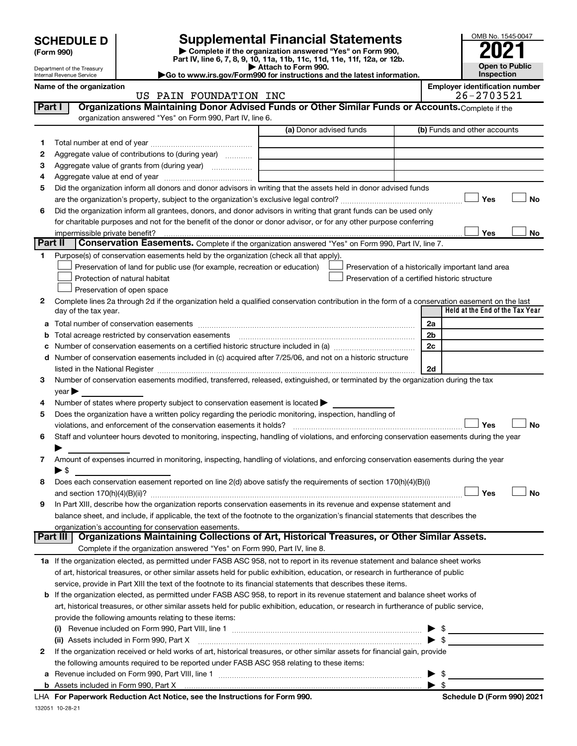| (Form 990) |
|------------|
|            |

132051 10-28-21

**| Complete if the organization answered "Yes" on Form 990, Part IV, line 6, 7, 8, 9, 10, 11a, 11b, 11c, 11d, 11e, 11f, 12a, or 12b. SCHEDULE D Supplemental Financial Statements**<br> **Form 990 Example 5 2021**<br>
Part IV. line 6, 7, 8, 9, 10, 11a, 11b, 11c, 11d, 11e, 11f, 12a, or 12b.

**| Attach to Form 990. |Go to www.irs.gov/Form990 for instructions and the latest information.**



Department of the Treasury Internal Revenue Service

| Name of the organization                                                                                                  | <b>Emplover identification number</b> |
|---------------------------------------------------------------------------------------------------------------------------|---------------------------------------|
| US PAIN FOUNDATION INC                                                                                                    | 26-2703521                            |
| <b>Part I</b><br><b>Organizations Maintaining Donor Advised Funds or Other Similar Funds or Accounts.</b> Complete if the |                                       |
| averated in a current IVest on Fause 000, Dest IV, line C.                                                                |                                       |

|         | organization answered "Yes" on Form 990, Part IV, line 6.                                                                                                        |                         |                                                |                          |                                                    |
|---------|------------------------------------------------------------------------------------------------------------------------------------------------------------------|-------------------------|------------------------------------------------|--------------------------|----------------------------------------------------|
|         |                                                                                                                                                                  | (a) Donor advised funds |                                                |                          | (b) Funds and other accounts                       |
| 1.      |                                                                                                                                                                  |                         |                                                |                          |                                                    |
| 2       | Aggregate value of contributions to (during year)                                                                                                                |                         |                                                |                          |                                                    |
| з       | Aggregate value of grants from (during year)                                                                                                                     |                         |                                                |                          |                                                    |
| 4       |                                                                                                                                                                  |                         |                                                |                          |                                                    |
| 5       | Did the organization inform all donors and donor advisors in writing that the assets held in donor advised funds                                                 |                         |                                                |                          |                                                    |
|         |                                                                                                                                                                  |                         |                                                |                          | Yes<br><b>No</b>                                   |
| 6       | Did the organization inform all grantees, donors, and donor advisors in writing that grant funds can be used only                                                |                         |                                                |                          |                                                    |
|         | for charitable purposes and not for the benefit of the donor or donor advisor, or for any other purpose conferring                                               |                         |                                                |                          |                                                    |
|         | impermissible private benefit?                                                                                                                                   |                         |                                                |                          | Yes<br>No                                          |
| Part II | Conservation Easements. Complete if the organization answered "Yes" on Form 990, Part IV, line 7.                                                                |                         |                                                |                          |                                                    |
| 1.      | Purpose(s) of conservation easements held by the organization (check all that apply).                                                                            |                         |                                                |                          |                                                    |
|         | Preservation of land for public use (for example, recreation or education)                                                                                       |                         |                                                |                          | Preservation of a historically important land area |
|         | Protection of natural habitat                                                                                                                                    |                         | Preservation of a certified historic structure |                          |                                                    |
|         | Preservation of open space                                                                                                                                       |                         |                                                |                          |                                                    |
| 2       | Complete lines 2a through 2d if the organization held a qualified conservation contribution in the form of a conservation easement on the last                   |                         |                                                |                          |                                                    |
|         | day of the tax year.                                                                                                                                             |                         |                                                |                          | Held at the End of the Tax Year                    |
|         |                                                                                                                                                                  |                         |                                                | 2a                       |                                                    |
|         |                                                                                                                                                                  |                         |                                                | 2b                       |                                                    |
| с       | Number of conservation easements on a certified historic structure included in (a) manufacture included in (a)                                                   |                         |                                                | 2c                       |                                                    |
|         | d Number of conservation easements included in (c) acquired after 7/25/06, and not on a historic structure                                                       |                         |                                                |                          |                                                    |
|         | listed in the National Register [111] Marshall Marshall Marshall Marshall Marshall Marshall Marshall Marshall M                                                  |                         |                                                | 2d                       |                                                    |
| З       | Number of conservation easements modified, transferred, released, extinguished, or terminated by the organization during the tax                                 |                         |                                                |                          |                                                    |
|         | year                                                                                                                                                             |                         |                                                |                          |                                                    |
| 4       | Number of states where property subject to conservation easement is located >                                                                                    |                         |                                                |                          |                                                    |
| 5       | Does the organization have a written policy regarding the periodic monitoring, inspection, handling of                                                           |                         |                                                |                          |                                                    |
|         | violations, and enforcement of the conservation easements it holds?                                                                                              |                         |                                                |                          | Yes<br><b>No</b>                                   |
| 6       | Staff and volunteer hours devoted to monitoring, inspecting, handling of violations, and enforcing conservation easements during the year                        |                         |                                                |                          |                                                    |
|         |                                                                                                                                                                  |                         |                                                |                          |                                                    |
| 7       | Amount of expenses incurred in monitoring, inspecting, handling of violations, and enforcing conservation easements during the year                              |                         |                                                |                          |                                                    |
|         | ▶ \$                                                                                                                                                             |                         |                                                |                          |                                                    |
| 8       | Does each conservation easement reported on line 2(d) above satisfy the requirements of section 170(h)(4)(B)(i)                                                  |                         |                                                |                          | <b>No</b><br>Yes                                   |
|         |                                                                                                                                                                  |                         |                                                |                          |                                                    |
| 9       | In Part XIII, describe how the organization reports conservation easements in its revenue and expense statement and                                              |                         |                                                |                          |                                                    |
|         | balance sheet, and include, if applicable, the text of the footnote to the organization's financial statements that describes the                                |                         |                                                |                          |                                                    |
|         | organization's accounting for conservation easements.<br>Part III   Organizations Maintaining Collections of Art, Historical Treasures, or Other Similar Assets. |                         |                                                |                          |                                                    |
|         | Complete if the organization answered "Yes" on Form 990, Part IV, line 8.                                                                                        |                         |                                                |                          |                                                    |
|         | 1a If the organization elected, as permitted under FASB ASC 958, not to report in its revenue statement and balance sheet works                                  |                         |                                                |                          |                                                    |
|         | of art, historical treasures, or other similar assets held for public exhibition, education, or research in furtherance of public                                |                         |                                                |                          |                                                    |
|         | service, provide in Part XIII the text of the footnote to its financial statements that describes these items.                                                   |                         |                                                |                          |                                                    |
|         | <b>b</b> If the organization elected, as permitted under FASB ASC 958, to report in its revenue statement and balance sheet works of                             |                         |                                                |                          |                                                    |
|         | art, historical treasures, or other similar assets held for public exhibition, education, or research in furtherance of public service,                          |                         |                                                |                          |                                                    |
|         | provide the following amounts relating to these items:                                                                                                           |                         |                                                |                          |                                                    |
|         |                                                                                                                                                                  |                         |                                                |                          | $\triangleright$ \$                                |
|         | (ii) Assets included in Form 990, Part X                                                                                                                         |                         |                                                |                          | $\blacktriangleright$ \$                           |
| 2       | If the organization received or held works of art, historical treasures, or other similar assets for financial gain, provide                                     |                         |                                                |                          |                                                    |
|         | the following amounts required to be reported under FASB ASC 958 relating to these items:                                                                        |                         |                                                |                          |                                                    |
|         |                                                                                                                                                                  |                         |                                                | $\blacktriangleright$ \$ |                                                    |
|         |                                                                                                                                                                  |                         |                                                | $\blacktriangleright$ \$ |                                                    |
|         | LHA For Paperwork Reduction Act Notice, see the Instructions for Form 990.                                                                                       |                         |                                                |                          | Schedule D (Form 990) 2021                         |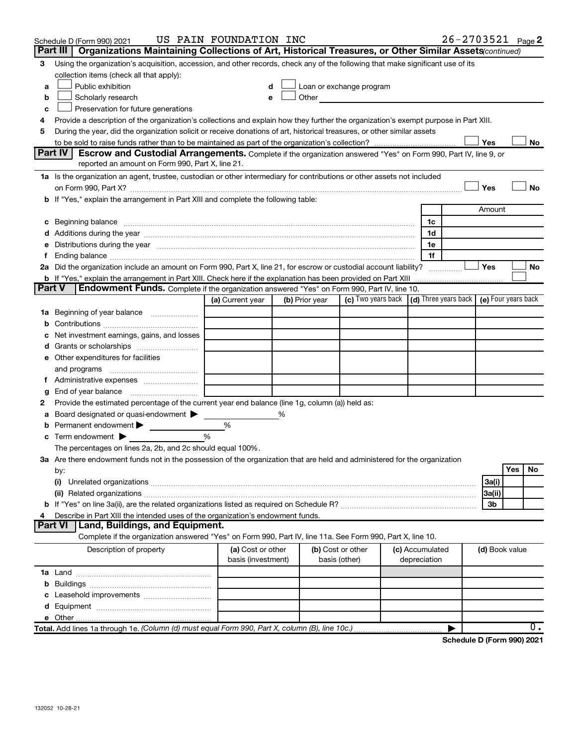|        | Schedule D (Form 990) 2021                                                                                                                                                                                                     | US PAIN FOUNDATION INC                  |                |                                    |                                                                                                                                                                                                                               |              |                 | 26-2703521 Page 2 |           |
|--------|--------------------------------------------------------------------------------------------------------------------------------------------------------------------------------------------------------------------------------|-----------------------------------------|----------------|------------------------------------|-------------------------------------------------------------------------------------------------------------------------------------------------------------------------------------------------------------------------------|--------------|-----------------|-------------------|-----------|
|        | Part III   Organizations Maintaining Collections of Art, Historical Treasures, or Other Similar Assets (continued)                                                                                                             |                                         |                |                                    |                                                                                                                                                                                                                               |              |                 |                   |           |
| 3      | Using the organization's acquisition, accession, and other records, check any of the following that make significant use of its                                                                                                |                                         |                |                                    |                                                                                                                                                                                                                               |              |                 |                   |           |
|        | collection items (check all that apply):                                                                                                                                                                                       |                                         |                |                                    |                                                                                                                                                                                                                               |              |                 |                   |           |
| a      | Public exhibition                                                                                                                                                                                                              | d                                       |                |                                    | Loan or exchange program                                                                                                                                                                                                      |              |                 |                   |           |
| b      | Scholarly research                                                                                                                                                                                                             | e                                       |                |                                    | Other and the contract of the contract of the contract of the contract of the contract of the contract of the contract of the contract of the contract of the contract of the contract of the contract of the contract of the |              |                 |                   |           |
| с      | Preservation for future generations                                                                                                                                                                                            |                                         |                |                                    |                                                                                                                                                                                                                               |              |                 |                   |           |
| 4      | Provide a description of the organization's collections and explain how they further the organization's exempt purpose in Part XIII.                                                                                           |                                         |                |                                    |                                                                                                                                                                                                                               |              |                 |                   |           |
| 5      | During the year, did the organization solicit or receive donations of art, historical treasures, or other similar assets                                                                                                       |                                         |                |                                    |                                                                                                                                                                                                                               |              |                 |                   |           |
|        |                                                                                                                                                                                                                                |                                         |                |                                    |                                                                                                                                                                                                                               |              |                 | Yes               | No        |
|        | <b>Part IV</b><br><b>Escrow and Custodial Arrangements.</b> Complete if the organization answered "Yes" on Form 990, Part IV, line 9, or                                                                                       |                                         |                |                                    |                                                                                                                                                                                                                               |              |                 |                   |           |
|        | reported an amount on Form 990, Part X, line 21.                                                                                                                                                                               |                                         |                |                                    |                                                                                                                                                                                                                               |              |                 |                   |           |
|        | 1a Is the organization an agent, trustee, custodian or other intermediary for contributions or other assets not included                                                                                                       |                                         |                |                                    |                                                                                                                                                                                                                               |              |                 |                   |           |
|        |                                                                                                                                                                                                                                |                                         |                |                                    |                                                                                                                                                                                                                               |              |                 | Yes               | <b>No</b> |
|        | b If "Yes," explain the arrangement in Part XIII and complete the following table:                                                                                                                                             |                                         |                |                                    |                                                                                                                                                                                                                               |              |                 |                   |           |
|        |                                                                                                                                                                                                                                |                                         |                |                                    |                                                                                                                                                                                                                               |              |                 | Amount            |           |
|        |                                                                                                                                                                                                                                |                                         |                |                                    |                                                                                                                                                                                                                               |              | 1c              |                   |           |
|        |                                                                                                                                                                                                                                |                                         |                |                                    |                                                                                                                                                                                                                               |              | 1d              |                   |           |
|        | e Distributions during the year manufactured and contain an account of the year manufactured and the year manufactured and the year manufactured and the year manufactured and the year manufactured and the year manufactured |                                         |                |                                    |                                                                                                                                                                                                                               |              | 1е              |                   |           |
|        |                                                                                                                                                                                                                                |                                         |                |                                    |                                                                                                                                                                                                                               |              | 1f              |                   |           |
|        | 2a Did the organization include an amount on Form 990, Part X, line 21, for escrow or custodial account liability?                                                                                                             |                                         |                |                                    |                                                                                                                                                                                                                               |              | .               | Yes               | No        |
|        | <b>b</b> If "Yes," explain the arrangement in Part XIII. Check here if the explanation has been provided on Part XIII                                                                                                          |                                         |                |                                    |                                                                                                                                                                                                                               |              |                 |                   |           |
| Part V | <b>Endowment Funds.</b> Complete if the organization answered "Yes" on Form 990, Part IV, line 10.                                                                                                                             |                                         |                |                                    |                                                                                                                                                                                                                               |              |                 |                   |           |
|        |                                                                                                                                                                                                                                | (a) Current year                        | (b) Prior year |                                    | (c) Two years back   (d) Three years back   (e) Four years back                                                                                                                                                               |              |                 |                   |           |
|        |                                                                                                                                                                                                                                |                                         |                |                                    |                                                                                                                                                                                                                               |              |                 |                   |           |
|        |                                                                                                                                                                                                                                |                                         |                |                                    |                                                                                                                                                                                                                               |              |                 |                   |           |
|        | Net investment earnings, gains, and losses                                                                                                                                                                                     |                                         |                |                                    |                                                                                                                                                                                                                               |              |                 |                   |           |
|        |                                                                                                                                                                                                                                |                                         |                |                                    |                                                                                                                                                                                                                               |              |                 |                   |           |
|        | e Other expenditures for facilities                                                                                                                                                                                            |                                         |                |                                    |                                                                                                                                                                                                                               |              |                 |                   |           |
|        |                                                                                                                                                                                                                                |                                         |                |                                    |                                                                                                                                                                                                                               |              |                 |                   |           |
|        |                                                                                                                                                                                                                                |                                         |                |                                    |                                                                                                                                                                                                                               |              |                 |                   |           |
| g      |                                                                                                                                                                                                                                |                                         |                |                                    |                                                                                                                                                                                                                               |              |                 |                   |           |
| 2      | Provide the estimated percentage of the current year end balance (line 1g, column (a)) held as:                                                                                                                                |                                         |                |                                    |                                                                                                                                                                                                                               |              |                 |                   |           |
| а      | Board designated or quasi-endowment                                                                                                                                                                                            |                                         | %              |                                    |                                                                                                                                                                                                                               |              |                 |                   |           |
|        | Permanent endowment                                                                                                                                                                                                            | %                                       |                |                                    |                                                                                                                                                                                                                               |              |                 |                   |           |
|        | Term endowment $\blacktriangleright$                                                                                                                                                                                           | %                                       |                |                                    |                                                                                                                                                                                                                               |              |                 |                   |           |
|        | The percentages on lines 2a, 2b, and 2c should equal 100%.                                                                                                                                                                     |                                         |                |                                    |                                                                                                                                                                                                                               |              |                 |                   |           |
|        | 3a Are there endowment funds not in the possession of the organization that are held and administered for the organization                                                                                                     |                                         |                |                                    |                                                                                                                                                                                                                               |              |                 |                   |           |
|        | by:                                                                                                                                                                                                                            |                                         |                |                                    |                                                                                                                                                                                                                               |              |                 |                   | Yes<br>No |
|        | (i)                                                                                                                                                                                                                            |                                         |                |                                    |                                                                                                                                                                                                                               |              |                 | 3a(i)             |           |
|        |                                                                                                                                                                                                                                |                                         |                |                                    |                                                                                                                                                                                                                               |              |                 | 3a(ii)            |           |
|        |                                                                                                                                                                                                                                |                                         |                |                                    |                                                                                                                                                                                                                               |              |                 | 3b                |           |
|        | Describe in Part XIII the intended uses of the organization's endowment funds.<br><b>Land, Buildings, and Equipment.</b><br>Part VI                                                                                            |                                         |                |                                    |                                                                                                                                                                                                                               |              |                 |                   |           |
|        | Complete if the organization answered "Yes" on Form 990, Part IV, line 11a. See Form 990, Part X, line 10.                                                                                                                     |                                         |                |                                    |                                                                                                                                                                                                                               |              |                 |                   |           |
|        |                                                                                                                                                                                                                                |                                         |                |                                    |                                                                                                                                                                                                                               |              |                 |                   |           |
|        | Description of property                                                                                                                                                                                                        | (a) Cost or other<br>basis (investment) |                | (b) Cost or other<br>basis (other) |                                                                                                                                                                                                                               | depreciation | (c) Accumulated | (d) Book value    |           |
|        |                                                                                                                                                                                                                                |                                         |                |                                    |                                                                                                                                                                                                                               |              |                 |                   |           |
|        |                                                                                                                                                                                                                                |                                         |                |                                    |                                                                                                                                                                                                                               |              |                 |                   |           |
|        |                                                                                                                                                                                                                                |                                         |                |                                    |                                                                                                                                                                                                                               |              |                 |                   |           |
|        |                                                                                                                                                                                                                                |                                         |                |                                    |                                                                                                                                                                                                                               |              |                 |                   |           |
|        |                                                                                                                                                                                                                                |                                         |                |                                    |                                                                                                                                                                                                                               |              |                 |                   |           |
|        | Total. Add lines 1a through 1e. (Column (d) must equal Form 990, Part X, column (B), line 10c.)                                                                                                                                |                                         |                |                                    |                                                                                                                                                                                                                               |              |                 |                   | 0.        |
|        |                                                                                                                                                                                                                                |                                         |                |                                    |                                                                                                                                                                                                                               |              |                 |                   |           |

**Schedule D (Form 990) 2021**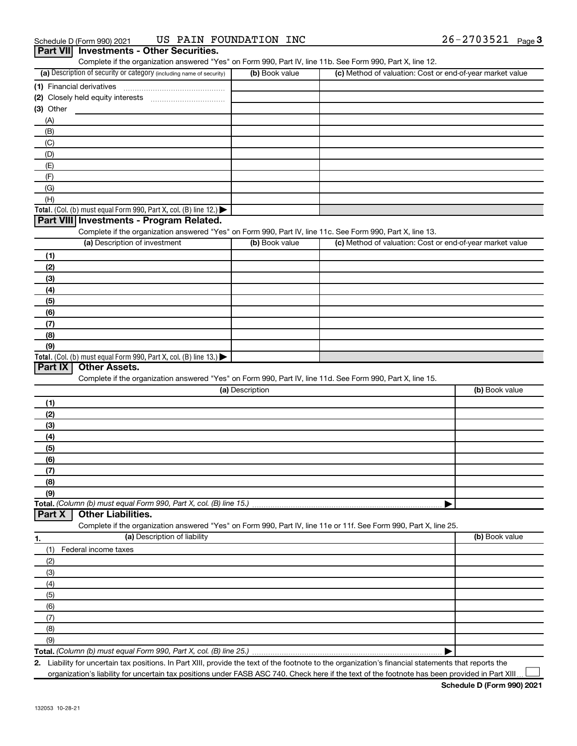|  |  | Schedule D (Form 990) 2021 | US | PAIN | FOUNDATION | INC | $\cap$ $\cap$ $\cap$<br>70<br>. .<br>בגכי<br>. | Page 3 |
|--|--|----------------------------|----|------|------------|-----|------------------------------------------------|--------|
|--|--|----------------------------|----|------|------------|-----|------------------------------------------------|--------|

| Complete if the organization answered "Yes" on Form 990, Part IV, line 11b. See Form 990, Part X, line 12.        |                 |                                                           |                |
|-------------------------------------------------------------------------------------------------------------------|-----------------|-----------------------------------------------------------|----------------|
| (a) Description of security or category (including name of security)                                              | (b) Book value  | (c) Method of valuation: Cost or end-of-year market value |                |
| (1) Financial derivatives                                                                                         |                 |                                                           |                |
|                                                                                                                   |                 |                                                           |                |
| (3) Other                                                                                                         |                 |                                                           |                |
| (A)                                                                                                               |                 |                                                           |                |
| (B)                                                                                                               |                 |                                                           |                |
| (C)                                                                                                               |                 |                                                           |                |
| (D)                                                                                                               |                 |                                                           |                |
| (E)                                                                                                               |                 |                                                           |                |
| (F)                                                                                                               |                 |                                                           |                |
| (G)                                                                                                               |                 |                                                           |                |
| (H)                                                                                                               |                 |                                                           |                |
| Total. (Col. (b) must equal Form 990, Part X, col. (B) line 12.)                                                  |                 |                                                           |                |
| Part VIII Investments - Program Related.                                                                          |                 |                                                           |                |
| Complete if the organization answered "Yes" on Form 990, Part IV, line 11c. See Form 990, Part X, line 13.        |                 |                                                           |                |
| (a) Description of investment                                                                                     | (b) Book value  | (c) Method of valuation: Cost or end-of-year market value |                |
| (1)                                                                                                               |                 |                                                           |                |
| (2)                                                                                                               |                 |                                                           |                |
| (3)                                                                                                               |                 |                                                           |                |
| (4)                                                                                                               |                 |                                                           |                |
| (5)                                                                                                               |                 |                                                           |                |
| (6)                                                                                                               |                 |                                                           |                |
| (7)                                                                                                               |                 |                                                           |                |
| (8)                                                                                                               |                 |                                                           |                |
| (9)                                                                                                               |                 |                                                           |                |
| Total. (Col. (b) must equal Form 990, Part X, col. (B) line $13.$ )                                               |                 |                                                           |                |
| Part IX<br><b>Other Assets.</b>                                                                                   |                 |                                                           |                |
| Complete if the organization answered "Yes" on Form 990, Part IV, line 11d. See Form 990, Part X, line 15.        |                 |                                                           |                |
|                                                                                                                   | (a) Description |                                                           | (b) Book value |
| (1)                                                                                                               |                 |                                                           |                |
| (2)                                                                                                               |                 |                                                           |                |
|                                                                                                                   |                 |                                                           |                |
|                                                                                                                   |                 |                                                           |                |
| (3)                                                                                                               |                 |                                                           |                |
| (4)                                                                                                               |                 |                                                           |                |
| (5)                                                                                                               |                 |                                                           |                |
| (6)                                                                                                               |                 |                                                           |                |
| (7)                                                                                                               |                 |                                                           |                |
| (8)                                                                                                               |                 |                                                           |                |
| (9)                                                                                                               |                 |                                                           |                |
|                                                                                                                   |                 |                                                           |                |
| <b>Other Liabilities.</b><br>Part X                                                                               |                 |                                                           |                |
| Complete if the organization answered "Yes" on Form 990, Part IV, line 11e or 11f. See Form 990, Part X, line 25. |                 |                                                           |                |
| (a) Description of liability                                                                                      |                 |                                                           | (b) Book value |
| Federal income taxes<br>(1)                                                                                       |                 |                                                           |                |
| (2)                                                                                                               |                 |                                                           |                |
| (3)                                                                                                               |                 |                                                           |                |
| (4)                                                                                                               |                 |                                                           |                |
| (5)                                                                                                               |                 |                                                           |                |
| (6)                                                                                                               |                 |                                                           |                |
| (7)                                                                                                               |                 |                                                           |                |
| (8)                                                                                                               |                 |                                                           |                |
| Total. (Column (b) must equal Form 990, Part X, col. (B) line 15.)<br>1.<br>(9)                                   |                 |                                                           |                |

**2.** Liability for uncertain tax positions. In Part XIII, provide the text of the footnote to the organization's financial statements that reports the organization's liability for uncertain tax positions under FASB ASC 740. Check here if the text of the footnote has been provided in Part XIII.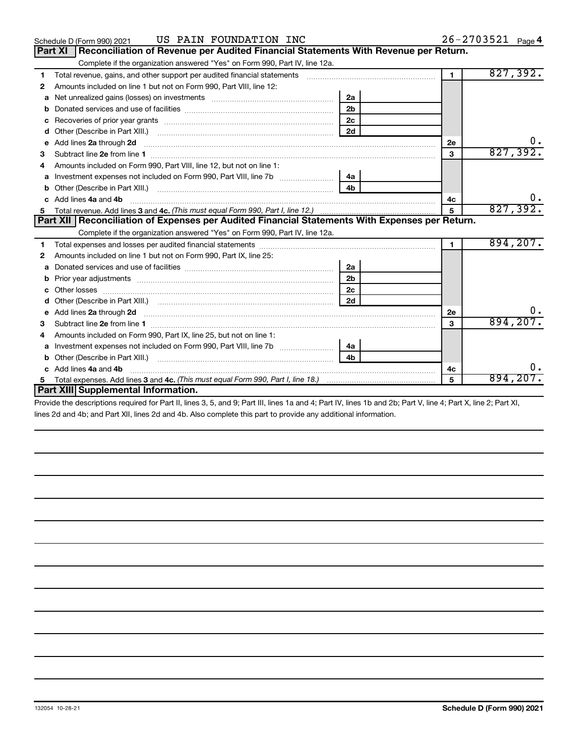|              | US PAIN FOUNDATION INC<br>Schedule D (Form 990) 2021                                                                |                |              | $26 - 2703521$ Page 4 |
|--------------|---------------------------------------------------------------------------------------------------------------------|----------------|--------------|-----------------------|
|              | Reconciliation of Revenue per Audited Financial Statements With Revenue per Return.<br><b>Part XI</b>               |                |              |                       |
|              | Complete if the organization answered "Yes" on Form 990, Part IV, line 12a.                                         |                |              |                       |
| 1            | Total revenue, gains, and other support per audited financial statements [[[[[[[[[[[[[[[[[[[[[[[[]]]]]]]]]]]]       |                | $\mathbf{1}$ | 827,392.              |
| $\mathbf{2}$ | Amounts included on line 1 but not on Form 990, Part VIII, line 12:                                                 |                |              |                       |
| a            | Net unrealized gains (losses) on investments [11] matter contracts and the unrealized gains (losses) on investments | 2a             |              |                       |
| b            |                                                                                                                     | 2 <sub>b</sub> |              |                       |
| c            |                                                                                                                     | 2c             |              |                       |
| d            |                                                                                                                     | 2d             |              |                       |
| e            | Add lines 2a through 2d                                                                                             |                | 2e           | $0$ .                 |
| з            |                                                                                                                     |                | $\mathbf{3}$ | 827,392.              |
| 4            | Amounts included on Form 990. Part VIII. line 12, but not on line 1:                                                |                |              |                       |
| a            | Investment expenses not included on Form 990, Part VIII, line 7b                                                    | 4a             |              |                       |
| b            |                                                                                                                     | 4 <sub>b</sub> |              |                       |
| c            | Add lines 4a and 4b                                                                                                 |                | 4с           |                       |
| 5            |                                                                                                                     |                | 5            | 827, 392.             |
|              | Part XII   Reconciliation of Expenses per Audited Financial Statements With Expenses per Return.                    |                |              |                       |
|              | Complete if the organization answered "Yes" on Form 990, Part IV, line 12a.                                         |                |              |                       |
| 1            |                                                                                                                     |                |              |                       |
| 2            |                                                                                                                     |                | $\mathbf{1}$ | 894, 207.             |
|              | Amounts included on line 1 but not on Form 990, Part IX, line 25:                                                   |                |              |                       |
| a            |                                                                                                                     | 2a             |              |                       |
| b            |                                                                                                                     | 2 <sub>b</sub> |              |                       |
| с            |                                                                                                                     | 2 <sub>c</sub> |              |                       |
| d            |                                                                                                                     | 2d             |              |                       |
| e            | Add lines 2a through 2d                                                                                             |                | <b>2e</b>    |                       |
| 3            |                                                                                                                     |                | 3            | 894, 207.             |
| 4            | Amounts included on Form 990, Part IX, line 25, but not on line 1:                                                  |                |              |                       |
| a            |                                                                                                                     |                |              |                       |
|              |                                                                                                                     | 4h.            |              |                       |
| c            | Add lines 4a and 4b                                                                                                 |                | 4c           |                       |
|              | Part XIII Supplemental Information.                                                                                 |                | 5            | 894,207               |

Provide the descriptions required for Part II, lines 3, 5, and 9; Part III, lines 1a and 4; Part IV, lines 1b and 2b; Part V, line 4; Part X, line 2; Part XI, lines 2d and 4b; and Part XII, lines 2d and 4b. Also complete this part to provide any additional information.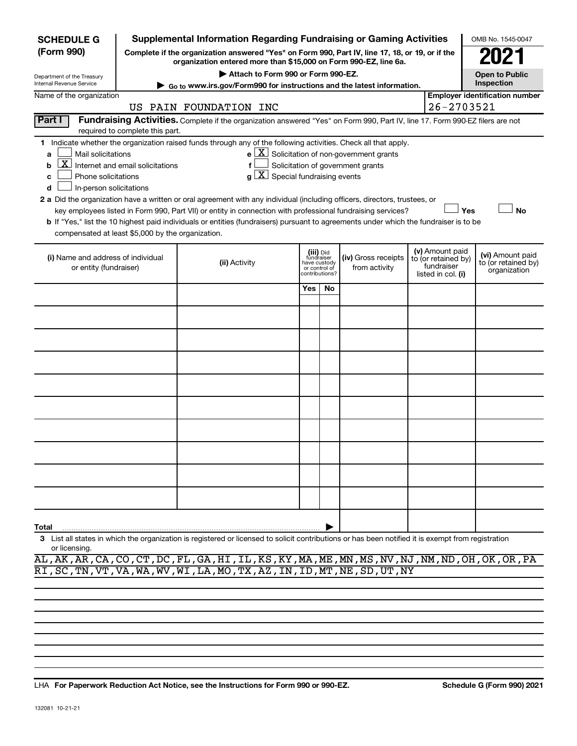| <b>SCHEDULE G</b>                  |                                                       | <b>Supplemental Information Regarding Fundraising or Gaming Activities</b>                                                                                          |     |                                         |                                                              |                                  |                                        | OMB No. 1545-0047                       |
|------------------------------------|-------------------------------------------------------|---------------------------------------------------------------------------------------------------------------------------------------------------------------------|-----|-----------------------------------------|--------------------------------------------------------------|----------------------------------|----------------------------------------|-----------------------------------------|
| (Form 990)                         |                                                       | Complete if the organization answered "Yes" on Form 990, Part IV, line 17, 18, or 19, or if the<br>organization entered more than \$15,000 on Form 990-EZ, line 6a. |     |                                         |                                                              |                                  |                                        |                                         |
| Department of the Treasury         |                                                       | Attach to Form 990 or Form 990-EZ.                                                                                                                                  |     |                                         |                                                              |                                  |                                        | <b>Open to Public</b>                   |
| Internal Revenue Service           |                                                       | ► Go to www.irs.gov/Form990 for instructions and the latest information.                                                                                            |     |                                         |                                                              |                                  |                                        | Inspection                              |
| Name of the organization           |                                                       |                                                                                                                                                                     |     |                                         |                                                              |                                  |                                        | <b>Employer identification number</b>   |
|                                    |                                                       | US PAIN FOUNDATION INC                                                                                                                                              |     |                                         |                                                              |                                  | 26-2703521                             |                                         |
| Part I                             | required to complete this part.                       | Fundraising Activities. Complete if the organization answered "Yes" on Form 990, Part IV, line 17. Form 990-EZ filers are not                                       |     |                                         |                                                              |                                  |                                        |                                         |
|                                    |                                                       | 1 Indicate whether the organization raised funds through any of the following activities. Check all that apply.                                                     |     |                                         |                                                              |                                  |                                        |                                         |
| Mail solicitations<br>a            |                                                       |                                                                                                                                                                     |     |                                         | $e$ $\boxed{\text{X}}$ Solicitation of non-government grants |                                  |                                        |                                         |
| b                                  | $\boxed{\textbf{X}}$ Internet and email solicitations | f                                                                                                                                                                   |     |                                         | Solicitation of government grants                            |                                  |                                        |                                         |
| Phone solicitations<br>c           |                                                       | $ \mathbf{X} $ Special fundraising events<br>a l                                                                                                                    |     |                                         |                                                              |                                  |                                        |                                         |
| In-person solicitations<br>d       |                                                       |                                                                                                                                                                     |     |                                         |                                                              |                                  |                                        |                                         |
|                                    |                                                       | 2 a Did the organization have a written or oral agreement with any individual (including officers, directors, trustees, or                                          |     |                                         |                                                              |                                  |                                        |                                         |
|                                    |                                                       | key employees listed in Form 990, Part VII) or entity in connection with professional fundraising services?                                                         |     |                                         |                                                              |                                  | Yes                                    | <b>No</b>                               |
|                                    | compensated at least \$5,000 by the organization.     | b If "Yes," list the 10 highest paid individuals or entities (fundraisers) pursuant to agreements under which the fundraiser is to be                               |     |                                         |                                                              |                                  |                                        |                                         |
|                                    |                                                       |                                                                                                                                                                     |     |                                         |                                                              |                                  |                                        |                                         |
| (i) Name and address of individual |                                                       | (ii) Activity                                                                                                                                                       |     | (iii) Did<br>fundraiser<br>have custody | (iv) Gross receipts                                          |                                  | (v) Amount paid<br>to (or retained by) | (vi) Amount paid<br>to (or retained by) |
| or entity (fundraiser)             |                                                       |                                                                                                                                                                     |     | or control of<br>contributions?         | from activity                                                | fundraiser<br>listed in col. (i) |                                        | organization                            |
|                                    |                                                       |                                                                                                                                                                     | Yes | <b>No</b>                               |                                                              |                                  |                                        |                                         |
|                                    |                                                       |                                                                                                                                                                     |     |                                         |                                                              |                                  |                                        |                                         |
|                                    |                                                       |                                                                                                                                                                     |     |                                         |                                                              |                                  |                                        |                                         |
|                                    |                                                       |                                                                                                                                                                     |     |                                         |                                                              |                                  |                                        |                                         |
|                                    |                                                       |                                                                                                                                                                     |     |                                         |                                                              |                                  |                                        |                                         |
|                                    |                                                       |                                                                                                                                                                     |     |                                         |                                                              |                                  |                                        |                                         |
|                                    |                                                       |                                                                                                                                                                     |     |                                         |                                                              |                                  |                                        |                                         |
|                                    |                                                       |                                                                                                                                                                     |     |                                         |                                                              |                                  |                                        |                                         |
|                                    |                                                       |                                                                                                                                                                     |     |                                         |                                                              |                                  |                                        |                                         |
|                                    |                                                       |                                                                                                                                                                     |     |                                         |                                                              |                                  |                                        |                                         |
| Total                              |                                                       |                                                                                                                                                                     |     |                                         |                                                              |                                  |                                        |                                         |
|                                    |                                                       | 3 List all states in which the organization is registered or licensed to solicit contributions or has been notified it is exempt from registration                  |     |                                         |                                                              |                                  |                                        |                                         |
| or licensing.                      |                                                       |                                                                                                                                                                     |     |                                         |                                                              |                                  |                                        |                                         |

AL,AK,AR,CA,CO,CT,DC,FL,GA,HI,IL,KS,KY,MA,ME,MN,MS,NV,NJ,NM,ND,OH,OK,OR,PA RI,SC,TN,VT,VA,WA,WV,WI,LA,MO,TX,AZ,IN,ID,MT,NE,SD,UT,NY

LHA For Paperwork Reduction Act Notice, see the Instructions for Form 990 or 990-EZ. Schedule G (Form 990) 2021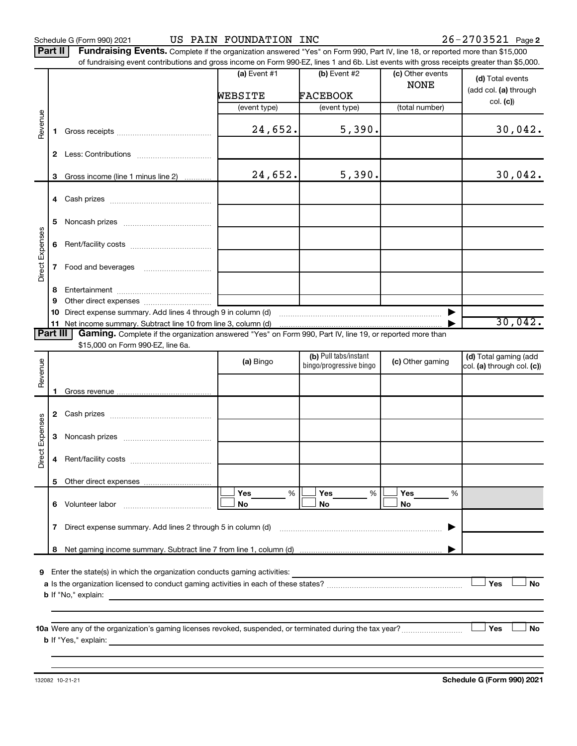132082 10-21-21

Schedule G (Form 990) 2021 US PAIN FOUNDATION INC 26-2703521 Page

26-2703521 Page 2

| <b>Part II</b> Fundraising Events. Complete if the organization answered "Yes" on Form 990, Part IV, line 18, or reported more than \$15,000 |
|----------------------------------------------------------------------------------------------------------------------------------------------|
| of fundraising event contributions and gross income on Form 990-EZ, lines 1 and 6b. List events with gross receipts greater than \$5,000.    |

|                        |              | of fundraising event contributions and gross income on Form 990-EZ, lines 1 and 6b. List events with gross receipts greater than \$5,000.                                                                                                 |                |                                                  |                                 |                                                     |
|------------------------|--------------|-------------------------------------------------------------------------------------------------------------------------------------------------------------------------------------------------------------------------------------------|----------------|--------------------------------------------------|---------------------------------|-----------------------------------------------------|
|                        |              |                                                                                                                                                                                                                                           | (a) Event $#1$ | $(b)$ Event #2                                   | (c) Other events<br><b>NONE</b> | (d) Total events<br>(add col. (a) through           |
|                        |              |                                                                                                                                                                                                                                           | WEBSITE        | <b>FACEBOOK</b>                                  |                                 | col. (c)                                            |
|                        |              |                                                                                                                                                                                                                                           | (event type)   | (event type)                                     | (total number)                  |                                                     |
| Revenue                | 1.           |                                                                                                                                                                                                                                           | 24,652.        | 5,390.                                           |                                 | 30,042.                                             |
|                        |              |                                                                                                                                                                                                                                           |                |                                                  |                                 |                                                     |
|                        | 3            | Gross income (line 1 minus line 2)                                                                                                                                                                                                        | 24,652.        | 5,390.                                           |                                 | 30,042.                                             |
|                        |              |                                                                                                                                                                                                                                           |                |                                                  |                                 |                                                     |
|                        | 5            |                                                                                                                                                                                                                                           |                |                                                  |                                 |                                                     |
| Direct Expenses        | 6            |                                                                                                                                                                                                                                           |                |                                                  |                                 |                                                     |
|                        | $\mathbf{7}$ |                                                                                                                                                                                                                                           |                |                                                  |                                 |                                                     |
|                        | 8            |                                                                                                                                                                                                                                           |                |                                                  |                                 |                                                     |
|                        | 9            |                                                                                                                                                                                                                                           |                |                                                  |                                 |                                                     |
|                        | 10           | Direct expense summary. Add lines 4 through 9 in column (d)                                                                                                                                                                               |                |                                                  | ▶                               |                                                     |
|                        |              | 11 Net income summary. Subtract line 10 from line 3, column (d)                                                                                                                                                                           |                |                                                  |                                 | 30,042.                                             |
| Part III               |              | Gaming. Complete if the organization answered "Yes" on Form 990, Part IV, line 19, or reported more than                                                                                                                                  |                |                                                  |                                 |                                                     |
|                        |              | \$15,000 on Form 990-EZ, line 6a.                                                                                                                                                                                                         |                |                                                  |                                 |                                                     |
| Revenue                |              |                                                                                                                                                                                                                                           | (a) Bingo      | (b) Pull tabs/instant<br>bingo/progressive bingo | (c) Other gaming                | (d) Total gaming (add<br>col. (a) through col. (c)) |
|                        |              |                                                                                                                                                                                                                                           |                |                                                  |                                 |                                                     |
|                        | 1.           |                                                                                                                                                                                                                                           |                |                                                  |                                 |                                                     |
|                        |              |                                                                                                                                                                                                                                           |                |                                                  |                                 |                                                     |
| <b>Direct Expenses</b> | 3            |                                                                                                                                                                                                                                           |                |                                                  |                                 |                                                     |
|                        | 4            |                                                                                                                                                                                                                                           |                |                                                  |                                 |                                                     |
|                        | 5            | Other direct expenses                                                                                                                                                                                                                     |                |                                                  |                                 |                                                     |
|                        |              | 6 Volunteer labor [10] [10] Monday March 1997                                                                                                                                                                                             | Yes<br>%<br>No | Yes<br>%<br>No                                   | Yes<br>%<br>No                  |                                                     |
|                        | 7            | Direct expense summary. Add lines 2 through 5 in column (d)                                                                                                                                                                               |                |                                                  |                                 |                                                     |
|                        | 8            |                                                                                                                                                                                                                                           |                |                                                  |                                 |                                                     |
|                        |              |                                                                                                                                                                                                                                           |                |                                                  |                                 |                                                     |
|                        |              | <b>9</b> Enter the state(s) in which the organization conducts gaming activities:                                                                                                                                                         |                |                                                  |                                 |                                                     |
|                        |              |                                                                                                                                                                                                                                           |                |                                                  |                                 | Yes<br>No                                           |
|                        |              | <b>b</b> If "No," explain:                                                                                                                                                                                                                |                |                                                  |                                 |                                                     |
|                        |              |                                                                                                                                                                                                                                           |                |                                                  |                                 |                                                     |
|                        |              |                                                                                                                                                                                                                                           |                |                                                  |                                 |                                                     |
|                        |              | 10a Were any of the organization's gaming licenses revoked, suspended, or terminated during the tax year?                                                                                                                                 |                |                                                  |                                 | Yes<br>No                                           |
|                        |              | <b>b</b> If "Yes," explain: <u>And a set of the set of the set of the set of the set of the set of the set of the set of the set of the set of the set of the set of the set of the set of the set of the set of the set of the set o</u> |                |                                                  |                                 |                                                     |
|                        |              |                                                                                                                                                                                                                                           |                |                                                  |                                 |                                                     |

**Schedule G (Form 990) 2021**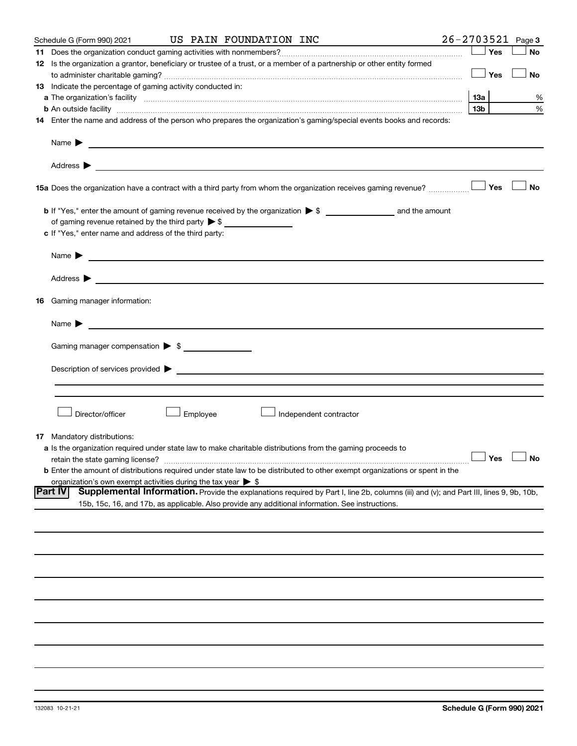|     | US PAIN FOUNDATION INC<br>Schedule G (Form 990) 2021                                                                                                                                                                                      |       |            | 26-2703521 Page 3 |
|-----|-------------------------------------------------------------------------------------------------------------------------------------------------------------------------------------------------------------------------------------------|-------|------------|-------------------|
|     |                                                                                                                                                                                                                                           |       | Yes        | No                |
|     | 12 Is the organization a grantor, beneficiary or trustee of a trust, or a member of a partnership or other entity formed                                                                                                                  |       |            |                   |
|     |                                                                                                                                                                                                                                           |       | $\Box$ Yes | No                |
|     | 13 Indicate the percentage of gaming activity conducted in:                                                                                                                                                                               |       |            |                   |
|     |                                                                                                                                                                                                                                           | 13а   |            | %                 |
|     | <b>b</b> An outside facility <b>contained and the contract of the contract of the contract of the contract of the contract of the contract of the contract of the contract of the contract of the contract of the contract of the con</b> | 13b l |            | $\%$              |
|     | 14 Enter the name and address of the person who prepares the organization's gaming/special events books and records:                                                                                                                      |       |            |                   |
|     | Name <b>Decision of the Community of the Community of the Community of the Community of the Community of the Community of the Community of the Community of the Community of the Community of the Community of the Community of </b>      |       |            |                   |
|     | Address $\blacktriangleright$<br>and the control of the control of the control of the control of the control of the control of the control of the                                                                                         |       |            |                   |
|     | 15a Does the organization have a contract with a third party from whom the organization receives gaming revenue?                                                                                                                          |       | Yes        | <b>No</b>         |
|     |                                                                                                                                                                                                                                           |       |            |                   |
|     | of gaming revenue retained by the third party $\triangleright$ \$                                                                                                                                                                         |       |            |                   |
|     | c If "Yes," enter name and address of the third party:                                                                                                                                                                                    |       |            |                   |
|     |                                                                                                                                                                                                                                           |       |            |                   |
|     | Name > 2008 - 2008 - 2009 - 2009 - 2009 - 2009 - 2009 - 2009 - 2009 - 2009 - 2009 - 2009 - 2009 - 2009 - 2009 - 2009 - 2009 - 2009 - 2009 - 2009 - 2009 - 2009 - 2009 - 2009 - 2009 - 2009 - 2009 - 2009 - 2009 - 2009 - 2009             |       |            |                   |
|     | Address $\blacktriangleright$                                                                                                                                                                                                             |       |            |                   |
| 16. | Gaming manager information:                                                                                                                                                                                                               |       |            |                   |
|     | Name $\blacktriangleright$<br><u> 1989 - Johann Barn, fransk politik amerikansk politik (d. 1989)</u>                                                                                                                                     |       |            |                   |
|     | Gaming manager compensation > \$                                                                                                                                                                                                          |       |            |                   |
|     |                                                                                                                                                                                                                                           |       |            |                   |
|     | Description of services provided states and the contract of the contract of the contract of the contract of the contract of the contract of the contract of the contract of the contract of the contract of the contract of th            |       |            |                   |
|     |                                                                                                                                                                                                                                           |       |            |                   |
|     |                                                                                                                                                                                                                                           |       |            |                   |
|     | Director/officer<br>Employee<br>$\perp$ Independent contractor                                                                                                                                                                            |       |            |                   |
|     | <b>17</b> Mandatory distributions:                                                                                                                                                                                                        |       |            |                   |
|     | a Is the organization required under state law to make charitable distributions from the gaming proceeds to                                                                                                                               |       |            |                   |
|     | retain the state gaming license?                                                                                                                                                                                                          |       | $\Box$ Yes | $\Box$ No         |
|     | <b>b</b> Enter the amount of distributions required under state law to be distributed to other exempt organizations or spent in the                                                                                                       |       |            |                   |
|     | organization's own exempt activities during the tax year $\triangleright$ \$                                                                                                                                                              |       |            |                   |
|     | Supplemental Information. Provide the explanations required by Part I, line 2b, columns (iii) and (v); and Part III, lines 9, 9b, 10b,<br> Part IV                                                                                        |       |            |                   |
|     | 15b, 15c, 16, and 17b, as applicable. Also provide any additional information. See instructions.                                                                                                                                          |       |            |                   |
|     |                                                                                                                                                                                                                                           |       |            |                   |
|     |                                                                                                                                                                                                                                           |       |            |                   |
|     |                                                                                                                                                                                                                                           |       |            |                   |
|     |                                                                                                                                                                                                                                           |       |            |                   |
|     |                                                                                                                                                                                                                                           |       |            |                   |
|     |                                                                                                                                                                                                                                           |       |            |                   |
|     |                                                                                                                                                                                                                                           |       |            |                   |
|     |                                                                                                                                                                                                                                           |       |            |                   |
|     |                                                                                                                                                                                                                                           |       |            |                   |
|     |                                                                                                                                                                                                                                           |       |            |                   |
|     |                                                                                                                                                                                                                                           |       |            |                   |
|     |                                                                                                                                                                                                                                           |       |            |                   |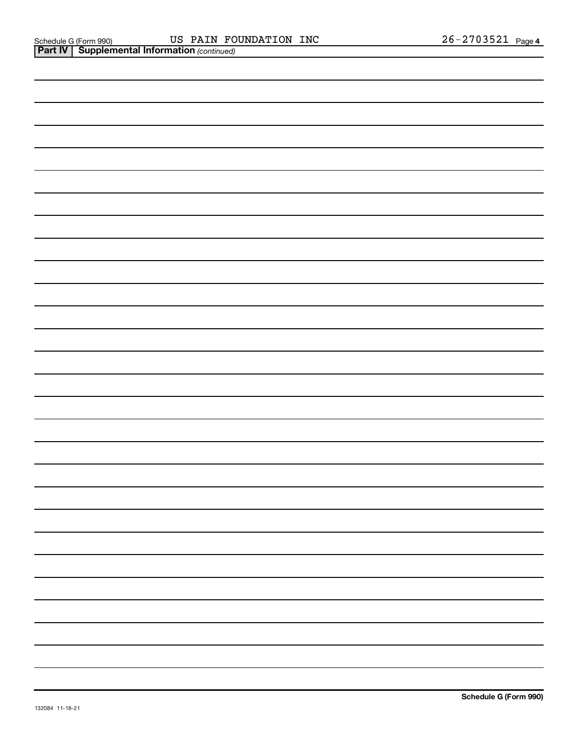*(continued)*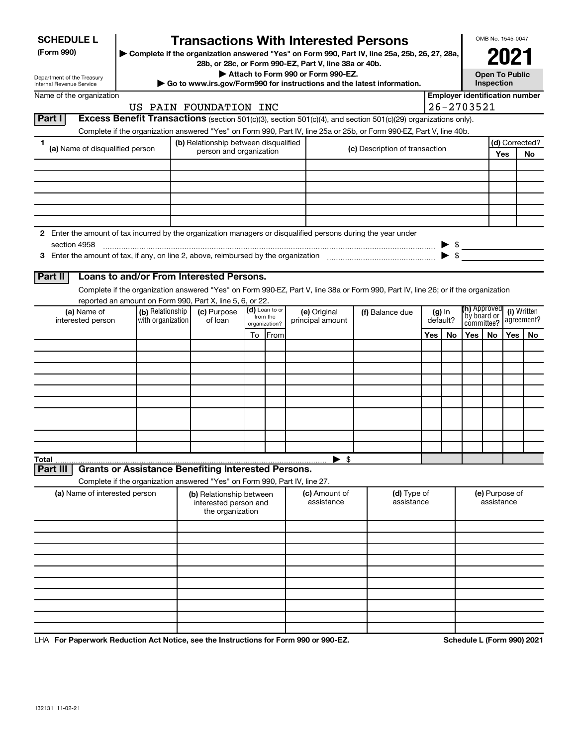# **Transactions With Interested Persons**

**(Form 990) | Complete if the organization answered "Yes" on Form 990, Part IV, line 25a, 25b, 26, 27, 28a,**

| 28b, or 28c, or Form 990-EZ, Part V, line 38a or 40b. |  |  |  |  |  |
|-------------------------------------------------------|--|--|--|--|--|
| Attach to Form 990 or Form 990-EZ.                    |  |  |  |  |  |

| <b>Open To Public</b> |  |  |
|-----------------------|--|--|
| <b>Inspection</b>     |  |  |

|  | Name of the organization |
|--|--------------------------|
|  |                          |

| Department of the Treasury<br>Internal Revenue Service |                                                                            | Go to www.irs.gov/Form990 for instructions and the latest information. |                                                                  |                          |                           |                |  |                                  |                                                                                                                                    | <b>ODCIT TO LADIO</b><br>Inspection |                                                                   |                                                     |                |                           |                |  |
|--------------------------------------------------------|----------------------------------------------------------------------------|------------------------------------------------------------------------|------------------------------------------------------------------|--------------------------|---------------------------|----------------|--|----------------------------------|------------------------------------------------------------------------------------------------------------------------------------|-------------------------------------|-------------------------------------------------------------------|-----------------------------------------------------|----------------|---------------------------|----------------|--|
|                                                        | Name of the organization                                                   |                                                                        |                                                                  | US PAIN FOUNDATION INC   |                           |                |  |                                  |                                                                                                                                    |                                     |                                                                   | <b>Employer identification number</b><br>26-2703521 |                |                           |                |  |
| Part I                                                 |                                                                            |                                                                        |                                                                  |                          |                           |                |  |                                  | Excess Benefit Transactions (section 501(c)(3), section 501(c)(4), and section 501(c)(29) organizations only).                     |                                     |                                                                   |                                                     |                |                           |                |  |
|                                                        |                                                                            |                                                                        |                                                                  |                          |                           |                |  |                                  | Complete if the organization answered "Yes" on Form 990, Part IV, line 25a or 25b, or Form 990-EZ, Part V, line 40b.               |                                     |                                                                   |                                                     |                |                           |                |  |
| 1                                                      | (a) Name of disqualified person                                            |                                                                        | (b) Relationship between disqualified<br>person and organization |                          |                           |                |  |                                  | (c) Description of transaction                                                                                                     |                                     |                                                                   |                                                     |                |                           | (d) Corrected? |  |
|                                                        |                                                                            |                                                                        |                                                                  |                          |                           |                |  |                                  |                                                                                                                                    |                                     |                                                                   |                                                     |                | Yes                       | No             |  |
|                                                        |                                                                            |                                                                        |                                                                  |                          |                           |                |  |                                  |                                                                                                                                    |                                     |                                                                   |                                                     |                |                           |                |  |
|                                                        |                                                                            |                                                                        |                                                                  |                          |                           |                |  |                                  |                                                                                                                                    |                                     |                                                                   |                                                     |                |                           |                |  |
|                                                        |                                                                            |                                                                        |                                                                  |                          |                           |                |  |                                  |                                                                                                                                    |                                     |                                                                   |                                                     |                |                           |                |  |
|                                                        |                                                                            |                                                                        |                                                                  |                          |                           |                |  |                                  |                                                                                                                                    |                                     |                                                                   |                                                     |                |                           |                |  |
|                                                        |                                                                            |                                                                        |                                                                  |                          |                           |                |  |                                  |                                                                                                                                    |                                     |                                                                   |                                                     |                |                           |                |  |
| section 4958                                           |                                                                            |                                                                        |                                                                  |                          |                           |                |  |                                  | 2 Enter the amount of tax incurred by the organization managers or disqualified persons during the year under                      |                                     | \$                                                                |                                                     |                |                           |                |  |
|                                                        |                                                                            |                                                                        |                                                                  |                          |                           |                |  |                                  |                                                                                                                                    |                                     | $\blacktriangleright$ \$                                          |                                                     |                |                           |                |  |
|                                                        |                                                                            |                                                                        |                                                                  |                          |                           |                |  |                                  |                                                                                                                                    |                                     |                                                                   |                                                     |                |                           |                |  |
| Part II                                                | Loans to and/or From Interested Persons.                                   |                                                                        |                                                                  |                          |                           |                |  |                                  |                                                                                                                                    |                                     |                                                                   |                                                     |                |                           |                |  |
|                                                        |                                                                            |                                                                        |                                                                  |                          |                           |                |  |                                  | Complete if the organization answered "Yes" on Form 990-EZ, Part V, line 38a or Form 990, Part IV, line 26; or if the organization |                                     |                                                                   |                                                     |                |                           |                |  |
|                                                        | reported an amount on Form 990, Part X, line 5, 6, or 22.                  |                                                                        |                                                                  |                          |                           | (d) Loan to or |  |                                  |                                                                                                                                    |                                     |                                                                   |                                                     |                |                           |                |  |
|                                                        | (a) Name of<br>interested person                                           | (b) Relationship<br>with organization                                  | (c) Purpose<br>of loan                                           |                          | from the<br>organization? |                |  | (e) Original<br>principal amount | (f) Balance due                                                                                                                    |                                     | (h) Approved<br>by board or<br>$(g)$ In<br>default?<br>committee? |                                                     |                | (i) Written<br>agreement? |                |  |
|                                                        |                                                                            |                                                                        |                                                                  |                          | To                        | <b>IFrom</b>   |  |                                  |                                                                                                                                    | Yes                                 | No                                                                | Yes                                                 | No             | Yes                       | No             |  |
|                                                        |                                                                            |                                                                        |                                                                  |                          |                           |                |  |                                  |                                                                                                                                    |                                     |                                                                   |                                                     |                |                           |                |  |
|                                                        |                                                                            |                                                                        |                                                                  |                          |                           |                |  |                                  |                                                                                                                                    |                                     |                                                                   |                                                     |                |                           |                |  |
|                                                        |                                                                            |                                                                        |                                                                  |                          |                           |                |  |                                  |                                                                                                                                    |                                     |                                                                   |                                                     |                |                           |                |  |
|                                                        |                                                                            |                                                                        |                                                                  |                          |                           |                |  |                                  |                                                                                                                                    |                                     |                                                                   |                                                     |                |                           |                |  |
|                                                        |                                                                            |                                                                        |                                                                  |                          |                           |                |  |                                  |                                                                                                                                    |                                     |                                                                   |                                                     |                |                           |                |  |
|                                                        |                                                                            |                                                                        |                                                                  |                          |                           |                |  |                                  |                                                                                                                                    |                                     |                                                                   |                                                     |                |                           |                |  |
|                                                        |                                                                            |                                                                        |                                                                  |                          |                           |                |  |                                  |                                                                                                                                    |                                     |                                                                   |                                                     |                |                           |                |  |
|                                                        |                                                                            |                                                                        |                                                                  |                          |                           |                |  |                                  |                                                                                                                                    |                                     |                                                                   |                                                     |                |                           |                |  |
|                                                        |                                                                            |                                                                        |                                                                  |                          |                           |                |  |                                  |                                                                                                                                    |                                     |                                                                   |                                                     |                |                           |                |  |
| Total<br>Part III                                      | <b>Grants or Assistance Benefiting Interested Persons.</b>                 |                                                                        |                                                                  |                          |                           |                |  | $\blacktriangleright$ \$         |                                                                                                                                    |                                     |                                                                   |                                                     |                |                           |                |  |
|                                                        | Complete if the organization answered "Yes" on Form 990, Part IV, line 27. |                                                                        |                                                                  |                          |                           |                |  |                                  |                                                                                                                                    |                                     |                                                                   |                                                     |                |                           |                |  |
|                                                        | (a) Name of interested person                                              |                                                                        |                                                                  | (b) Relationship between |                           |                |  | (c) Amount of                    | (d) Type of                                                                                                                        |                                     |                                                                   |                                                     | (e) Purpose of |                           |                |  |
|                                                        |                                                                            | interested person and<br>the organization                              |                                                                  |                          | assistance                | assistance     |  |                                  | assistance                                                                                                                         |                                     |                                                                   |                                                     |                |                           |                |  |
|                                                        |                                                                            |                                                                        |                                                                  |                          |                           |                |  |                                  |                                                                                                                                    |                                     |                                                                   |                                                     |                |                           |                |  |
|                                                        |                                                                            |                                                                        |                                                                  |                          |                           |                |  |                                  |                                                                                                                                    |                                     |                                                                   |                                                     |                |                           |                |  |
|                                                        |                                                                            |                                                                        |                                                                  |                          |                           |                |  |                                  |                                                                                                                                    |                                     |                                                                   |                                                     |                |                           |                |  |
|                                                        |                                                                            |                                                                        |                                                                  |                          |                           |                |  |                                  |                                                                                                                                    |                                     |                                                                   |                                                     |                |                           |                |  |
|                                                        |                                                                            |                                                                        |                                                                  |                          |                           |                |  |                                  |                                                                                                                                    |                                     |                                                                   |                                                     |                |                           |                |  |

**For Paperwork Reduction Act Notice, see the Instructions for Form 990 or 990-EZ. Schedule L (Form 990) 2021** LHA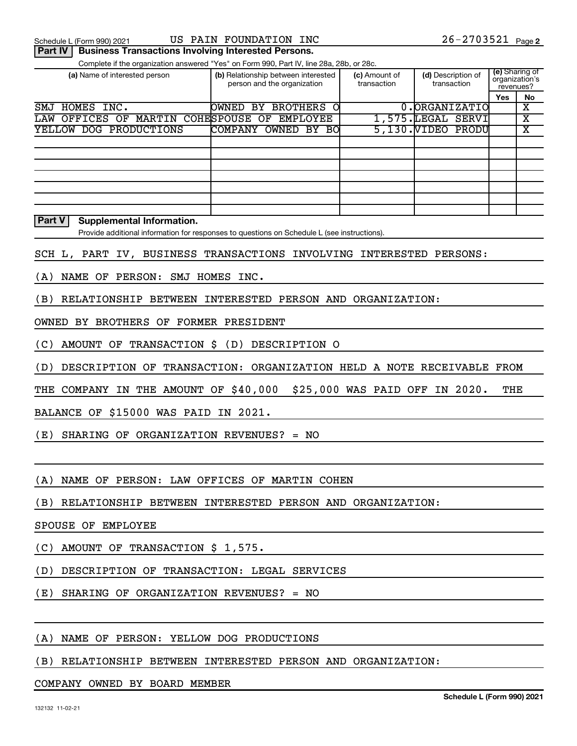| Schedule L (Form 990) 202 |  |  |
|---------------------------|--|--|
|---------------------------|--|--|

## Schedule L (Form 990) 2021  $_{\text{US}~\text{PAIN}~\text{FOUNDATION}~\text{INC}}$  26 – 2703521  $_{\text{Page}}$

(a) Name of interested person (b) Relationship between interested (c) Amount of (d) Description of  $\binom{e}{r}$ **Yes No** Complete if the organization answered "Yes" on Form 990, Part IV, line 28a, 28b, or 28c. (e) Sharing of organization's revenues? person and the organization (c) Amount of transaction (d) Description of transaction Provide additional information for responses to questions on Schedule L (see instructions). **Part IV | Business Transactions Involving Interested Persons. Part V** Supplemental Information. SMJ HOMES INC. OWNED BY BROTHERS O 0.ORGANIZATIO X LAW OFFICES OF MARTIN COHESPOUSE OF EMPLOYEE | 1,575.LEGAL SERVI | X YELLOW DOG PRODUCTIONS COMPANY OWNED BY BO 5,130.VIDEO PRODU X SCH L, PART IV, BUSINESS TRANSACTIONS INVOLVING INTERESTED PERSONS: (A) NAME OF PERSON: SMJ HOMES INC. (B) RELATIONSHIP BETWEEN INTERESTED PERSON AND ORGANIZATION: OWNED BY BROTHERS OF FORMER PRESIDENT (C) AMOUNT OF TRANSACTION \$ (D) DESCRIPTION O (D) DESCRIPTION OF TRANSACTION: ORGANIZATION HELD A NOTE RECEIVABLE FROM THE COMPANY IN THE AMOUNT OF \$40,000 \$25,000 WAS PAID OFF IN 2020. THE BALANCE OF \$15000 WAS PAID IN 2021. (E) SHARING OF ORGANIZATION REVENUES? = NO (A) NAME OF PERSON: LAW OFFICES OF MARTIN COHEN (B) RELATIONSHIP BETWEEN INTERESTED PERSON AND ORGANIZATION: SPOUSE OF EMPLOYEE (C) AMOUNT OF TRANSACTION \$ 1,575. (D) DESCRIPTION OF TRANSACTION: LEGAL SERVICES (E) SHARING OF ORGANIZATION REVENUES? = NO

(A) NAME OF PERSON: YELLOW DOG PRODUCTIONS

#### (B) RELATIONSHIP BETWEEN INTERESTED PERSON AND ORGANIZATION:

#### COMPANY OWNED BY BOARD MEMBER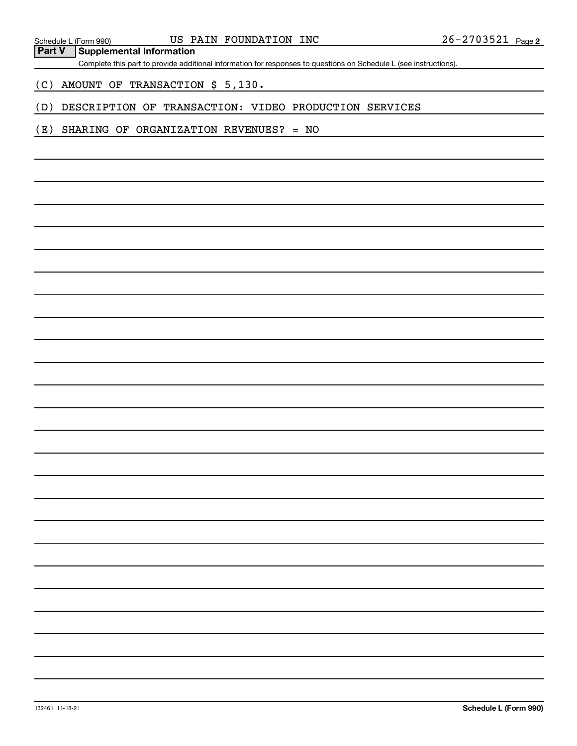Schedule L (Form 990)  $_{\rm US}$  PAIN <code>FOUNDATION</code> INC  $_{\rm 26-2703521}$  <code>Page</code>

**Part V Supplemental Information**

Complete this part to provide additional information for responses to questions on Schedule L (see instructions).

### (C) AMOUNT OF TRANSACTION \$ 5,130.

#### (D) DESCRIPTION OF TRANSACTION: VIDEO PRODUCTION SERVICES

### (E) SHARING OF ORGANIZATION REVENUES? = NO